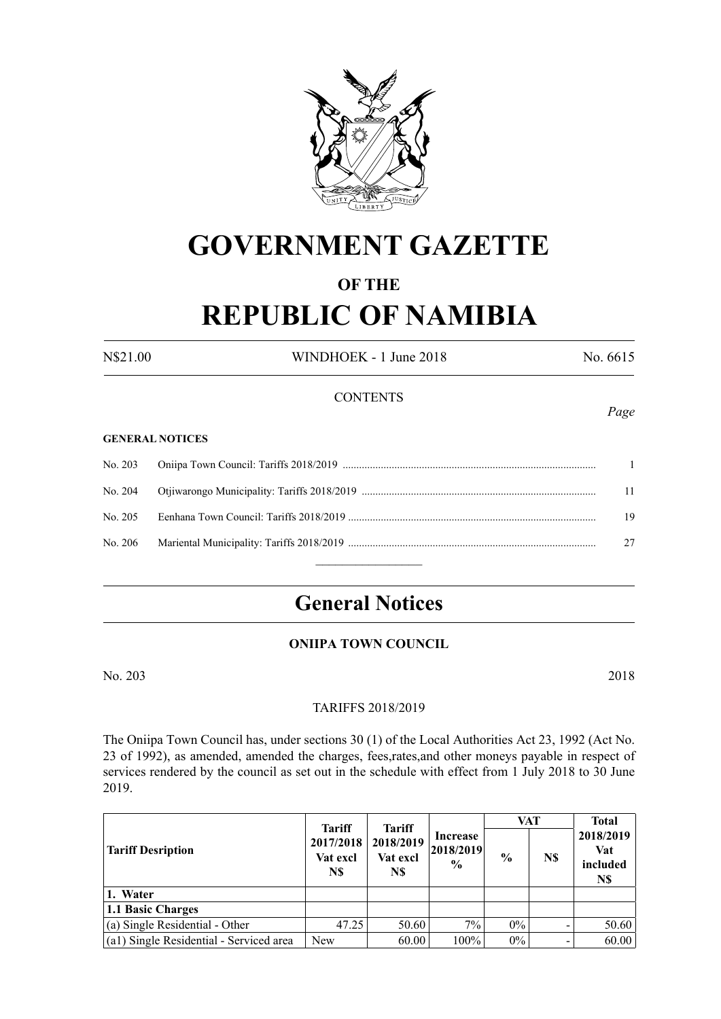

# **GOVERNMENT GAZETTE**

# **OF THE REPUBLIC OF NAMIBIA**

N\$21.00 WINDHOEK - 1 June 2018 No. 6615

*Page*

### **CONTENTS**

#### **GENERAL NOTICES**

| No. 205 | 19 |
|---------|----|
|         |    |
|         |    |

# **General Notices**

## **ONIIPA TOWN COUNCIL**

No. 203 2018

#### TARIFFS 2018/2019

The Oniipa Town Council has, under sections 30 (1) of the Local Authorities Act 23, 1992 (Act No. 23 of 1992), as amended, amended the charges, fees,rates,and other moneys payable in respect of services rendered by the council as set out in the schedule with effect from 1 July 2018 to 30 June 2019.

| <b>Tariff Desription</b>                | <b>Tariff</b>                | <b>Tariff</b>                |                                          | VAT           |     | <b>Total</b>                        |
|-----------------------------------------|------------------------------|------------------------------|------------------------------------------|---------------|-----|-------------------------------------|
|                                         | 2017/2018<br>Vat excl<br>N\$ | 2018/2019<br>Vat excl<br>N\$ | Increase<br> 2018/2019 <br>$\frac{6}{9}$ | $\frac{6}{9}$ | N\$ | 2018/2019<br>Vat<br>included<br>N\$ |
| 1. Water                                |                              |                              |                                          |               |     |                                     |
| 1.1 Basic Charges                       |                              |                              |                                          |               |     |                                     |
| (a) Single Residential - Other          | 47.25                        | 50.60                        | $7\%$                                    | $0\%$         |     | 50.60                               |
| (a1) Single Residential - Serviced area | <b>New</b>                   | 60.00                        | 100%                                     | $0\%$         |     | 60.00                               |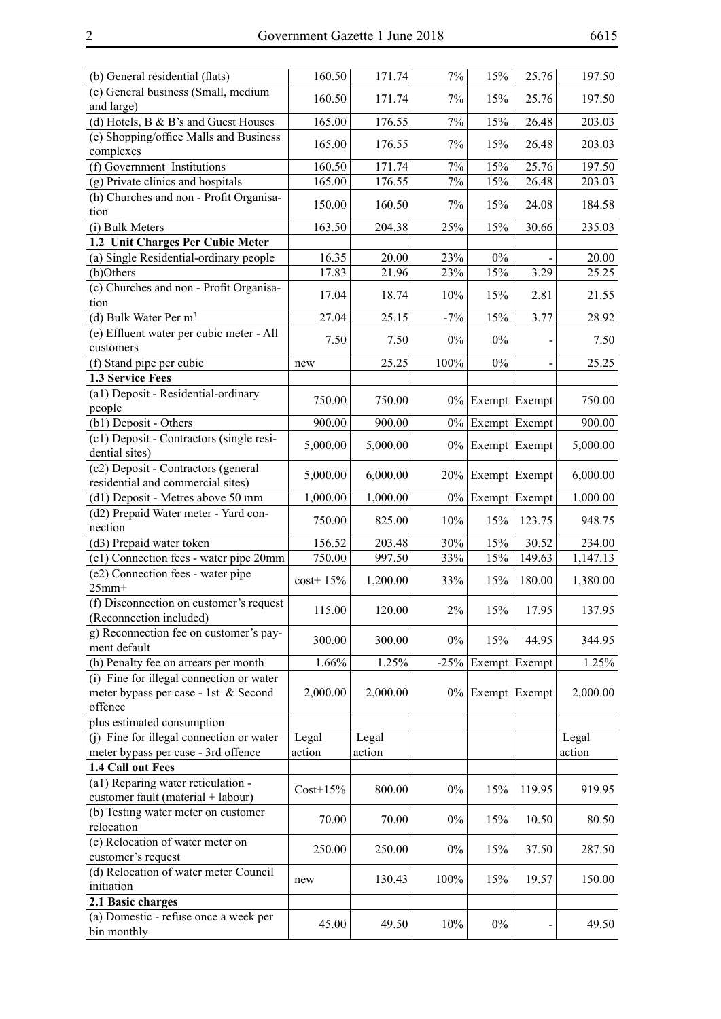| (b) General residential (flats)               | 160.50      | 171.74   | 7%     | 15%                 | 25.76         | 197.50   |
|-----------------------------------------------|-------------|----------|--------|---------------------|---------------|----------|
| (c) General business (Small, medium           |             |          |        |                     |               |          |
| and large)                                    | 160.50      | 171.74   | 7%     | 15%                 | 25.76         | 197.50   |
| (d) Hotels, B & B's and Guest Houses          | 165.00      | 176.55   | $7\%$  | 15%                 | 26.48         | 203.03   |
| (e) Shopping/office Malls and Business        |             |          |        |                     |               |          |
| complexes                                     | 165.00      | 176.55   | 7%     | 15%                 | 26.48         | 203.03   |
| (f) Government Institutions                   | 160.50      | 171.74   | 7%     | 15%                 | 25.76         | 197.50   |
| (g) Private clinics and hospitals             | 165.00      | 176.55   | $7\%$  | 15%                 | 26.48         | 203.03   |
| (h) Churches and non - Profit Organisa-       |             |          |        |                     |               |          |
| tion                                          | 150.00      | 160.50   | 7%     | 15%                 | 24.08         | 184.58   |
| (i) Bulk Meters                               | 163.50      | 204.38   | 25%    | 15%                 | 30.66         | 235.03   |
| 1.2 Unit Charges Per Cubic Meter              |             |          |        |                     |               |          |
| (a) Single Residential-ordinary people        | 16.35       | 20.00    | 23%    | $0\%$               |               | 20.00    |
| (b)Others                                     | 17.83       | 21.96    | 23%    | 15%                 | 3.29          | 25.25    |
| (c) Churches and non - Profit Organisa-       |             |          |        |                     |               |          |
| tion                                          | 17.04       | 18.74    | 10%    | 15%                 | 2.81          | 21.55    |
| (d) Bulk Water Per m <sup>3</sup>             | 27.04       | 25.15    | $-7%$  | 15%                 | 3.77          | 28.92    |
| (e) Effluent water per cubic meter - All      |             |          |        |                     |               |          |
| customers                                     | 7.50        | 7.50     | $0\%$  | $0\%$               |               | 7.50     |
| (f) Stand pipe per cubic                      |             | 25.25    | 100%   | $0\%$               |               | 25.25    |
|                                               | new         |          |        |                     |               |          |
| 1.3 Service Fees                              |             |          |        |                     |               |          |
| (a1) Deposit - Residential-ordinary           | 750.00      | 750.00   |        | $0\%$ Exempt Exempt |               | 750.00   |
| people                                        |             |          |        |                     |               |          |
| (b1) Deposit - Others                         | 900.00      | 900.00   | $0\%$  |                     | Exempt Exempt | 900.00   |
| (c1) Deposit - Contractors (single resi-      | 5,000.00    | 5,000.00 |        | $0\%$ Exempt Exempt |               | 5,000.00 |
| dential sites)                                |             |          |        |                     |               |          |
| (c2) Deposit - Contractors (general           | 5,000.00    | 6,000.00 | 20%    |                     | Exempt Exempt | 6,000.00 |
| residential and commercial sites)             |             |          |        |                     |               |          |
| (d1) Deposit - Metres above 50 mm             | 1,000.00    | 1,000.00 | $0\%$  | Exempt Exempt       |               | 1,000.00 |
| (d2) Prepaid Water meter - Yard con-          | 750.00      | 825.00   | 10%    | 15%                 | 123.75        | 948.75   |
| nection                                       |             |          |        |                     |               |          |
| (d3) Prepaid water token                      | 156.52      | 203.48   | 30%    | 15%                 | 30.52         | 234.00   |
| (e1) Connection fees - water pipe 20mm        | 750.00      | 997.50   | 33%    | 15%                 | 149.63        | 1,147.13 |
| (e2) Connection fees - water pipe             | $cost+15%$  | 1,200.00 | 33%    | 15%                 | 180.00        | 1,380.00 |
| $25mm+$                                       |             |          |        |                     |               |          |
| (f) Disconnection on customer's request       | 115.00      | 120.00   | $2\%$  | 15%                 | 17.95         | 137.95   |
| (Reconnection included)                       |             |          |        |                     |               |          |
| g) Reconnection fee on customer's pay-        | 300.00      | 300.00   | $0\%$  | 15%                 | 44.95         | 344.95   |
| ment default                                  |             |          |        |                     |               |          |
| (h) Penalty fee on arrears per month          | 1.66%       | 1.25%    | $-25%$ |                     | Exempt Exempt | 1.25%    |
| (i) Fine for illegal connection or water      |             |          |        |                     |               |          |
| meter bypass per case - 1st & Second          | 2,000.00    | 2,000.00 | $0\%$  |                     | Exempt Exempt | 2,000.00 |
| offence                                       |             |          |        |                     |               |          |
| plus estimated consumption                    |             |          |        |                     |               |          |
| (j) Fine for illegal connection or water      | Legal       | Legal    |        |                     |               | Legal    |
| meter bypass per case - 3rd offence           | action      | action   |        |                     |               | action   |
| 1.4 Call out Fees                             |             |          |        |                     |               |          |
| (a1) Reparing water reticulation -            |             |          |        |                     |               |          |
| customer fault (material + labour)            | $Cost+15\%$ | 800.00   | $0\%$  | 15%                 | 119.95        | 919.95   |
| (b) Testing water meter on customer           |             |          |        |                     |               |          |
| relocation                                    | 70.00       | 70.00    | $0\%$  | 15%                 | 10.50         | 80.50    |
| $\overline{(c)}$ Relocation of water meter on |             |          |        |                     |               |          |
| customer's request                            | 250.00      | 250.00   | $0\%$  | 15%                 | 37.50         | 287.50   |
| (d) Relocation of water meter Council         |             |          |        |                     |               |          |
| initiation                                    | new         | 130.43   | 100%   | 15%                 | 19.57         | 150.00   |
| 2.1 Basic charges                             |             |          |        |                     |               |          |
| (a) Domestic - refuse once a week per         |             |          |        |                     |               |          |
| bin monthly                                   | 45.00       | 49.50    | 10%    | $0\%$               |               | 49.50    |
|                                               |             |          |        |                     |               |          |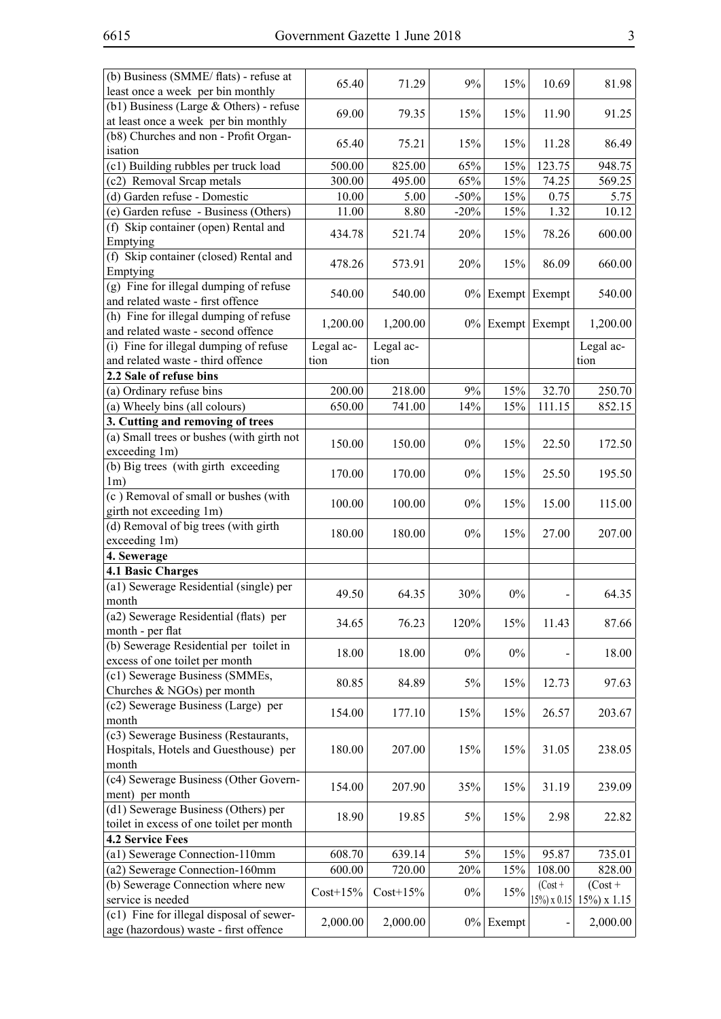| (b) Business (SMME/ flats) - refuse at                                            | 65.40      | 71.29       | 9%     | 15%                 | 10.69           | 81.98           |
|-----------------------------------------------------------------------------------|------------|-------------|--------|---------------------|-----------------|-----------------|
| least once a week per bin monthly                                                 |            |             |        |                     |                 |                 |
| $(b1)$ Business (Large & Others) - refuse                                         | 69.00      | 79.35       | 15%    | 15%                 | 11.90           | 91.25           |
| at least once a week per bin monthly                                              |            |             |        |                     |                 |                 |
| (b8) Churches and non - Profit Organ-                                             | 65.40      | 75.21       | 15%    | 15%                 | 11.28           | 86.49           |
| isation                                                                           |            |             |        |                     |                 |                 |
| (c1) Building rubbles per truck load                                              | 500.00     | 825.00      | 65%    | 15%                 | 123.75          | 948.75          |
| (c2) Removal Srcap metals                                                         | 300.00     | 495.00      | 65%    | 15%                 | 74.25           | 569.25          |
| (d) Garden refuse - Domestic                                                      | 10.00      | 5.00        | $-50%$ | 15%                 | 0.75            | 5.75            |
| (e) Garden refuse - Business (Others)                                             | 11.00      | 8.80        | $-20%$ | 15%                 | 1.32            | 10.12           |
| (f) Skip container (open) Rental and<br>Emptying                                  | 434.78     | 521.74      | 20%    | 15%                 | 78.26           | 600.00          |
| (f) Skip container (closed) Rental and<br>Emptying                                | 478.26     | 573.91      | 20%    | 15%                 | 86.09           | 660.00          |
| (g) Fine for illegal dumping of refuse                                            | 540.00     | 540.00      |        | $0\%$ Exempt Exempt |                 | 540.00          |
| and related waste - first offence                                                 |            |             |        |                     |                 |                 |
| (h) Fine for illegal dumping of refuse<br>and related waste - second offence      | 1,200.00   | 1,200.00    |        | $0\%$ Exempt Exempt |                 | 1,200.00        |
| (i) Fine for illegal dumping of refuse                                            | Legal ac-  | Legal ac-   |        |                     |                 | Legal ac-       |
| and related waste - third offence                                                 | tion       | tion        |        |                     |                 | tion            |
| 2.2 Sale of refuse bins                                                           |            |             |        |                     |                 |                 |
| (a) Ordinary refuse bins                                                          | 200.00     | 218.00      | 9%     | 15%                 | 32.70           | 250.70          |
| (a) Wheely bins (all colours)                                                     | 650.00     | 741.00      | 14%    | 15%                 | 111.15          | 852.15          |
| 3. Cutting and removing of trees                                                  |            |             |        |                     |                 |                 |
| (a) Small trees or bushes (with girth not                                         |            |             |        |                     |                 |                 |
| exceeding 1m)                                                                     | 150.00     | 150.00      | $0\%$  | 15%                 | 22.50           | 172.50          |
| (b) Big trees (with girth exceeding                                               |            |             |        |                     |                 |                 |
| 1m)                                                                               | 170.00     | 170.00      | $0\%$  | 15%                 | 25.50           | 195.50          |
| (c) Removal of small or bushes (with                                              |            |             |        |                     |                 |                 |
| girth not exceeding 1m)                                                           | 100.00     | 100.00      | $0\%$  | 15%                 | 15.00           | 115.00          |
| (d) Removal of big trees (with girth                                              |            |             |        |                     |                 |                 |
| exceeding 1m)                                                                     | 180.00     | 180.00      | $0\%$  | 15%                 | 27.00           | 207.00          |
| 4. Sewerage                                                                       |            |             |        |                     |                 |                 |
| <b>4.1 Basic Charges</b>                                                          |            |             |        |                     |                 |                 |
| (a1) Sewerage Residential (single) per                                            |            |             |        |                     |                 |                 |
| month                                                                             | 49.50      | 64.35       | 30%    | $0\%$               |                 | 64.35           |
| (a2) Sewerage Residential (flats) per                                             |            |             |        |                     |                 |                 |
| month - per flat                                                                  | 34.65      | 76.23       | 120%   | 15%                 | 11.43           | 87.66           |
| (b) Sewerage Residential per toilet in                                            |            |             |        |                     |                 |                 |
| excess of one toilet per month                                                    | 18.00      | 18.00       | $0\%$  | $0\%$               |                 | 18.00           |
| (c1) Sewerage Business (SMMEs,                                                    |            |             |        |                     |                 |                 |
| Churches & NGOs) per month                                                        | 80.85      | 84.89       | 5%     | 15%                 | 12.73           | 97.63           |
| (c2) Sewerage Business (Large) per                                                |            |             |        |                     |                 |                 |
| month                                                                             | 154.00     | 177.10      | 15%    | 15%                 | 26.57           | 203.67          |
| (c3) Sewerage Business (Restaurants,                                              |            |             |        |                     |                 |                 |
| Hospitals, Hotels and Guesthouse) per                                             | 180.00     | 207.00      | 15%    | 15%                 | 31.05           | 238.05          |
| month                                                                             |            |             |        |                     |                 |                 |
| (c4) Sewerage Business (Other Govern-                                             |            |             |        |                     |                 |                 |
| ment) per month                                                                   | 154.00     | 207.90      | 35%    | 15%                 | 31.19           | 239.09          |
| (d1) Sewerage Business (Others) per                                               |            |             |        |                     |                 |                 |
| toilet in excess of one toilet per month                                          | 18.90      | 19.85       | 5%     | 15%                 | 2.98            | 22.82           |
| <b>4.2 Service Fees</b>                                                           |            |             |        |                     |                 |                 |
| (a1) Sewerage Connection-110mm                                                    | 608.70     | 639.14      | 5%     | 15%                 | 95.87           | 735.01          |
| (a2) Sewerage Connection-160mm                                                    | 600.00     | 720.00      | 20%    | 15%                 | 108.00          | 828.00          |
| (b) Sewerage Connection where new                                                 |            |             |        |                     | $(Cost +$       | $(Cost +$       |
| service is needed                                                                 | $Cost+15%$ | $Cost+15\%$ | $0\%$  | 15%                 | $15\%$ ) x 0.15 | $15\%$ ) x 1.15 |
| (c1) Fine for illegal disposal of sewer-<br>age (hazordous) waste - first offence | 2,000.00   | 2,000.00    | $0\%$  | Exempt              |                 | 2,000.00        |
|                                                                                   |            |             |        |                     |                 |                 |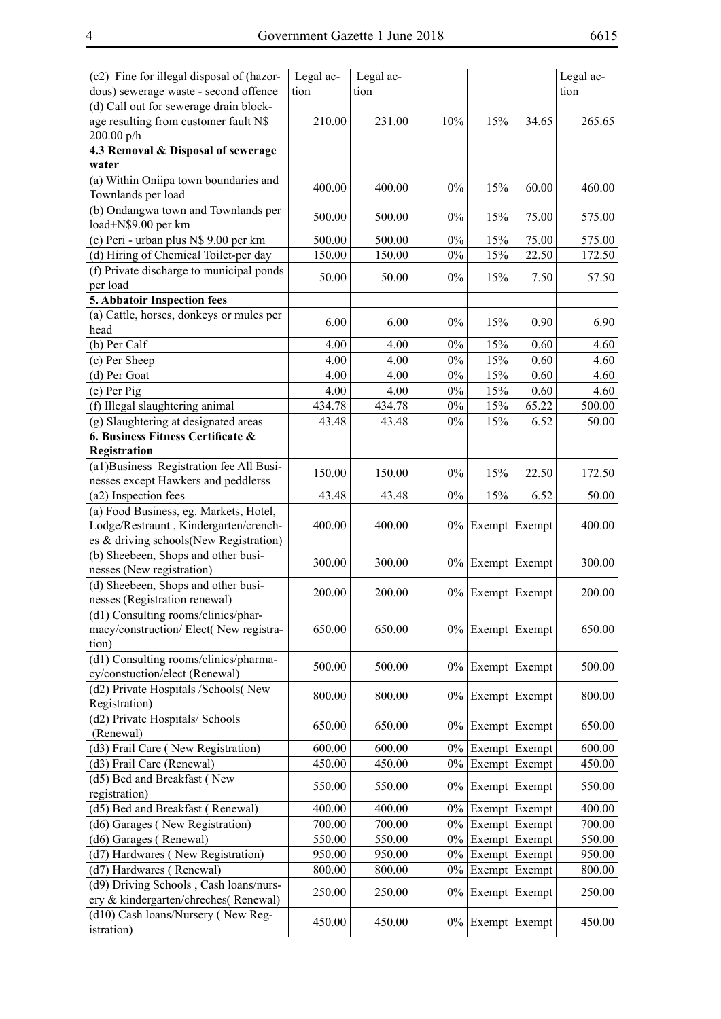| (c2) Fine for illegal disposal of (hazor-                                       | Legal ac- | Legal ac- |       |               |               | Legal ac- |
|---------------------------------------------------------------------------------|-----------|-----------|-------|---------------|---------------|-----------|
| dous) sewerage waste - second offence                                           | tion      | tion      |       |               |               | tion      |
| (d) Call out for sewerage drain block-                                          |           |           |       |               |               |           |
| age resulting from customer fault N\$                                           | 210.00    | 231.00    | 10%   | 15%           | 34.65         | 265.65    |
| 200.00 p/h                                                                      |           |           |       |               |               |           |
| 4.3 Removal & Disposal of sewerage<br>water                                     |           |           |       |               |               |           |
| (a) Within Oniipa town boundaries and<br>Townlands per load                     | 400.00    | 400.00    | $0\%$ | 15%           | 60.00         | 460.00    |
| (b) Ondangwa town and Townlands per<br>load+N\$9.00 per km                      | 500.00    | 500.00    | $0\%$ | 15%           | 75.00         | 575.00    |
| (c) Peri - urban plus N\$ 9.00 per km                                           | 500.00    | 500.00    | $0\%$ | 15%           | 75.00         | 575.00    |
| (d) Hiring of Chemical Toilet-per day                                           | 150.00    | 150.00    | $0\%$ | 15%           | 22.50         | 172.50    |
| (f) Private discharge to municipal ponds                                        |           |           |       |               |               |           |
| per load                                                                        | 50.00     | 50.00     | 0%    | 15%           | 7.50          | 57.50     |
| 5. Abbatoir Inspection fees                                                     |           |           |       |               |               |           |
| (a) Cattle, horses, donkeys or mules per<br>head                                | 6.00      | 6.00      | $0\%$ | 15%           | 0.90          | 6.90      |
| (b) Per Calf                                                                    | 4.00      | 4.00      | $0\%$ | 15%           | 0.60          | 4.60      |
| (c) Per Sheep                                                                   | 4.00      | 4.00      | $0\%$ | 15%           | 0.60          | 4.60      |
| (d) Per Goat                                                                    | 4.00      | 4.00      | $0\%$ | 15%           | 0.60          | 4.60      |
| (e) Per Pig                                                                     | 4.00      | 4.00      | $0\%$ | 15%           | 0.60          | 4.60      |
| (f) Illegal slaughtering animal                                                 | 434.78    | 434.78    | $0\%$ | 15%           | 65.22         | 500.00    |
| (g) Slaughtering at designated areas                                            | 43.48     | 43.48     | $0\%$ | 15%           | 6.52          | 50.00     |
| 6. Business Fitness Certificate &                                               |           |           |       |               |               |           |
| Registration                                                                    |           |           |       |               |               |           |
| (a1) Business Registration fee All Busi-                                        | 150.00    | 150.00    | 0%    | 15%           | 22.50         | 172.50    |
| nesses except Hawkers and peddlerss                                             |           |           |       |               |               |           |
| (a2) Inspection fees                                                            | 43.48     | 43.48     | $0\%$ | 15%           | 6.52          | 50.00     |
| (a) Food Business, eg. Markets, Hotel,                                          |           |           |       |               |               |           |
| Lodge/Restraunt, Kindergarten/crench-<br>es & driving schools(New Registration) | 400.00    | 400.00    | $0\%$ |               | Exempt Exempt | 400.00    |
| (b) Sheebeen, Shops and other busi-                                             |           |           |       |               |               |           |
| nesses (New registration)                                                       | 300.00    | 300.00    | $0\%$ |               | Exempt Exempt | 300.00    |
| (d) Sheebeen, Shops and other busi-                                             |           |           |       |               |               |           |
| nesses (Registration renewal)                                                   | 200.00    | 200.00    | $0\%$ | Exempt        | Exempt        | 200.00    |
| (d1) Consulting rooms/clinics/phar-                                             |           |           |       |               |               |           |
| macy/construction/ Elect( New registra-                                         | 650.00    | 650.00    | $0\%$ | Exempt Exempt |               | 650.00    |
| tion)                                                                           |           |           |       |               |               |           |
| (d1) Consulting rooms/clinics/pharma-<br>cy/constuction/elect (Renewal)         | 500.00    | 500.00    | $0\%$ | Exempt Exempt |               | 500.00    |
| (d2) Private Hospitals /Schools(New<br>Registration)                            | 800.00    | 800.00    | $0\%$ |               | Exempt Exempt | 800.00    |
| (d2) Private Hospitals/ Schools<br>(Renewal)                                    | 650.00    | 650.00    | $0\%$ |               | Exempt Exempt | 650.00    |
| (d3) Frail Care (New Registration)                                              | 600.00    | 600.00    | $0\%$ |               | Exempt Exempt | 600.00    |
| (d3) Frail Care (Renewal)                                                       | 450.00    | 450.00    | $0\%$ |               | Exempt Exempt | 450.00    |
| (d5) Bed and Breakfast (New                                                     |           |           |       |               |               |           |
| registration)                                                                   | 550.00    | 550.00    | $0\%$ |               | Exempt Exempt | 550.00    |
| (d5) Bed and Breakfast (Renewal)                                                | 400.00    | 400.00    | $0\%$ |               | Exempt Exempt | 400.00    |
| (d6) Garages (New Registration)                                                 | 700.00    | 700.00    | $0\%$ |               | Exempt Exempt | 700.00    |
| (d6) Garages (Renewal)                                                          | 550.00    | 550.00    | $0\%$ |               | Exempt Exempt | 550.00    |
| (d7) Hardwares (New Registration)                                               | 950.00    | 950.00    | $0\%$ |               | Exempt Exempt | 950.00    |
| (d7) Hardwares (Renewal)                                                        | 800.00    | 800.00    | $0\%$ | Exempt Exempt |               | 800.00    |
| (d9) Driving Schools, Cash loans/nurs-                                          | 250.00    | 250.00    | $0\%$ |               | Exempt Exempt | 250.00    |
| ery & kindergarten/chreches(Renewal)                                            |           |           |       |               |               |           |
| (d10) Cash loans/Nursery (New Reg-<br>istration)                                | 450.00    | 450.00    | $0\%$ | Exempt Exempt |               | 450.00    |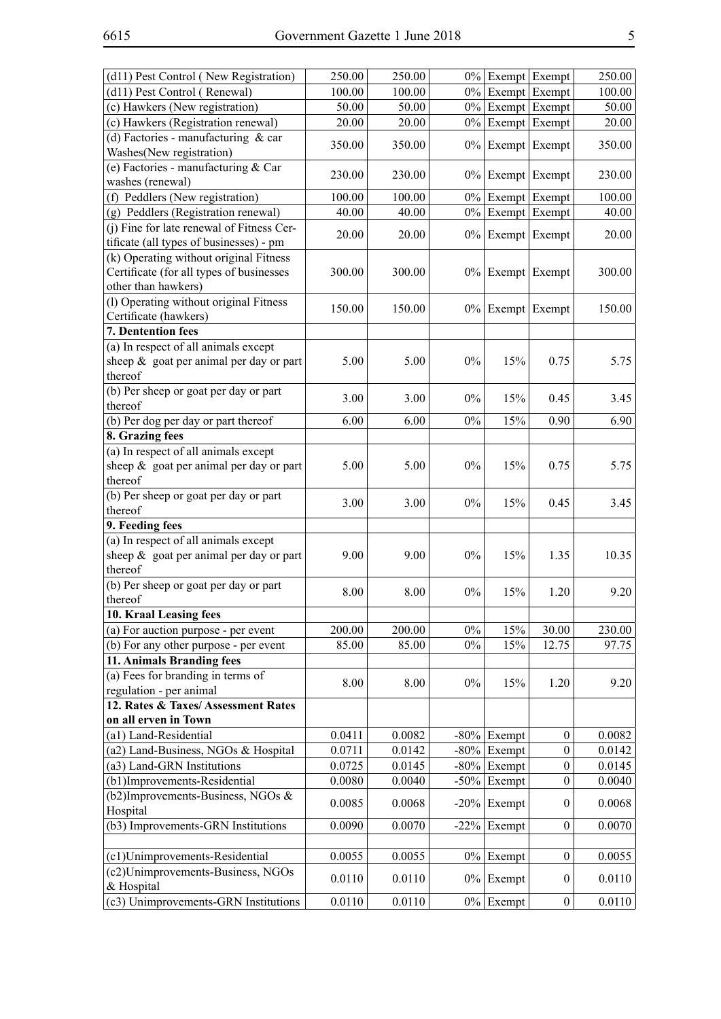| (d11) Pest Control (New Registration)      | 250.00 | 250.00 |         | $0\%$ Exempt Exempt |                  | 250.00 |
|--------------------------------------------|--------|--------|---------|---------------------|------------------|--------|
| (d11) Pest Control (Renewal)               | 100.00 | 100.00 |         | $0\%$ Exempt Exempt |                  | 100.00 |
| (c) Hawkers (New registration)             | 50.00  | 50.00  |         | $0\%$ Exempt Exempt |                  | 50.00  |
| (c) Hawkers (Registration renewal)         | 20.00  | 20.00  | $0\%$   |                     | Exempt Exempt    | 20.00  |
| (d) Factories - manufacturing $&$ car      |        |        |         |                     |                  |        |
| Washes(New registration)                   | 350.00 | 350.00 |         | $0\%$ Exempt Exempt |                  | 350.00 |
| (e) Factories - manufacturing & Car        |        |        |         |                     |                  |        |
| washes (renewal)                           | 230.00 | 230.00 |         | $0\%$ Exempt Exempt |                  | 230.00 |
| (f) Peddlers (New registration)            | 100.00 | 100.00 |         | $0\%$ Exempt Exempt |                  | 100.00 |
| (g) Peddlers (Registration renewal)        | 40.00  | 40.00  | $0\%$   |                     | Exempt Exempt    | 40.00  |
| (j) Fine for late renewal of Fitness Cer-  |        |        |         |                     |                  |        |
| tificate (all types of businesses) - pm    | 20.00  | 20.00  | $0\%$   |                     | Exempt Exempt    | 20.00  |
| (k) Operating without original Fitness     |        |        |         |                     |                  |        |
| Certificate (for all types of businesses   | 300.00 | 300.00 | $0\%$   | Exempt              | Exempt           | 300.00 |
| other than hawkers)                        |        |        |         |                     |                  |        |
| (l) Operating without original Fitness     |        |        |         |                     |                  |        |
| Certificate (hawkers)                      | 150.00 | 150.00 |         | $0\%$ Exempt Exempt |                  | 150.00 |
| 7. Dentention fees                         |        |        |         |                     |                  |        |
| (a) In respect of all animals except       |        |        |         |                     |                  |        |
| sheep $\&$ goat per animal per day or part | 5.00   | 5.00   | $0\%$   | 15%                 | 0.75             | 5.75   |
| thereof                                    |        |        |         |                     |                  |        |
| (b) Per sheep or goat per day or part      |        |        |         |                     |                  |        |
| thereof                                    | 3.00   | 3.00   | $0\%$   | 15%                 | 0.45             | 3.45   |
| (b) Per dog per day or part thereof        | 6.00   | 6.00   | $0\%$   | 15%                 | 0.90             | 6.90   |
| 8. Grazing fees                            |        |        |         |                     |                  |        |
| (a) In respect of all animals except       |        |        |         |                     |                  |        |
| sheep $\&$ goat per animal per day or part | 5.00   | 5.00   | $0\%$   | 15%                 | 0.75             | 5.75   |
| thereof                                    |        |        |         |                     |                  |        |
| (b) Per sheep or goat per day or part      |        |        |         |                     |                  |        |
| thereof                                    | 3.00   | 3.00   | $0\%$   | 15%                 | 0.45             | 3.45   |
| 9. Feeding fees                            |        |        |         |                     |                  |        |
| (a) In respect of all animals except       |        |        |         |                     |                  |        |
| sheep $\&$ goat per animal per day or part | 9.00   | 9.00   | $0\%$   | 15%                 | 1.35             | 10.35  |
| thereof                                    |        |        |         |                     |                  |        |
| (b) Per sheep or goat per day or part      | 8.00   | 8.00   | $0\%$   | 15%                 | 1.20             | 9.20   |
| thereof                                    |        |        |         |                     |                  |        |
| 10. Kraal Leasing fees                     |        |        |         |                     |                  |        |
| (a) For auction purpose - per event        | 200.00 | 200.00 | $0\%$   | 15%                 | 30.00            | 230.00 |
| (b) For any other purpose - per event      | 85.00  | 85.00  | $0\%$   | 15%                 | 12.75            | 97.75  |
| 11. Animals Branding fees                  |        |        |         |                     |                  |        |
| (a) Fees for branding in terms of          | 8.00   | 8.00   | $0\%$   | 15%                 | 1.20             | 9.20   |
| regulation - per animal                    |        |        |         |                     |                  |        |
| 12. Rates & Taxes/Assessment Rates         |        |        |         |                     |                  |        |
| on all erven in Town                       |        |        |         |                     |                  |        |
| (a1) Land-Residential                      | 0.0411 | 0.0082 |         | $-80\%$ Exempt      | $\boldsymbol{0}$ | 0.0082 |
| (a2) Land-Business, NGOs & Hospital        | 0.0711 | 0.0142 | $-80%$  | Exempt              | $\boldsymbol{0}$ | 0.0142 |
| (a3) Land-GRN Institutions                 | 0.0725 | 0.0145 | $-80%$  | Exempt              | $\boldsymbol{0}$ | 0.0145 |
| (b1)Improvements-Residential               | 0.0080 | 0.0040 | $-50%$  | Exempt              | $\mathbf{0}$     | 0.0040 |
| (b2)Improvements-Business, NGOs &          | 0.0085 | 0.0068 | $-20\%$ | Exempt              | $\boldsymbol{0}$ | 0.0068 |
| Hospital                                   |        |        |         |                     |                  |        |
| (b3) Improvements-GRN Institutions         | 0.0090 | 0.0070 | $-22%$  | Exempt              | $\mathbf{0}$     | 0.0070 |
|                                            |        |        |         |                     |                  |        |
| (c1)Unimprovements-Residential             | 0.0055 | 0.0055 | $0\%$   | Exempt              | $\mathbf{0}$     | 0.0055 |
| (c2)Unimprovements-Business, NGOs          | 0.0110 | 0.0110 |         | $0\%$ Exempt        | $\overline{0}$   | 0.0110 |
| & Hospital                                 |        |        |         |                     |                  |        |
| (c3) Unimprovements-GRN Institutions       | 0.0110 | 0.0110 |         | $0\%$ Exempt        | $\boldsymbol{0}$ | 0.0110 |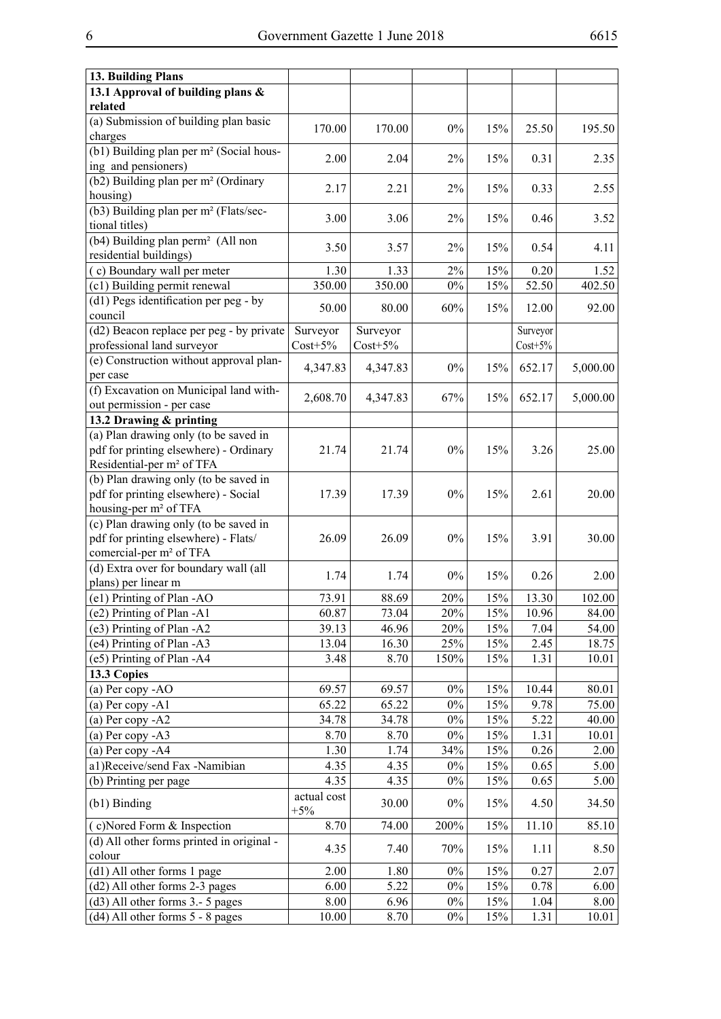| 13. Building Plans                                                              |                      |            |                  |     |            |          |
|---------------------------------------------------------------------------------|----------------------|------------|------------------|-----|------------|----------|
| 13.1 Approval of building plans &                                               |                      |            |                  |     |            |          |
| related                                                                         |                      |            |                  |     |            |          |
| (a) Submission of building plan basic<br>charges                                | 170.00               | 170.00     | $0\%$            | 15% | 25.50      | 195.50   |
| (b1) Building plan per m <sup>2</sup> (Social hous-                             | 2.00                 | 2.04       | 2%               | 15% | 0.31       | 2.35     |
| ing and pensioners)                                                             |                      |            |                  |     |            |          |
| (b2) Building plan per m <sup>2</sup> (Ordinary<br>housing)                     | 2.17                 | 2.21       | 2%               | 15% | 0.33       | 2.55     |
| (b3) Building plan per m <sup>2</sup> (Flats/sec-                               | 3.00                 | 3.06       | 2%               | 15% | 0.46       | 3.52     |
| tional titles)<br>(b4) Building plan perm <sup>2</sup> (All non                 | 3.50                 | 3.57       | $2\%$            | 15% | 0.54       | 4.11     |
| residential buildings)                                                          |                      |            |                  |     |            |          |
| (c) Boundary wall per meter                                                     | 1.30                 | 1.33       | 2%               | 15% | 0.20       | 1.52     |
| (c1) Building permit renewal                                                    | 350.00               | 350.00     | $0\%$            | 15% | 52.50      | 402.50   |
| (d1) Pegs identification per peg - by<br>council                                | 50.00                | 80.00      | 60%              | 15% | 12.00      | 92.00    |
| (d2) Beacon replace per peg - by private                                        | Surveyor             | Surveyor   |                  |     | Surveyor   |          |
| professional land surveyor                                                      | $Cost+5\%$           | $Cost+5\%$ |                  |     | $Cost+5\%$ |          |
| (e) Construction without approval plan-<br>per case                             | 4,347.83             | 4,347.83   | $0\%$            | 15% | 652.17     | 5,000.00 |
| (f) Excavation on Municipal land with-                                          | 2,608.70             | 4,347.83   | 67%              | 15% | 652.17     | 5,000.00 |
| out permission - per case                                                       |                      |            |                  |     |            |          |
| 13.2 Drawing & printing                                                         |                      |            |                  |     |            |          |
| (a) Plan drawing only (to be saved in                                           |                      |            |                  |     |            |          |
| pdf for printing elsewhere) - Ordinary<br>Residential-per m <sup>2</sup> of TFA | 21.74                | 21.74      | $0\%$            | 15% | 3.26       | 25.00    |
| (b) Plan drawing only (to be saved in                                           |                      |            |                  |     |            |          |
| pdf for printing elsewhere) - Social                                            | 17.39                | 17.39      | $0\%$            | 15% | 2.61       | 20.00    |
| housing-per m <sup>2</sup> of TFA                                               |                      |            |                  |     |            |          |
| (c) Plan drawing only (to be saved in                                           |                      |            |                  |     |            |          |
| pdf for printing elsewhere) - Flats/                                            | 26.09                | 26.09      | $0\%$            | 15% | 3.91       | 30.00    |
| comercial-per m <sup>2</sup> of TFA                                             |                      |            |                  |     |            |          |
| (d) Extra over for boundary wall (all                                           | 1.74                 | 1.74       | $0\%$            | 15% | 0.26       | 2.00     |
| plans) per linear m                                                             |                      |            |                  |     |            |          |
| (e1) Printing of Plan -AO                                                       | 73.91                | 88.69      | 20%              | 15% | 13.30      | 102.00   |
| $\overline{(e2)}$ Printing of Plan -A1                                          | 60.87                | 73.04      | $\frac{1}{20\%}$ | 15% | 10.96      | 84.00    |
| (e3) Printing of Plan -A2                                                       | 39.13                | 46.96      | 20%              | 15% | 7.04       | 54.00    |
| (e4) Printing of Plan -A3                                                       | 13.04                | 16.30      | 25%              | 15% | 2.45       | 18.75    |
| (e5) Printing of Plan -A4                                                       | 3.48                 | 8.70       | 150%             | 15% | 1.31       | 10.01    |
| 13.3 Copies                                                                     |                      |            |                  |     |            |          |
| (a) Per copy - AO                                                               | 69.57                | 69.57      | $0\%$            | 15% | 10.44      | 80.01    |
| (a) Per copy $-A1$                                                              | 65.22                | 65.22      | $0\%$            | 15% | 9.78       | 75.00    |
| (a) Per copy $-A2$                                                              | 34.78                | 34.78      | $0\%$            | 15% | 5.22       | 40.00    |
| (a) Per copy $-A3$                                                              | 8.70                 | 8.70       | $0\%$            | 15% | 1.31       | 10.01    |
| (a) Per copy -A4                                                                | 1.30                 | 1.74       | 34%              | 15% | 0.26       | 2.00     |
| a1)Receive/send Fax -Namibian                                                   | 4.35                 | 4.35       | $0\%$            | 15% | 0.65       | 5.00     |
| (b) Printing per page                                                           | 4.35                 | 4.35       | $0\%$            | 15% | 0.65       | 5.00     |
| $(b1)$ Binding                                                                  | actual cost<br>$+5%$ | 30.00      | $0\%$            | 15% | 4.50       | 34.50    |
| (c)Nored Form & Inspection                                                      | 8.70                 | 74.00      | 200%             | 15% | 11.10      | 85.10    |
| (d) All other forms printed in original -                                       |                      |            |                  |     |            |          |
| colour                                                                          | 4.35                 | 7.40       | 70%              | 15% | 1.11       | 8.50     |
| (d1) All other forms 1 page                                                     | 2.00                 | 1.80       | $0\%$            | 15% | 0.27       | 2.07     |
| (d2) All other forms 2-3 pages                                                  | 6.00                 | 5.22       | $0\%$            | 15% | 0.78       | 6.00     |
| $(d3)$ All other forms 3.- 5 pages                                              | 8.00                 | 6.96       | $0\%$            | 15% | 1.04       | 8.00     |
| $(d4)$ All other forms $5 - 8$ pages                                            | 10.00                | 8.70       | $0\%$            | 15% | 1.31       | 10.01    |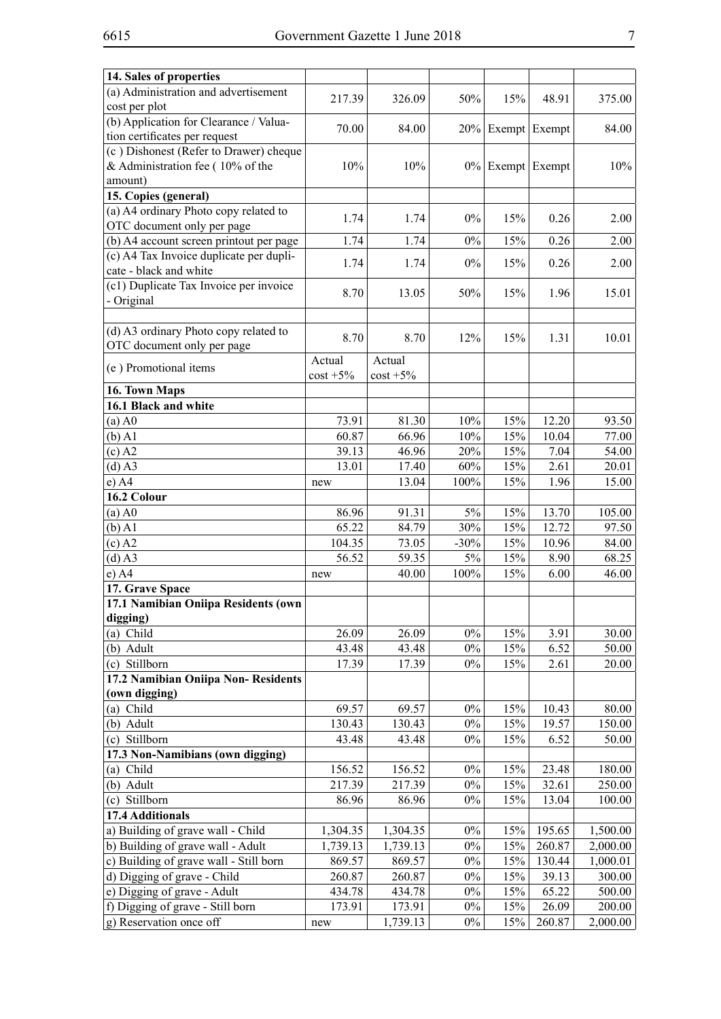| 14. Sales of properties                 |                |                |        |                     |        |          |
|-----------------------------------------|----------------|----------------|--------|---------------------|--------|----------|
| (a) Administration and advertisement    |                |                |        |                     |        |          |
| cost per plot                           | 217.39         | 326.09         | 50%    | 15%                 | 48.91  | 375.00   |
| (b) Application for Clearance / Valua-  |                |                |        |                     |        |          |
| tion certificates per request           | 70.00          | 84.00          |        | $20\%$ Exempt       | Exempt | 84.00    |
| (c) Dishonest (Refer to Drawer) cheque  |                |                |        |                     |        |          |
| & Administration fee ( $10\%$ of the    | 10%            | 10%            |        | $0\%$ Exempt Exempt |        | 10%      |
| amount)                                 |                |                |        |                     |        |          |
| 15. Copies (general)                    |                |                |        |                     |        |          |
| (a) A4 ordinary Photo copy related to   |                |                |        |                     |        |          |
| OTC document only per page              | 1.74           | 1.74           | $0\%$  | 15%                 | 0.26   | 2.00     |
| (b) A4 account screen printout per page | 1.74           | 1.74           | $0\%$  | 15%                 | 0.26   | 2.00     |
| (c) A4 Tax Invoice duplicate per dupli- |                |                |        |                     |        |          |
| cate - black and white                  | 1.74           | 1.74           | $0\%$  | 15%                 | 0.26   | 2.00     |
| (c1) Duplicate Tax Invoice per invoice  |                |                |        |                     |        |          |
| - Original                              | 8.70           | 13.05          | 50%    | 15%                 | 1.96   | 15.01    |
|                                         |                |                |        |                     |        |          |
| (d) A3 ordinary Photo copy related to   |                |                |        |                     |        |          |
| OTC document only per page              | 8.70           | 8.70           | 12%    | 15%                 | 1.31   | 10.01    |
|                                         | Actual         | Actual         |        |                     |        |          |
| (e) Promotional items                   | $\cos t + 5\%$ | $\cos t + 5\%$ |        |                     |        |          |
| 16. Town Maps                           |                |                |        |                     |        |          |
| 16.1 Black and white                    |                |                |        |                     |        |          |
| $(a)$ A0                                | 73.91          | 81.30          | 10%    | 15%                 | 12.20  | 93.50    |
| $(b)$ Al                                | 60.87          | 66.96          | 10%    | 15%                 | 10.04  | 77.00    |
| $(c)$ A2                                | 39.13          | 46.96          | 20%    | 15%                 | 7.04   | 54.00    |
|                                         |                |                | 60%    |                     |        |          |
| $(d)$ A3                                | 13.01          | 17.40          |        | 15%                 | 2.61   | 20.01    |
| $e)$ A4<br>16.2 Colour                  | new            | 13.04          | 100%   | 15%                 | 1.96   | 15.00    |
|                                         |                |                |        |                     |        |          |
| $(a)$ A $0$                             | 86.96          | 91.31          | 5%     | 15%                 | 13.70  | 105.00   |
| $(b)$ A1                                | 65.22          | 84.79          | 30%    | 15%                 | 12.72  | 97.50    |
| $(c)$ A2                                | 104.35         | 73.05          | $-30%$ | 15%                 | 10.96  | 84.00    |
| $(d)$ A3                                | 56.52          | 59.35          | $5\%$  | 15%                 | 8.90   | 68.25    |
| $e)$ A4                                 | new            | 40.00          | 100%   | 15%                 | 6.00   | 46.00    |
| 17. Grave Space                         |                |                |        |                     |        |          |
| 17.1 Namibian Oniipa Residents (own     |                |                |        |                     |        |          |
| digging)                                |                |                |        |                     |        |          |
| (a) Child                               | 26.09          | 26.09          | $0\%$  | 15%                 | 3.91   | 30.00    |
| (b) Adult                               | 43.48          | 43.48          | $0\%$  | 15%                 | 6.52   | 50.00    |
| (c) Stillborn                           | 17.39          | 17.39          | $0\%$  | 15%                 | 2.61   | 20.00    |
| 17.2 Namibian Oniipa Non-Residents      |                |                |        |                     |        |          |
| (own digging)                           |                |                |        |                     |        |          |
| (a) Child                               | 69.57          | 69.57          | $0\%$  | 15%                 | 10.43  | 80.00    |
| (b) Adult                               | 130.43         | 130.43         | $0\%$  | 15%                 | 19.57  | 150.00   |
| (c) Stillborn                           | 43.48          | 43.48          | $0\%$  | 15%                 | 6.52   | 50.00    |
| 17.3 Non-Namibians (own digging)        |                |                |        |                     |        |          |
| (a) Child                               | 156.52         | 156.52         | $0\%$  | 15%                 | 23.48  | 180.00   |
| (b) Adult                               | 217.39         | 217.39         | $0\%$  | 15%                 | 32.61  | 250.00   |
| (c) Stillborn                           | 86.96          | 86.96          | $0\%$  | 15%                 | 13.04  | 100.00   |
| 17.4 Additionals                        |                |                |        |                     |        |          |
| a) Building of grave wall - Child       | 1,304.35       | 1,304.35       | $0\%$  | 15%                 | 195.65 | 1,500.00 |
| b) Building of grave wall - Adult       | 1,739.13       | 1,739.13       | $0\%$  | 15%                 | 260.87 | 2,000.00 |
| c) Building of grave wall - Still born  | 869.57         | 869.57         | $0\%$  | 15%                 | 130.44 | 1,000.01 |
| d) Digging of grave - Child             | 260.87         | 260.87         | $0\%$  | 15%                 | 39.13  | 300.00   |
| e) Digging of grave - Adult             | 434.78         | 434.78         | $0\%$  | 15%                 | 65.22  | 500.00   |
| f) Digging of grave - Still born        | 173.91         | 173.91         | $0\%$  | 15%                 | 26.09  | 200.00   |
| g) Reservation once off                 | new            | 1,739.13       | $0\%$  | 15%                 | 260.87 | 2,000.00 |
|                                         |                |                |        |                     |        |          |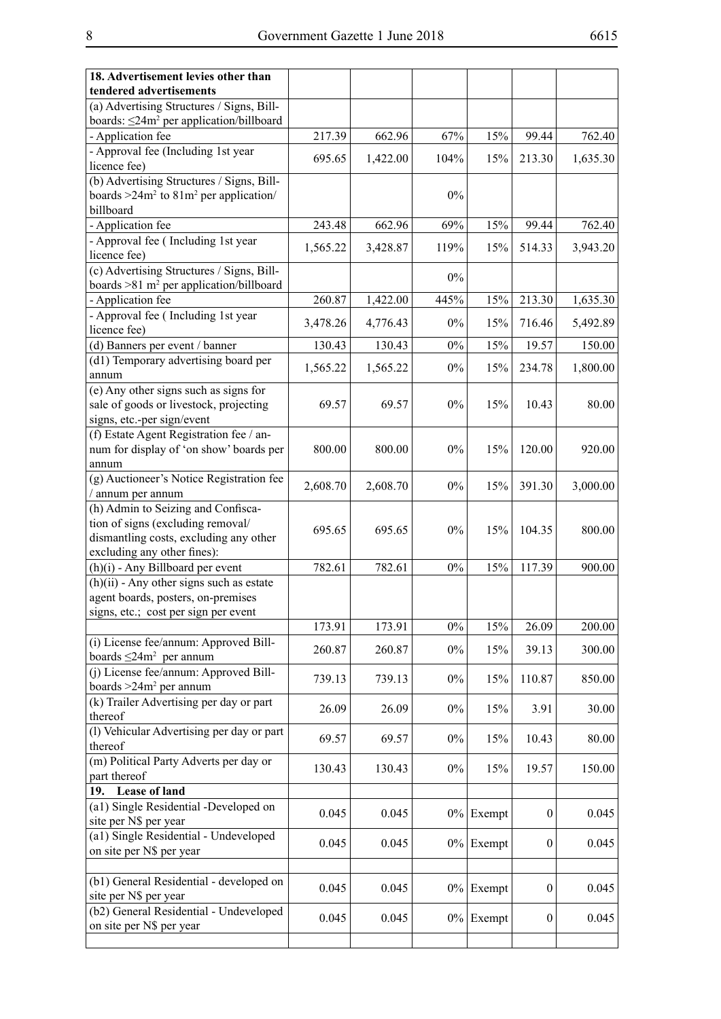| 18. Advertisement levies other than                       |          |          |       |              |                  |          |
|-----------------------------------------------------------|----------|----------|-------|--------------|------------------|----------|
| tendered advertisements                                   |          |          |       |              |                  |          |
| (a) Advertising Structures / Signs, Bill-                 |          |          |       |              |                  |          |
| boards: $\leq$ 24m <sup>2</sup> per application/billboard |          |          |       |              |                  |          |
| - Application fee                                         | 217.39   | 662.96   | 67%   | 15%          | 99.44            | 762.40   |
| - Approval fee (Including 1st year                        |          |          |       |              |                  |          |
| licence fee)                                              | 695.65   | 1,422.00 | 104%  | 15%          | 213.30           | 1,635.30 |
| (b) Advertising Structures / Signs, Bill-                 |          |          |       |              |                  |          |
| boards $>24m^2$ to $81m^2$ per application/               |          |          | $0\%$ |              |                  |          |
| billboard                                                 |          |          |       |              |                  |          |
| - Application fee                                         | 243.48   | 662.96   | 69%   | 15%          | 99.44            | 762.40   |
| - Approval fee (Including 1st year                        |          |          |       |              |                  |          |
| licence fee)                                              | 1,565.22 | 3,428.87 | 119%  | 15%          | 514.33           | 3,943.20 |
| (c) Advertising Structures / Signs, Bill-                 |          |          |       |              |                  |          |
| boards $>81$ m <sup>2</sup> per application/billboard     |          |          | $0\%$ |              |                  |          |
| - Application fee                                         | 260.87   | 1,422.00 | 445%  | 15%          | 213.30           | 1,635.30 |
| - Approval fee (Including 1st year                        |          |          |       |              |                  |          |
| licence fee)                                              | 3,478.26 | 4,776.43 | $0\%$ | 15%          | 716.46           | 5,492.89 |
| (d) Banners per event / banner                            | 130.43   | 130.43   | $0\%$ | 15%          | 19.57            | 150.00   |
| (d1) Temporary advertising board per                      |          |          |       |              |                  |          |
| annum                                                     | 1,565.22 | 1,565.22 | $0\%$ | 15%          | 234.78           | 1,800.00 |
| (e) Any other signs such as signs for                     |          |          |       |              |                  |          |
| sale of goods or livestock, projecting                    | 69.57    | 69.57    | $0\%$ | 15%          | 10.43            | 80.00    |
| signs, etc.-per sign/event                                |          |          |       |              |                  |          |
| (f) Estate Agent Registration fee / an-                   |          |          |       |              |                  |          |
| num for display of 'on show' boards per                   | 800.00   | 800.00   | $0\%$ | 15%          | 120.00           | 920.00   |
| annum                                                     |          |          |       |              |                  |          |
| (g) Auctioneer's Notice Registration fee                  |          |          |       |              |                  |          |
| / annum per annum                                         | 2,608.70 | 2,608.70 | $0\%$ | 15%          | 391.30           | 3,000.00 |
| (h) Admin to Seizing and Confisca-                        |          |          |       |              |                  |          |
| tion of signs (excluding removal/                         |          |          |       |              |                  |          |
| dismantling costs, excluding any other                    | 695.65   | 695.65   | $0\%$ | 15%          | 104.35           | 800.00   |
| excluding any other fines):                               |          |          |       |              |                  |          |
| (h)(i) - Any Billboard per event                          | 782.61   | 782.61   | $0\%$ | 15%          | 117.39           | 900.00   |
| $(h)(ii)$ - Any other signs such as estate                |          |          |       |              |                  |          |
| agent boards, posters, on-premises                        |          |          |       |              |                  |          |
| signs, etc.; cost per sign per event                      |          |          |       |              |                  |          |
|                                                           | 173.91   | 173.91   | $0\%$ | 15%          | 26.09            | 200.00   |
| (i) License fee/annum: Approved Bill-                     |          |          |       |              |                  |          |
| boards $\leq$ 24m <sup>2</sup> per annum                  | 260.87   | 260.87   | $0\%$ | 15%          | 39.13            | 300.00   |
| (j) License fee/annum: Approved Bill-                     |          |          |       |              |                  |          |
| boards $>24m^2$ per annum                                 | 739.13   | 739.13   | $0\%$ | 15%          | 110.87           | 850.00   |
| (k) Trailer Advertising per day or part                   |          |          |       |              |                  |          |
| thereof                                                   | 26.09    | 26.09    | $0\%$ | 15%          | 3.91             | 30.00    |
| (l) Vehicular Advertising per day or part                 |          |          |       |              |                  |          |
| thereof                                                   | 69.57    | 69.57    | $0\%$ | 15%          | 10.43            | 80.00    |
| (m) Political Party Adverts per day or                    |          |          |       |              |                  |          |
| part thereof                                              | 130.43   | 130.43   | $0\%$ | 15%          | 19.57            | 150.00   |
| <b>Lease of land</b><br>19.                               |          |          |       |              |                  |          |
| (a1) Single Residential -Developed on                     |          |          |       |              |                  |          |
| site per N\$ per year                                     | 0.045    | 0.045    |       | $0\%$ Exempt | $\boldsymbol{0}$ | 0.045    |
| (a1) Single Residential - Undeveloped                     |          |          |       |              |                  |          |
| on site per N\$ per year                                  | 0.045    | 0.045    |       | $0\%$ Exempt | $\boldsymbol{0}$ | 0.045    |
|                                                           |          |          |       |              |                  |          |
| (b1) General Residential - developed on                   |          |          |       |              |                  |          |
| site per N\$ per year                                     | 0.045    | 0.045    |       | $0\%$ Exempt | $\boldsymbol{0}$ | 0.045    |
| (b2) General Residential - Undeveloped                    |          |          |       |              |                  |          |
| on site per N\$ per year                                  | 0.045    | 0.045    |       | $0\%$ Exempt | $\boldsymbol{0}$ | 0.045    |
|                                                           |          |          |       |              |                  |          |
|                                                           |          |          |       |              |                  |          |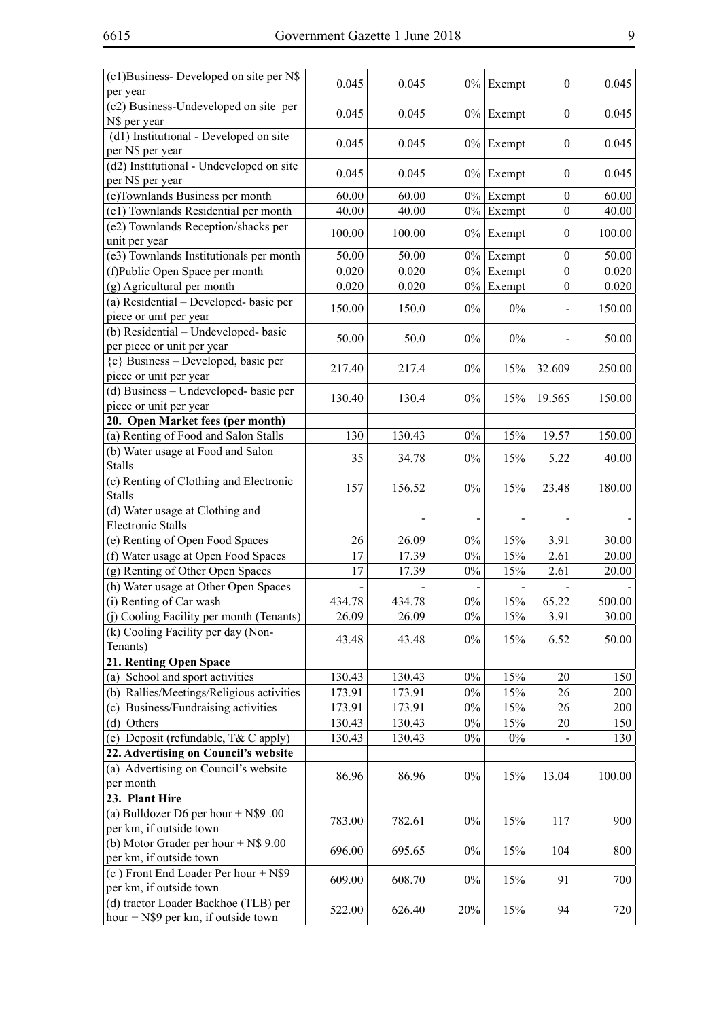| (c1)Business-Developed on site per N\$              | 0.045  | 0.045  |       | $0\%$ Exempt | $\theta$         | 0.045  |
|-----------------------------------------------------|--------|--------|-------|--------------|------------------|--------|
| per year                                            |        |        |       |              |                  |        |
| (c2) Business-Undeveloped on site per               | 0.045  | 0.045  |       | $0\%$ Exempt | $\boldsymbol{0}$ | 0.045  |
| N\$ per year                                        |        |        |       |              |                  |        |
| $\overline{(d1)}$ Institutional - Developed on site | 0.045  | 0.045  |       | $0\%$ Exempt | $\boldsymbol{0}$ | 0.045  |
| per N\$ per year                                    |        |        |       |              |                  |        |
| (d2) Institutional - Undeveloped on site            | 0.045  | 0.045  |       | $0\%$ Exempt | $\boldsymbol{0}$ | 0.045  |
| per N\$ per year                                    |        |        |       |              |                  |        |
| (e)Townlands Business per month                     | 60.00  | 60.00  |       | $0\%$ Exempt | $\boldsymbol{0}$ | 60.00  |
| (e1) Townlands Residential per month                | 40.00  | 40.00  | $0\%$ | Exempt       | $\boldsymbol{0}$ | 40.00  |
| (e2) Townlands Reception/shacks per                 | 100.00 | 100.00 |       | $0\%$ Exempt | $\boldsymbol{0}$ | 100.00 |
| unit per year                                       |        |        |       |              |                  |        |
| (e3) Townlands Institutionals per month             | 50.00  | 50.00  |       | $0\%$ Exempt | $\boldsymbol{0}$ | 50.00  |
| (f)Public Open Space per month                      | 0.020  | 0.020  | $0\%$ | Exempt       | $\mathbf{0}$     | 0.020  |
| (g) Agricultural per month                          | 0.020  | 0.020  | $0\%$ | Exempt       | $\boldsymbol{0}$ | 0.020  |
| (a) Residential – Developed- basic per              | 150.00 | 150.0  | $0\%$ | $0\%$        |                  | 150.00 |
| piece or unit per year                              |        |        |       |              |                  |        |
| (b) Residential - Undeveloped- basic                | 50.00  | 50.0   | $0\%$ | $0\%$        |                  | 50.00  |
| per piece or unit per year                          |        |        |       |              |                  |        |
| ${c}$ Business – Developed, basic per               | 217.40 | 217.4  | $0\%$ | 15%          | 32.609           | 250.00 |
| piece or unit per year                              |        |        |       |              |                  |        |
| (d) Business - Undeveloped- basic per               | 130.40 | 130.4  | $0\%$ | 15%          | 19.565           | 150.00 |
| piece or unit per year                              |        |        |       |              |                  |        |
| 20. Open Market fees (per month)                    |        |        |       |              |                  |        |
| (a) Renting of Food and Salon Stalls                | 130    | 130.43 | $0\%$ | 15%          | 19.57            | 150.00 |
| (b) Water usage at Food and Salon                   |        |        |       |              |                  |        |
| <b>Stalls</b>                                       | 35     | 34.78  | $0\%$ | 15%          | 5.22             | 40.00  |
| (c) Renting of Clothing and Electronic              |        |        | $0\%$ |              |                  |        |
| <b>Stalls</b>                                       | 157    | 156.52 |       | 15%          | 23.48            | 180.00 |
| (d) Water usage at Clothing and                     |        |        |       |              |                  |        |
| <b>Electronic Stalls</b>                            |        |        |       |              |                  |        |
| (e) Renting of Open Food Spaces                     | 26     | 26.09  | $0\%$ | 15%          | 3.91             | 30.00  |
| (f) Water usage at Open Food Spaces                 | 17     | 17.39  | $0\%$ | 15%          | 2.61             | 20.00  |
| (g) Renting of Other Open Spaces                    | 17     | 17.39  | $0\%$ | 15%          | 2.61             | 20.00  |
| (h) Water usage at Other Open Spaces                |        |        |       |              |                  |        |
| (i) Renting of Car wash                             | 434.78 | 434.78 | $0\%$ | 15%          | 65.22            | 500.00 |
| (j) Cooling Facility per month (Tenants)            | 26.09  | 26.09  | $0\%$ | 15%          | 3.91             | 30.00  |
| (k) Cooling Facility per day (Non-                  |        |        |       |              |                  |        |
| Tenants)                                            | 43.48  | 43.48  | $0\%$ | 15%          | 6.52             | 50.00  |
| 21. Renting Open Space                              |        |        |       |              |                  |        |
| (a) School and sport activities                     | 130.43 | 130.43 | $0\%$ | 15%          | 20               | 150    |
| (b) Rallies/Meetings/Religious activities           | 173.91 | 173.91 | $0\%$ | 15%          | 26               | 200    |
| Business/Fundraising activities<br>(c)              | 173.91 | 173.91 | $0\%$ | 15%          | 26               | 200    |
| (d) Others                                          | 130.43 | 130.43 | $0\%$ | 15%          | 20               | 150    |
| (e) Deposit (refundable, T& C apply)                | 130.43 | 130.43 | $0\%$ | $0\%$        |                  | 130    |
| 22. Advertising on Council's website                |        |        |       |              |                  |        |
| (a) Advertising on Council's website                |        |        |       |              |                  |        |
| per month                                           | 86.96  | 86.96  | $0\%$ | 15%          | 13.04            | 100.00 |
| 23. Plant Hire                                      |        |        |       |              |                  |        |
| (a) Bulldozer D6 per hour $+$ N\$9 .00              |        |        |       |              |                  |        |
| per km, if outside town                             | 783.00 | 782.61 | $0\%$ | 15%          | 117              | 900    |
| (b) Motor Grader per hour $+$ N\$ 9.00              |        |        |       |              |                  |        |
| per km, if outside town                             | 696.00 | 695.65 | $0\%$ | 15%          | 104              | 800    |
| (c) Front End Loader Per hour + N\$9                |        |        |       |              |                  |        |
| per km, if outside town                             | 609.00 | 608.70 | $0\%$ | 15%          | 91               | 700    |
| (d) tractor Loader Backhoe (TLB) per                |        |        |       |              |                  |        |
| hour $+$ N\$9 per km, if outside town               | 522.00 | 626.40 | 20%   | 15%          | 94               | 720    |
|                                                     |        |        |       |              |                  |        |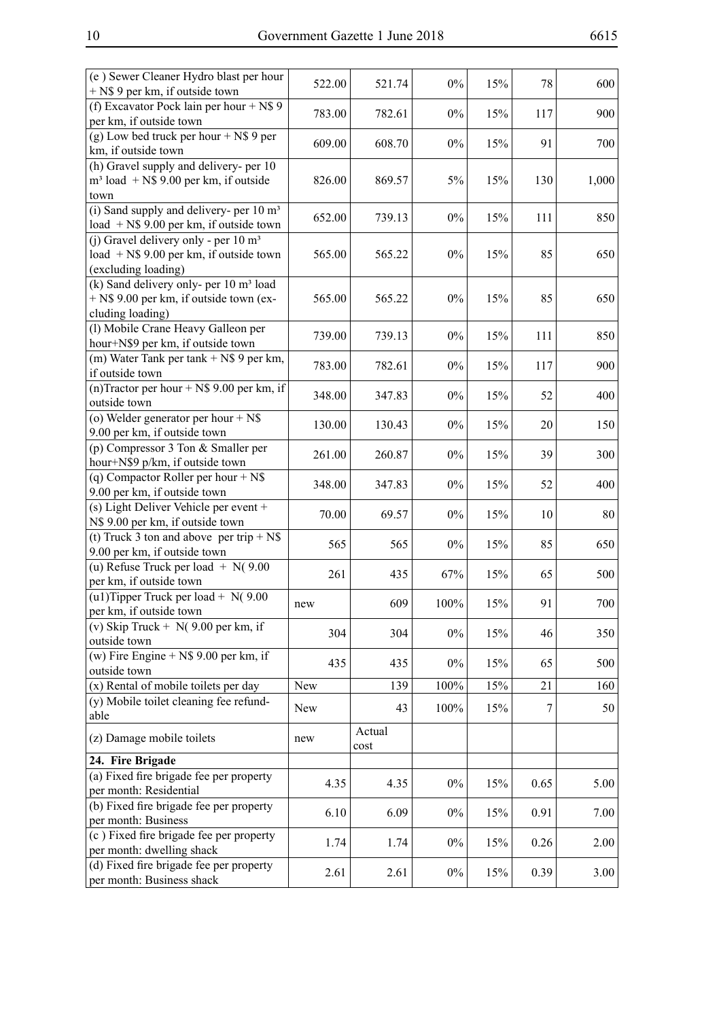| (e) Sewer Cleaner Hydro blast per hour<br>+ N\$ 9 per km, if outside town                                           | 522.00 | 521.74         | $0\%$   | 15% | 78   | 600   |
|---------------------------------------------------------------------------------------------------------------------|--------|----------------|---------|-----|------|-------|
| (f) Excavator Pock lain per hour + $N\$ 9<br>per km, if outside town                                                | 783.00 | 782.61         | $0\%$   | 15% | 117  | 900   |
| (g) Low bed truck per hour $+$ N\$ 9 per<br>km, if outside town                                                     | 609.00 | 608.70         | $0\%$   | 15% | 91   | 700   |
| (h) Gravel supply and delivery- per 10<br>$m3$ load + N\$ 9.00 per km, if outside<br>town                           | 826.00 | 869.57         | 5%      | 15% | 130  | 1,000 |
| (i) Sand supply and delivery- per $10 \text{ m}^3$<br>load $+$ N\$ 9.00 per km, if outside town                     | 652.00 | 739.13         | $0\%$   | 15% | 111  | 850   |
| (j) Gravel delivery only - per $10 \text{ m}^3$<br>load $+$ N\$ 9.00 per km, if outside town<br>(excluding loading) | 565.00 | 565.22         | $0\%$   | 15% | 85   | 650   |
| (k) Sand delivery only- per 10 m <sup>3</sup> load<br>+ N\$ 9.00 per km, if outside town (ex-<br>cluding loading)   | 565.00 | 565.22         | $0\%$   | 15% | 85   | 650   |
| (l) Mobile Crane Heavy Galleon per<br>hour+N\$9 per km, if outside town                                             | 739.00 | 739.13         | $0\%$   | 15% | 111  | 850   |
| (m) Water Tank per tank $+$ N\$ 9 per km,<br>if outside town                                                        | 783.00 | 782.61         | $0\%$   | 15% | 117  | 900   |
| (n)Tractor per hour $+$ N\$ 9.00 per km, if<br>outside town                                                         | 348.00 | 347.83         | $0\%$   | 15% | 52   | 400   |
| (o) Welder generator per hour $+$ N\$<br>9.00 per km, if outside town                                               | 130.00 | 130.43         | $0\%$   | 15% | 20   | 150   |
| (p) Compressor $3$ Ton $\&$ Smaller per<br>hour+N\$9 p/km, if outside town                                          | 261.00 | 260.87         | $0\%$   | 15% | 39   | 300   |
| (q) Compactor Roller per hour $+$ N\$<br>9.00 per km, if outside town                                               | 348.00 | 347.83         | $0\%$   | 15% | 52   | 400   |
| (s) Light Deliver Vehicle per event +<br>N\$ 9.00 per km, if outside town                                           | 70.00  | 69.57          | $0\%$   | 15% | 10   | 80    |
| (t) Truck 3 ton and above per trip + $N\$<br>9.00 per km, if outside town                                           | 565    | 565            | $0\%$   | 15% | 85   | 650   |
| (u) Refuse Truck per load $+ N(9.00)$<br>per km, if outside town                                                    | 261    | 435            | 67%     | 15% | 65   | 500   |
| (u1) Tipper Truck per load + $N(9.00)$<br>per km, if outside town                                                   | new    | 609            | 100%    | 15% | 91   | 700   |
| (v) Skip Truck + $N(9.00$ per km, if<br>outside town                                                                | 304    | 304            | $0\%$   | 15% | 46   | 350   |
| (w) Fire Engine $+$ N\$ 9.00 per km, if<br>outside town                                                             | 435    | 435            | $0\%$   | 15% | 65   | 500   |
| (x) Rental of mobile toilets per day                                                                                | New    | 139            | $100\%$ | 15% | 21   | 160   |
| (y) Mobile toilet cleaning fee refund-<br>able                                                                      | New    | 43             | 100%    | 15% | 7    | 50    |
| (z) Damage mobile toilets                                                                                           | new    | Actual<br>cost |         |     |      |       |
| 24. Fire Brigade                                                                                                    |        |                |         |     |      |       |
| (a) Fixed fire brigade fee per property<br>per month: Residential                                                   | 4.35   | 4.35           | $0\%$   | 15% | 0.65 | 5.00  |
| (b) Fixed fire brigade fee per property<br>per month: Business                                                      | 6.10   | 6.09           | $0\%$   | 15% | 0.91 | 7.00  |
| (c) Fixed fire brigade fee per property<br>per month: dwelling shack                                                | 1.74   | 1.74           | $0\%$   | 15% | 0.26 | 2.00  |
| (d) Fixed fire brigade fee per property<br>per month: Business shack                                                | 2.61   | 2.61           | $0\%$   | 15% | 0.39 | 3.00  |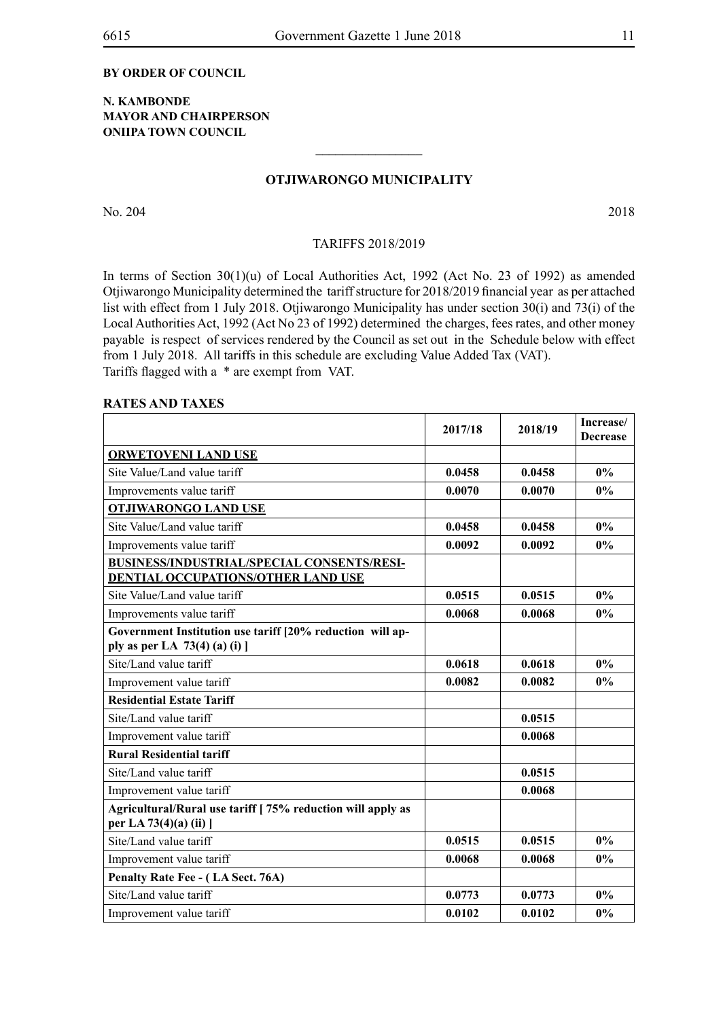#### **BY ORDER OF COUNCIL**

#### **N. KAMBONDE MAYOR AND CHAIRPERSON ONIIPA TOWN COUNCIL**

#### **Otjiwarongo Municipality**

 $\frac{1}{2}$ 

No. 204 2018

#### TARIFFS 2018/2019

In terms of Section 30(1)(u) of Local Authorities Act, 1992 (Act No. 23 of 1992) as amended Otjiwarongo Municipality determined the tariff structure for 2018/2019 financial year as per attached list with effect from 1 July 2018. Otjiwarongo Municipality has under section 30(i) and 73(i) of the Local Authorities Act, 1992 (Act No 23 of 1992) determined the charges, fees rates, and other money payable is respect of services rendered by the Council as set out in the Schedule below with effect from 1 July 2018. All tariffs in this schedule are excluding Value Added Tax (VAT). Tariffs flagged with a \* are exempt from VAT.

#### **RATES AND TAXES**

|                                                                                              | 2017/18 | 2018/19 | Increase/<br><b>Decrease</b> |
|----------------------------------------------------------------------------------------------|---------|---------|------------------------------|
| <b>ORWETOVENI LAND USE</b>                                                                   |         |         |                              |
| Site Value/Land value tariff                                                                 | 0.0458  | 0.0458  | $0\%$                        |
| Improvements value tariff                                                                    | 0.0070  | 0.0070  | $0\%$                        |
| <b>OTJIWARONGO LAND USE</b>                                                                  |         |         |                              |
| Site Value/Land value tariff                                                                 | 0.0458  | 0.0458  | 0%                           |
| Improvements value tariff                                                                    | 0.0092  | 0.0092  | $0\%$                        |
| BUSINESS/INDUSTRIAL/SPECIAL CONSENTS/RESI-<br>DENTIAL OCCUPATIONS/OTHER LAND USE             |         |         |                              |
| Site Value/Land value tariff                                                                 | 0.0515  | 0.0515  | 0%                           |
| Improvements value tariff                                                                    | 0.0068  | 0.0068  | $0\%$                        |
| Government Institution use tariff [20% reduction will ap-<br>ply as per LA $73(4)$ (a) (i) ] |         |         |                              |
| Site/Land value tariff                                                                       | 0.0618  | 0.0618  | $0\%$                        |
| Improvement value tariff                                                                     | 0.0082  | 0.0082  | 0%                           |
| <b>Residential Estate Tariff</b>                                                             |         |         |                              |
| Site/Land value tariff                                                                       |         | 0.0515  |                              |
| Improvement value tariff                                                                     |         | 0.0068  |                              |
| <b>Rural Residential tariff</b>                                                              |         |         |                              |
| Site/Land value tariff                                                                       |         | 0.0515  |                              |
| Improvement value tariff                                                                     |         | 0.0068  |                              |
| Agricultural/Rural use tariff [75% reduction will apply as<br>per LA 73(4)(a) (ii) ]         |         |         |                              |
| Site/Land value tariff                                                                       | 0.0515  | 0.0515  | 0%                           |
| Improvement value tariff                                                                     | 0.0068  | 0.0068  | 0%                           |
| Penalty Rate Fee - (LA Sect. 76A)                                                            |         |         |                              |
| Site/Land value tariff                                                                       | 0.0773  | 0.0773  | 0%                           |
| Improvement value tariff                                                                     | 0.0102  | 0.0102  | $0\%$                        |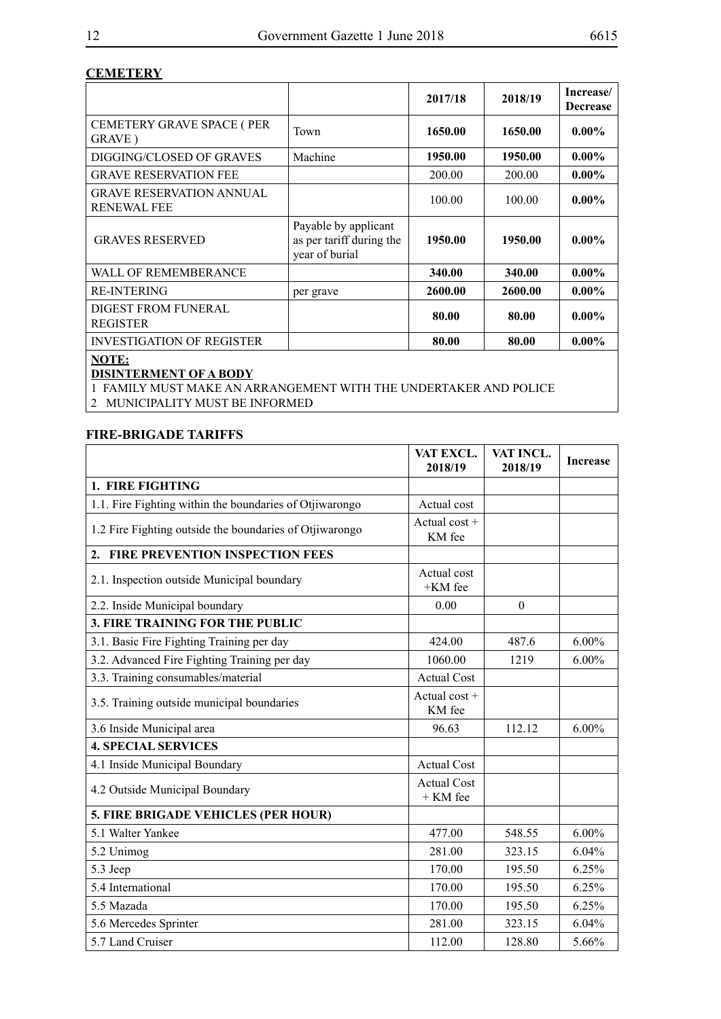#### **CEMETERY**

|                                                       |                                                                    | 2017/18 | 2018/19 | Increase/<br><b>Decrease</b> |
|-------------------------------------------------------|--------------------------------------------------------------------|---------|---------|------------------------------|
| <b>CEMETERY GRAVE SPACE (PER</b><br>GRAVE)            | Town                                                               | 1650.00 | 1650.00 | $0.00\%$                     |
| DIGGING/CLOSED OF GRAVES                              | Machine                                                            | 1950.00 | 1950.00 | $0.00\%$                     |
| <b>GRAVE RESERVATION FEE</b>                          |                                                                    | 200.00  | 200.00  | $0.00\%$                     |
| <b>GRAVE RESERVATION ANNUAL</b><br><b>RENEWAL FEE</b> |                                                                    | 100.00  | 100.00  | $0.00\%$                     |
| <b>GRAVES RESERVED</b>                                | Payable by applicant<br>as per tariff during the<br>year of burial | 1950.00 | 1950.00 | $0.00\%$                     |
| WALL OF REMEMBERANCE                                  |                                                                    | 340.00  | 340.00  | $0.00\%$                     |
| <b>RE-INTERING</b>                                    | per grave                                                          | 2600.00 | 2600.00 | $0.00\%$                     |
| <b>DIGEST FROM FUNERAL</b><br><b>REGISTER</b>         |                                                                    | 80.00   | 80.00   | $0.00\%$                     |
| <b>INVESTIGATION OF REGISTER</b>                      |                                                                    | 80.00   | 80.00   | $0.00\%$                     |
| NOTE:                                                 |                                                                    |         |         |                              |

# **DISINTERMENT OF A BODY**

1 FAMILY MUST MAKE AN ARRANGEMENT WITH THE UNDERTAKER AND POLICE

2 MUNICIPALITY MUST BE INFORMED

# **FIRE-BRIGADE TARIFFS**

|                                                         | VAT EXCL.<br>2018/19             | VAT INCL.<br>2018/19 | <b>Increase</b> |
|---------------------------------------------------------|----------------------------------|----------------------|-----------------|
| 1. FIRE FIGHTING                                        |                                  |                      |                 |
| 1.1. Fire Fighting within the boundaries of Otjiwarongo | Actual cost                      |                      |                 |
| 1.2 Fire Fighting outside the boundaries of Otjiwarongo | Actual $cost +$<br>KM fee        |                      |                 |
| <b>FIRE PREVENTION INSPECTION FEES</b><br>2.            |                                  |                      |                 |
| 2.1. Inspection outside Municipal boundary              | Actual cost<br>+KM fee           |                      |                 |
| 2.2. Inside Municipal boundary                          | 0.00                             | $\theta$             |                 |
| 3. FIRE TRAINING FOR THE PUBLIC                         |                                  |                      |                 |
| 3.1. Basic Fire Fighting Training per day               | 424.00                           | 487.6                | $6.00\%$        |
| 3.2. Advanced Fire Fighting Training per day            | 1060.00                          | 1219                 | $6.00\%$        |
| 3.3. Training consumables/material                      | <b>Actual Cost</b>               |                      |                 |
| 3.5. Training outside municipal boundaries              | Actual $\cos t +$<br>KM fee      |                      |                 |
| 3.6 Inside Municipal area                               | 96.63                            | 112.12               | $6.00\%$        |
| <b>4. SPECIAL SERVICES</b>                              |                                  |                      |                 |
| 4.1 Inside Municipal Boundary                           | <b>Actual Cost</b>               |                      |                 |
| 4.2 Outside Municipal Boundary                          | <b>Actual Cost</b><br>$+$ KM fee |                      |                 |
| 5. FIRE BRIGADE VEHICLES (PER HOUR)                     |                                  |                      |                 |
| 5.1 Walter Yankee                                       | 477.00                           | 548.55               | $6.00\%$        |
| 5.2 Unimog                                              | 281.00                           | 323.15               | 6.04%           |
| 5.3 Jeep                                                | 170.00                           | 195.50               | 6.25%           |
| 5.4 International                                       | 170.00                           | 195.50               | 6.25%           |
| 5.5 Mazada                                              | 170.00                           | 195.50               | 6.25%           |
| 5.6 Mercedes Sprinter                                   | 281.00                           | 323.15               | 6.04%           |
| 5.7 Land Cruiser                                        | 112.00                           | 128.80               | 5.66%           |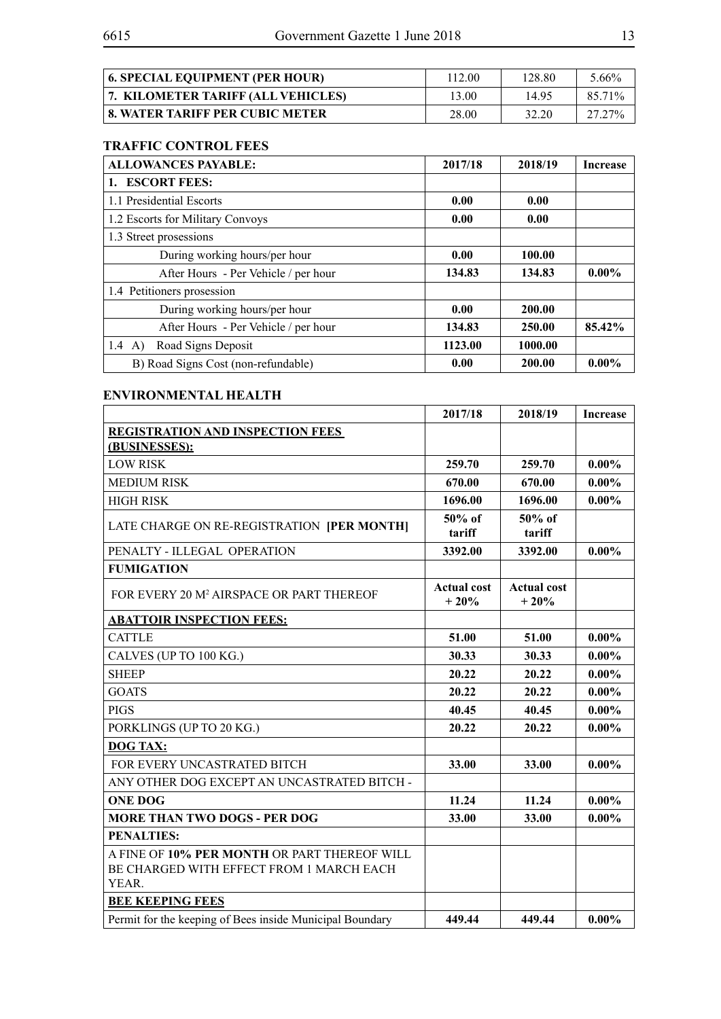| <b>6. SPECIAL EQUIPMENT (PER HOUR)</b> | 112.00 | 128.80 | 5.66%  |
|----------------------------------------|--------|--------|--------|
| 7. KILOMETER TARIFF (ALL VEHICLES)     | 13.00  | 1495   | 85.71% |
| 8. WATER TARIFF PER CUBIC METER        | 28.00  | 32.20  | 27.27% |

# **TRAFFIC CONTROL FEES**

| <b>ALLOWANCES PAYABLE:</b>           | 2017/18 | 2018/19 | <b>Increase</b> |
|--------------------------------------|---------|---------|-----------------|
| 1. ESCORT FEES:                      |         |         |                 |
| 1.1 Presidential Escorts             | 0.00    | 0.00    |                 |
| 1.2 Escorts for Military Convoys     | 0.00    | 0.00    |                 |
| 1.3 Street prosessions               |         |         |                 |
| During working hours/per hour        | 0.00    | 100.00  |                 |
| After Hours - Per Vehicle / per hour | 134.83  | 134.83  | $0.00\%$        |
| 1.4 Petitioners prosession           |         |         |                 |
| During working hours/per hour        | 0.00    | 200.00  |                 |
| After Hours - Per Vehicle / per hour | 134.83  | 250.00  | 85.42%          |
| Road Signs Deposit<br>1.4<br>A)      | 1123.00 | 1000.00 |                 |
| B) Road Signs Cost (non-refundable)  | 0.00    | 200.00  | $0.00\%$        |

#### **ENVIRONMENTAL HEALTH**

|                                                          | 2017/18                      | 2018/19                      | <b>Increase</b> |
|----------------------------------------------------------|------------------------------|------------------------------|-----------------|
| <b>REGISTRATION AND INSPECTION FEES</b>                  |                              |                              |                 |
| (BUSINESSES):                                            |                              |                              |                 |
| <b>LOW RISK</b>                                          | 259.70                       | 259.70                       | $0.00\%$        |
| <b>MEDIUM RISK</b>                                       | 670.00                       | 670.00                       | $0.00\%$        |
| <b>HIGH RISK</b>                                         | 1696.00                      | 1696.00                      | $0.00\%$        |
| LATE CHARGE ON RE-REGISTRATION [PER MONTH]               | $50\%$ of<br>tariff          | $50\%$ of<br>tariff          |                 |
| PENALTY - ILLEGAL OPERATION                              | 3392.00                      | 3392.00                      | $0.00\%$        |
| <b>FUMIGATION</b>                                        |                              |                              |                 |
| FOR EVERY 20 M <sup>2</sup> AIRSPACE OR PART THEREOF     | <b>Actual cost</b><br>$+20%$ | <b>Actual cost</b><br>$+20%$ |                 |
| <b>ABATTOIR INSPECTION FEES:</b>                         |                              |                              |                 |
| <b>CATTLE</b>                                            | 51.00                        | 51.00                        | $0.00\%$        |
| CALVES (UP TO 100 KG.)                                   | 30.33                        | 30.33                        | $0.00\%$        |
| <b>SHEEP</b>                                             | 20.22                        | 20.22                        | $0.00\%$        |
| <b>GOATS</b>                                             | 20.22                        | 20.22                        | $0.00\%$        |
| <b>PIGS</b>                                              | 40.45                        | 40.45                        | $0.00\%$        |
| PORKLINGS (UP TO 20 KG.)                                 | 20.22                        | 20.22                        | $0.00\%$        |
| <b>DOG TAX:</b>                                          |                              |                              |                 |
| FOR EVERY UNCASTRATED BITCH                              | 33.00                        | 33.00                        | $0.00\%$        |
| ANY OTHER DOG EXCEPT AN UNCASTRATED BITCH -              |                              |                              |                 |
| <b>ONE DOG</b>                                           | 11.24                        | 11.24                        | $0.00\%$        |
| <b>MORE THAN TWO DOGS - PER DOG</b>                      | 33.00                        | 33.00                        | $0.00\%$        |
| <b>PENALTIES:</b>                                        |                              |                              |                 |
| A FINE OF 10% PER MONTH OR PART THEREOF WILL             |                              |                              |                 |
| BE CHARGED WITH EFFECT FROM 1 MARCH EACH<br><b>YEAR</b>  |                              |                              |                 |
| <b>BEE KEEPING FEES</b>                                  |                              |                              |                 |
|                                                          | 449.44                       | 449.44                       |                 |
| Permit for the keeping of Bees inside Municipal Boundary |                              |                              | $0.00\%$        |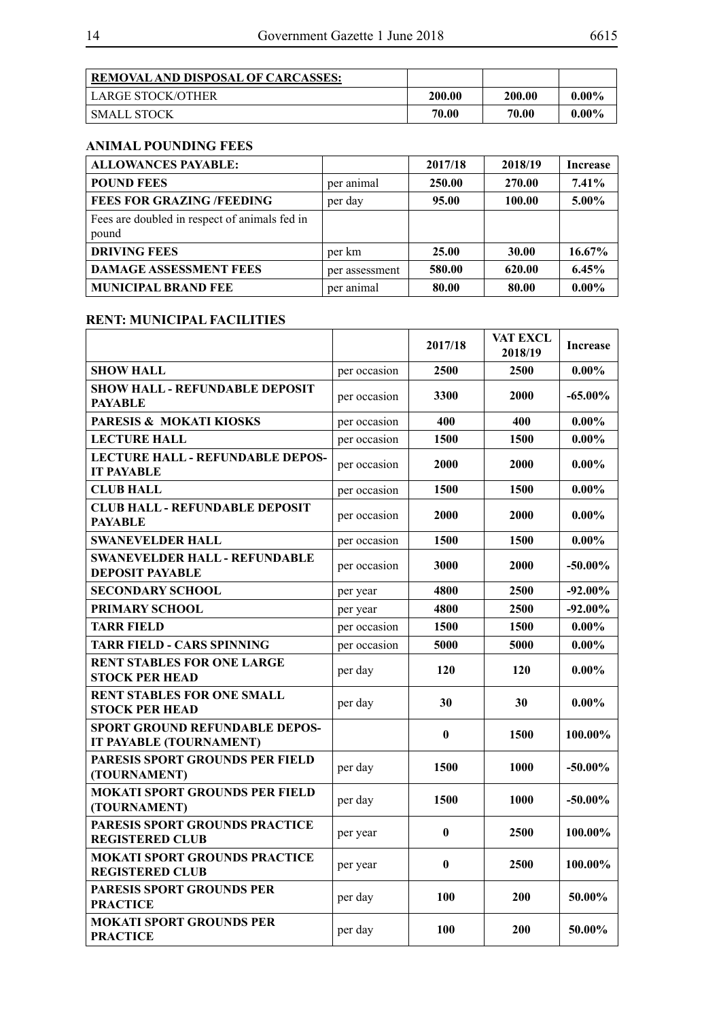|--|--|

| <b>REMOVAL AND DISPOSAL OF CARCASSES:</b> |        |        |          |
|-------------------------------------------|--------|--------|----------|
| <b>LARGE STOCK/OTHER</b>                  | 200.00 | 200.00 | $0.00\%$ |
| SMALL STOCK                               | 70.00  | 70.00  | $0.00\%$ |

# **ANIMAL POUNDING FEES**

| <b>ALLOWANCES PAYABLE:</b>                             |                | 2017/18 | 2018/19 | Increase |
|--------------------------------------------------------|----------------|---------|---------|----------|
| <b>POUND FEES</b>                                      | per animal     | 250.00  | 270.00  | $7.41\%$ |
| <b>FEES FOR GRAZING /FEEDING</b>                       | per day        | 95.00   | 100.00  | 5.00%    |
| Fees are doubled in respect of animals fed in<br>pound |                |         |         |          |
| <b>DRIVING FEES</b>                                    | per km         | 25.00   | 30.00   | 16.67%   |
| <b>DAMAGE ASSESSMENT FEES</b>                          | per assessment | 580.00  | 620.00  | 6.45%    |
| <b>MUNICIPAL BRAND FEE</b>                             | per animal     | 80.00   | 80.00   | $0.00\%$ |

#### **RENT: MUNICIPAL FACILITIES**

|                                                                  |              | 2017/18    | VAT EXCL<br>2018/19 | <b>Increase</b> |
|------------------------------------------------------------------|--------------|------------|---------------------|-----------------|
| <b>SHOW HALL</b>                                                 | per occasion | 2500       | 2500                | $0.00\%$        |
| <b>SHOW HALL - REFUNDABLE DEPOSIT</b><br><b>PAYABLE</b>          | per occasion | 3300       | 2000                | $-65.00\%$      |
| PARESIS & MOKATI KIOSKS                                          | per occasion | 400        | 400                 | $0.00\%$        |
| <b>LECTURE HALL</b>                                              | per occasion | 1500       | 1500                | $0.00\%$        |
| <b>LECTURE HALL - REFUNDABLE DEPOS-</b><br><b>IT PAYABLE</b>     | per occasion | 2000       | 2000                | $0.00\%$        |
| <b>CLUB HALL</b>                                                 | per occasion | 1500       | 1500                | $0.00\%$        |
| <b>CLUB HALL - REFUNDABLE DEPOSIT</b><br><b>PAYABLE</b>          | per occasion | 2000       | 2000                | $0.00\%$        |
| <b>SWANEVELDER HALL</b>                                          | per occasion | 1500       | 1500                | $0.00\%$        |
| <b>SWANEVELDER HALL - REFUNDABLE</b><br><b>DEPOSIT PAYABLE</b>   | per occasion | 3000       | 2000                | $-50.00\%$      |
| <b>SECONDARY SCHOOL</b>                                          | per year     | 4800       | 2500                | $-92.00\%$      |
| PRIMARY SCHOOL                                                   | per year     | 4800       | 2500                | $-92.00\%$      |
| <b>TARR FIELD</b>                                                | per occasion | 1500       | 1500                | $0.00\%$        |
| <b>TARR FIELD - CARS SPINNING</b>                                | per occasion | 5000       | 5000                | $0.00\%$        |
| <b>RENT STABLES FOR ONE LARGE</b><br><b>STOCK PER HEAD</b>       | per day      | 120        | <b>120</b>          | $0.00\%$        |
| <b>RENT STABLES FOR ONE SMALL</b><br><b>STOCK PER HEAD</b>       | per day      | 30         | 30                  | $0.00\%$        |
| <b>SPORT GROUND REFUNDABLE DEPOS-</b><br>IT PAYABLE (TOURNAMENT) |              | $\bf{0}$   | 1500                | 100.00%         |
| PARESIS SPORT GROUNDS PER FIELD<br>(TOURNAMENT)                  | per day      | 1500       | 1000                | $-50.00\%$      |
| <b>MOKATI SPORT GROUNDS PER FIELD</b><br>(TOURNAMENT)            | per day      | 1500       | 1000                | $-50.00\%$      |
| PARESIS SPORT GROUNDS PRACTICE<br><b>REGISTERED CLUB</b>         | per year     | $\bf{0}$   | 2500                | 100.00%         |
| <b>MOKATI SPORT GROUNDS PRACTICE</b><br><b>REGISTERED CLUB</b>   | per year     | $\bf{0}$   | <b>2500</b>         | 100.00%         |
| PARESIS SPORT GROUNDS PER<br><b>PRACTICE</b>                     | per day      | <b>100</b> | 200                 | 50.00%          |
| <b>MOKATI SPORT GROUNDS PER</b><br><b>PRACTICE</b>               | per day      | 100        | 200                 | 50.00%          |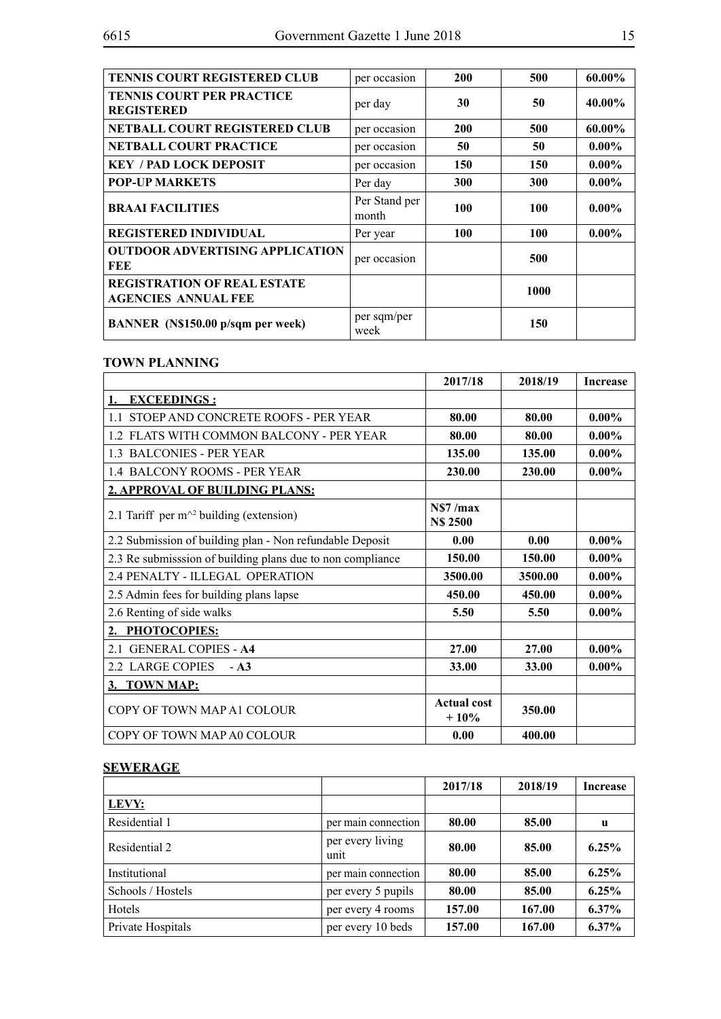| <b>TENNIS COURT REGISTERED CLUB</b>                              | per occasion           | <b>200</b> | 500  | 60.00%   |
|------------------------------------------------------------------|------------------------|------------|------|----------|
| <b>TENNIS COURT PER PRACTICE</b><br><b>REGISTERED</b>            | per day                | 30         | 50   | 40.00%   |
| NETBALL COURT REGISTERED CLUB                                    | per occasion           | <b>200</b> | 500  | 60.00%   |
| <b>NETBALL COURT PRACTICE</b>                                    | per occasion           | 50         | 50   | $0.00\%$ |
| <b>KEY / PAD LOCK DEPOSIT</b>                                    | per occasion           | 150        | 150  | $0.00\%$ |
| <b>POP-UP MARKETS</b>                                            | Per day                | 300        | 300  | $0.00\%$ |
| <b>BRAAI FACILITIES</b>                                          | Per Stand per<br>month | 100        | 100  | $0.00\%$ |
| <b>REGISTERED INDIVIDUAL</b>                                     | Per year               | <b>100</b> | 100  | $0.00\%$ |
| <b>OUTDOOR ADVERTISING APPLICATION</b><br>FEE                    | per occasion           |            | 500  |          |
| <b>REGISTRATION OF REAL ESTATE</b><br><b>AGENCIES ANNUAL FEE</b> |                        |            | 1000 |          |
| BANNER (N\$150.00 p/sqm per week)                                | per sqm/per<br>week    |            | 150  |          |

# **TOWN PLANNING**

|                                                            | 2017/18                      | 2018/19 | <b>Increase</b> |
|------------------------------------------------------------|------------------------------|---------|-----------------|
| 1. EXCEEDINGS:                                             |                              |         |                 |
| 1.1 STOEP AND CONCRETE ROOFS - PER YEAR                    | 80.00                        | 80.00   | $0.00\%$        |
| 1.2 FLATS WITH COMMON BALCONY - PER YEAR                   | 80.00                        | 80.00   | $0.00\%$        |
| 1.3 BALCONIES - PER YEAR                                   | 135.00                       | 135.00  | $0.00\%$        |
| 1.4 BALCONY ROOMS - PER YEAR                               | 230.00                       | 230.00  | $0.00\%$        |
| 2. APPROVAL OF BUILDING PLANS:                             |                              |         |                 |
| 2.1 Tariff per $m^2$ building (extension)                  | NS7/max<br><b>N\$ 2500</b>   |         |                 |
| 2.2 Submission of building plan - Non refundable Deposit   | 0.00                         | 0.00    | $0.00\%$        |
| 2.3 Re submisssion of building plans due to non compliance | 150.00                       | 150.00  | $0.00\%$        |
| 2.4 PENALTY - ILLEGAL OPERATION                            | 3500.00                      | 3500.00 | $0.00\%$        |
| 2.5 Admin fees for building plans lapse                    | 450.00                       | 450.00  | $0.00\%$        |
| 2.6 Renting of side walks                                  | 5.50                         | 5.50    | $0.00\%$        |
| 2. PHOTOCOPIES:                                            |                              |         |                 |
| 2.1 GENERAL COPIES - A4                                    | 27.00                        | 27.00   | $0.00\%$        |
| 2.2 LARGE COPIES<br>$-A3$                                  | 33.00                        | 33.00   | $0.00\%$        |
| 3. TOWN MAP:                                               |                              |         |                 |
| COPY OF TOWN MAP A1 COLOUR                                 | <b>Actual cost</b><br>$+10%$ | 350.00  |                 |
| COPY OF TOWN MAP AO COLOUR                                 | 0.00                         | 400.00  |                 |

# **SEWERAGE**

|                   |                          | 2017/18 | 2018/19 | <b>Increase</b> |
|-------------------|--------------------------|---------|---------|-----------------|
| LEVY:             |                          |         |         |                 |
| Residential 1     | per main connection      | 80.00   | 85.00   | u               |
| Residential 2     | per every living<br>unit | 80.00   | 85.00   | $6.25\%$        |
| Institutional     | per main connection      | 80.00   | 85.00   | 6.25%           |
| Schools / Hostels | per every 5 pupils       | 80.00   | 85.00   | 6.25%           |
| Hotels            | per every 4 rooms        | 157.00  | 167.00  | $6.37\%$        |
| Private Hospitals | per every 10 beds        | 157.00  | 167.00  | $6.37\%$        |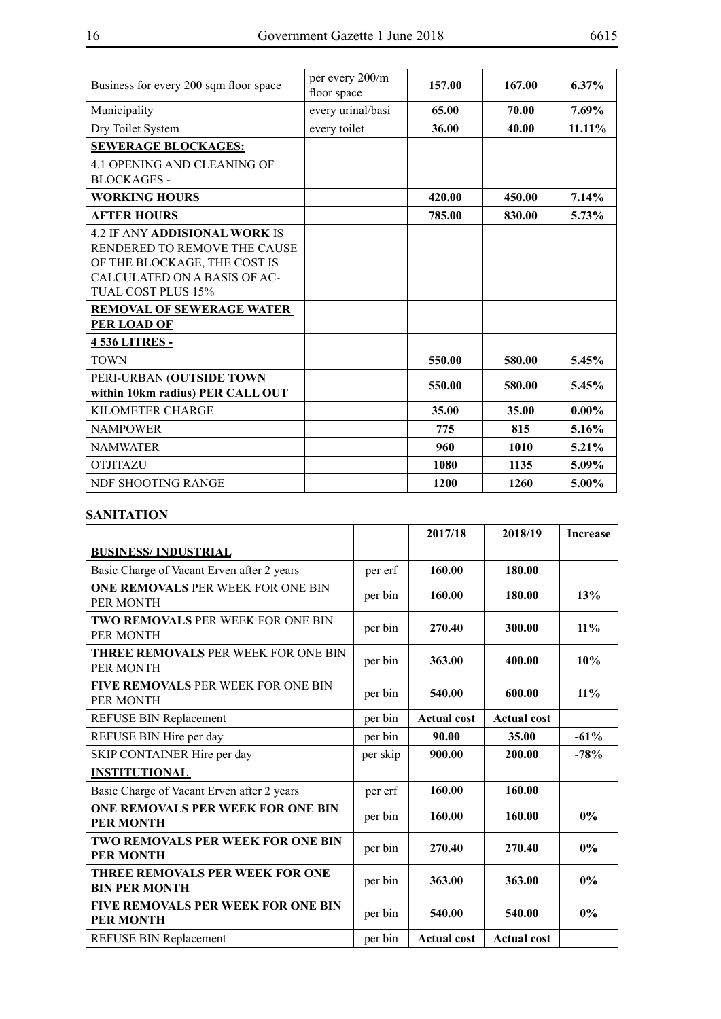| Business for every 200 sqm floor space | per every 200/m<br>floor space | 157.00 | 167.00 | $6.37\%$  |
|----------------------------------------|--------------------------------|--------|--------|-----------|
| Municipality                           | every urinal/basi              | 65.00  | 70.00  | 7.69%     |
| Dry Toilet System                      | every toilet                   | 36.00  | 40.00  | $11.11\%$ |
| <b>SEWERAGE BLOCKAGES:</b>             |                                |        |        |           |
| 4.1 OPENING AND CLEANING OF            |                                |        |        |           |
| <b>BLOCKAGES -</b>                     |                                |        |        |           |
| <b>WORKING HOURS</b>                   |                                | 420.00 | 450.00 | 7.14%     |
| <b>AFTER HOURS</b>                     |                                | 785.00 | 830.00 | 5.73%     |
| <b>4.2 IF ANY ADDISIONAL WORK IS</b>   |                                |        |        |           |
| RENDERED TO REMOVE THE CAUSE           |                                |        |        |           |
| OF THE BLOCKAGE, THE COST IS           |                                |        |        |           |
| CALCULATED ON A BASIS OF AC-           |                                |        |        |           |
| TUAL COST PLUS 15%                     |                                |        |        |           |
| <b>REMOVAL OF SEWERAGE WATER</b>       |                                |        |        |           |
| <b>PER LOAD OF</b>                     |                                |        |        |           |
| <b>4536 LITRES-</b>                    |                                |        |        |           |
| <b>TOWN</b>                            |                                | 550.00 | 580.00 | 5.45%     |
| PERI-URBAN (OUTSIDE TOWN               |                                |        |        |           |
| within 10km radius) PER CALL OUT       |                                | 550.00 | 580.00 | 5.45%     |
| <b>KILOMETER CHARGE</b>                |                                | 35.00  | 35.00  | $0.00\%$  |
| <b>NAMPOWER</b>                        |                                | 775    | 815    | 5.16%     |
| <b>NAMWATER</b>                        |                                | 960    | 1010   | 5.21%     |
| <b>OTJITAZU</b>                        |                                | 1080   | 1135   | 5.09%     |
| NDF SHOOTING RANGE                     |                                | 1200   | 1260   | $5.00\%$  |

# **SANITATION**

|                                                               |          | 2017/18            | 2018/19            | <b>Increase</b> |
|---------------------------------------------------------------|----------|--------------------|--------------------|-----------------|
| <b>BUSINESS/INDUSTRIAL</b>                                    |          |                    |                    |                 |
| Basic Charge of Vacant Erven after 2 years                    | per erf  | 160.00             | 180.00             |                 |
| <b>ONE REMOVALS PER WEEK FOR ONE BIN</b><br>PER MONTH         | per bin  | 160.00             | 180.00             | 13%             |
| <b>TWO REMOVALS PER WEEK FOR ONE BIN</b><br>PER MONTH         | per bin  | 270.40             | 300.00             | 11%             |
| <b>THREE REMOVALS PER WEEK FOR ONE BIN</b><br>PER MONTH       | per bin  | 363.00             | 400.00             | 10%             |
| <b>FIVE REMOVALS PER WEEK FOR ONE BIN</b><br>PER MONTH        | per bin  | 540.00             | 600.00             | 11%             |
| REFUSE BIN Replacement                                        | per bin  | <b>Actual cost</b> | <b>Actual cost</b> |                 |
| REFUSE BIN Hire per day                                       | per bin  | 90.00              | 35.00              | $-61%$          |
| SKIP CONTAINER Hire per day                                   | per skip | 900.00             | 200.00             | $-78%$          |
| <b>INSTITUTIONAL</b>                                          |          |                    |                    |                 |
| Basic Charge of Vacant Erven after 2 years                    | per erf  | 160.00             | 160.00             |                 |
| <b>ONE REMOVALS PER WEEK FOR ONE BIN</b><br><b>PER MONTH</b>  | per bin  | 160.00             | 160.00             | $0\%$           |
| <b>TWO REMOVALS PER WEEK FOR ONE BIN</b><br><b>PER MONTH</b>  | per bin  | 270.40             | 270.40             | $0\%$           |
| THREE REMOVALS PER WEEK FOR ONE<br><b>BIN PER MONTH</b>       | per bin  | 363.00             | 363.00             | $0\%$           |
| <b>FIVE REMOVALS PER WEEK FOR ONE BIN</b><br><b>PER MONTH</b> | per bin  | 540.00             | 540.00             | 0%              |
| REFUSE BIN Replacement                                        | per bin  | <b>Actual cost</b> | <b>Actual cost</b> |                 |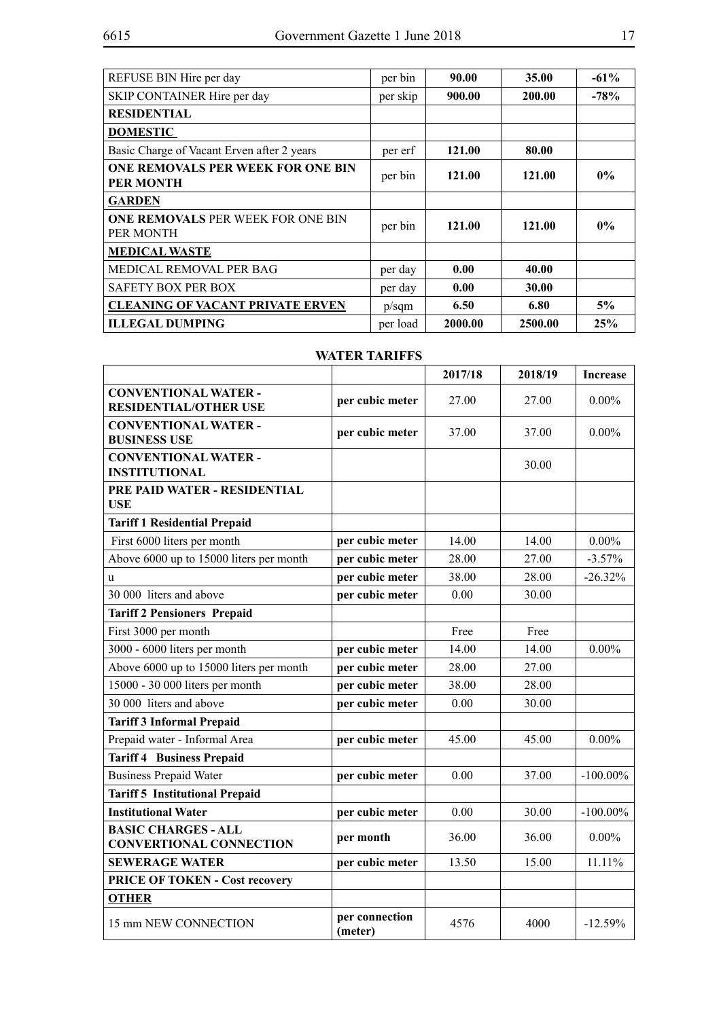| REFUSE BIN Hire per day                               | per bin  | 90.00   | 35.00   | $-61%$ |
|-------------------------------------------------------|----------|---------|---------|--------|
| SKIP CONTAINER Hire per day                           | per skip | 900.00  | 200.00  | $-78%$ |
| <b>RESIDENTIAL</b>                                    |          |         |         |        |
| <b>DOMESTIC</b>                                       |          |         |         |        |
| Basic Charge of Vacant Erven after 2 years            | per erf  | 121.00  | 80.00   |        |
| ONE REMOVALS PER WEEK FOR ONE BIN<br><b>PER MONTH</b> | per bin  | 121.00  | 121.00  | $0\%$  |
| <b>GARDEN</b>                                         |          |         |         |        |
| <b>ONE REMOVALS PER WEEK FOR ONE BIN</b><br>PER MONTH | per bin  | 121.00  | 121.00  | $0\%$  |
| <b>MEDICAL WASTE</b>                                  |          |         |         |        |
| MEDICAL REMOVAL PER BAG                               | per day  | 0.00    | 40.00   |        |
| <b>SAFETY BOX PER BOX</b>                             | per day  | 0.00    | 30.00   |        |
| <b>CLEANING OF VACANT PRIVATE ERVEN</b>               | p/sqm    | 6.50    | 6.80    | 5%     |
| <b>ILLEGAL DUMPING</b>                                | per load | 2000.00 | 2500.00 | 25%    |

# **WATER TARIFFS**

|                                                              |                           | 2017/18 | 2018/19 | <b>Increase</b> |
|--------------------------------------------------------------|---------------------------|---------|---------|-----------------|
| <b>CONVENTIONAL WATER -</b><br><b>RESIDENTIAL/OTHER USE</b>  | per cubic meter           | 27.00   | 27.00   | $0.00\%$        |
| <b>CONVENTIONAL WATER -</b><br><b>BUSINESS USE</b>           | per cubic meter           | 37.00   | 37.00   | $0.00\%$        |
| <b>CONVENTIONAL WATER -</b><br><b>INSTITUTIONAL</b>          |                           |         | 30.00   |                 |
| PRE PAID WATER - RESIDENTIAL<br><b>USE</b>                   |                           |         |         |                 |
| <b>Tariff 1 Residential Prepaid</b>                          |                           |         |         |                 |
| First 6000 liters per month                                  | per cubic meter           | 14.00   | 14.00   | $0.00\%$        |
| Above 6000 up to 15000 liters per month                      | per cubic meter           | 28.00   | 27.00   | $-3.57%$        |
| u                                                            | per cubic meter           | 38.00   | 28.00   | $-26.32%$       |
| 30 000 liters and above                                      | per cubic meter           | 0.00    | 30.00   |                 |
| <b>Tariff 2 Pensioners Prepaid</b>                           |                           |         |         |                 |
| First 3000 per month                                         |                           | Free    | Free    |                 |
| 3000 - 6000 liters per month                                 | per cubic meter           | 14.00   | 14.00   | $0.00\%$        |
| Above 6000 up to 15000 liters per month                      | per cubic meter           | 28.00   | 27.00   |                 |
| 15000 - 30 000 liters per month                              | per cubic meter           | 38.00   | 28.00   |                 |
| 30 000 liters and above                                      | per cubic meter           | 0.00    | 30.00   |                 |
| <b>Tariff 3 Informal Prepaid</b>                             |                           |         |         |                 |
| Prepaid water - Informal Area                                | per cubic meter           | 45.00   | 45.00   | $0.00\%$        |
| <b>Tariff 4 Business Prepaid</b>                             |                           |         |         |                 |
| <b>Business Prepaid Water</b>                                | per cubic meter           | 0.00    | 37.00   | $-100.00\%$     |
| <b>Tariff 5 Institutional Prepaid</b>                        |                           |         |         |                 |
| <b>Institutional Water</b>                                   | per cubic meter           | 0.00    | 30.00   | $-100.00\%$     |
| <b>BASIC CHARGES - ALL</b><br><b>CONVERTIONAL CONNECTION</b> | per month                 | 36.00   | 36.00   | $0.00\%$        |
| <b>SEWERAGE WATER</b>                                        | per cubic meter           | 13.50   | 15.00   | 11.11%          |
| PRICE OF TOKEN - Cost recovery                               |                           |         |         |                 |
| <b>OTHER</b>                                                 |                           |         |         |                 |
| 15 mm NEW CONNECTION                                         | per connection<br>(meter) | 4576    | 4000    | $-12.59%$       |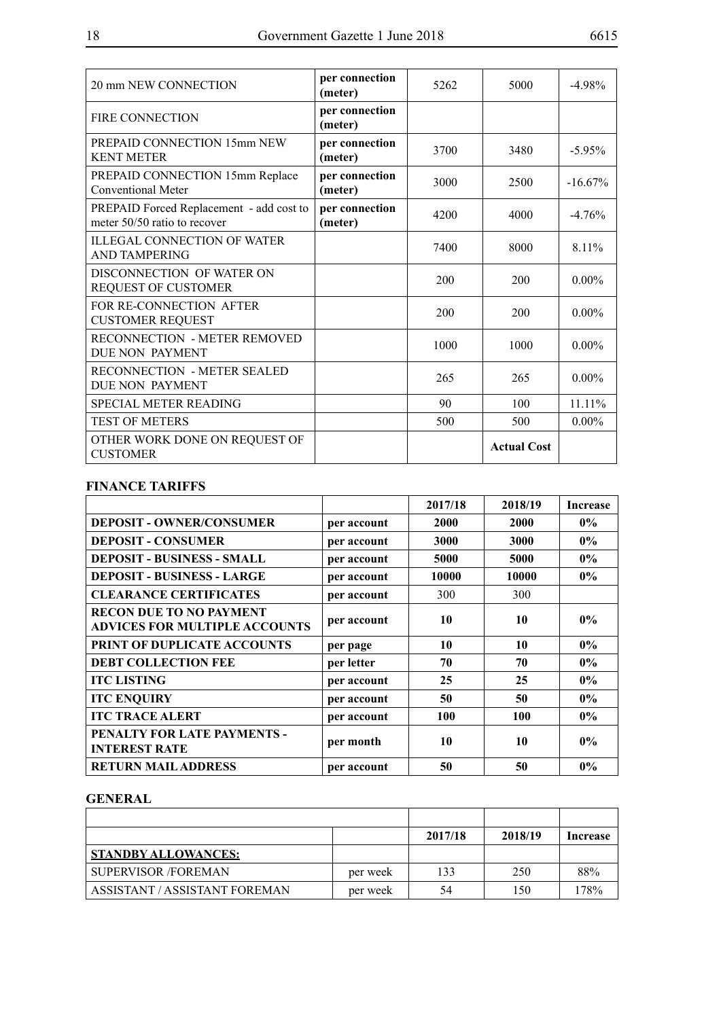| 20 mm NEW CONNECTION                                                     | per connection<br>(meter) | 5262 | 5000               | $-4.98\%$  |
|--------------------------------------------------------------------------|---------------------------|------|--------------------|------------|
| <b>FIRE CONNECTION</b>                                                   | per connection<br>(meter) |      |                    |            |
| PREPAID CONNECTION 15mm NEW<br><b>KENT METER</b>                         | per connection<br>(meter) | 3700 | 3480               | $-5.95\%$  |
| PREPAID CONNECTION 15mm Replace<br>Conventional Meter                    | per connection<br>(meter) | 3000 | 2500               | $-16.67\%$ |
| PREPAID Forced Replacement - add cost to<br>meter 50/50 ratio to recover | per connection<br>(meter) | 4200 | 4000               | $-476%$    |
| <b>ILLEGAL CONNECTION OF WATER</b><br><b>AND TAMPERING</b>               |                           | 7400 | 8000               | 8.11%      |
| DISCONNECTION OF WATER ON<br>REQUEST OF CUSTOMER                         |                           | 200  | 200                | $0.00\%$   |
| FOR RE-CONNECTION AFTER<br><b>CUSTOMER REQUEST</b>                       |                           | 200  | 200                | $0.00\%$   |
| RECONNECTION - METER REMOVED<br>DUE NON PAYMENT                          |                           | 1000 | 1000               | $0.00\%$   |
| <b>RECONNECTION - METER SEALED</b><br>DUE NON PAYMENT                    |                           | 265  | 265                | $0.00\%$   |
| <b>SPECIAL METER READING</b>                                             |                           | 90   | 100                | $11.11\%$  |
| <b>TEST OF METERS</b>                                                    |                           | 500  | 500                | $0.00\%$   |
| OTHER WORK DONE ON REQUEST OF<br><b>CUSTOMER</b>                         |                           |      | <b>Actual Cost</b> |            |

# **FINANCE TARIFFS**

|                                                                        |             | 2017/18 | 2018/19 | <b>Increase</b> |
|------------------------------------------------------------------------|-------------|---------|---------|-----------------|
| <b>DEPOSIT - OWNER/CONSUMER</b>                                        | per account | 2000    | 2000    | $0\%$           |
| <b>DEPOSIT - CONSUMER</b>                                              | per account | 3000    | 3000    | $0\%$           |
| <b>DEPOSIT - BUSINESS - SMALL</b>                                      | per account | 5000    | 5000    | $0\%$           |
| <b>DEPOSIT - BUSINESS - LARGE</b>                                      | per account | 10000   | 10000   | $0\%$           |
| <b>CLEARANCE CERTIFICATES</b>                                          | per account | 300     | 300     |                 |
| <b>RECON DUE TO NO PAYMENT</b><br><b>ADVICES FOR MULTIPLE ACCOUNTS</b> | per account | 10      | 10      | $0\%$           |
| PRINT OF DUPLICATE ACCOUNTS                                            | per page    | 10      | 10      | $0\%$           |
| <b>DEBT COLLECTION FEE</b>                                             | per letter  | 70      | 70      | $0\%$           |
| <b>ITC LISTING</b>                                                     | per account | 25      | 25      | $0\%$           |
| <b>ITC ENQUIRY</b>                                                     | per account | 50      | 50      | $0\%$           |
| <b>ITC TRACE ALERT</b>                                                 | per account | 100     | 100     | $0\%$           |
| PENALTY FOR LATE PAYMENTS -<br><b>INTEREST RATE</b>                    | per month   | 10      | 10      | $0\%$           |
| <b>RETURN MAIL ADDRESS</b>                                             | per account | 50      | 50      | $0\%$           |

#### **GENERAL**

|                               |          | 2017/18 | 2018/19 | Increase |
|-------------------------------|----------|---------|---------|----------|
| STANDBY ALLOWANCES:           |          |         |         |          |
| <b>SUPERVISOR /FOREMAN</b>    | per week | 133     | 250     | 88%      |
| ASSISTANT / ASSISTANT FOREMAN | per week | 54      | 150     | 178%     |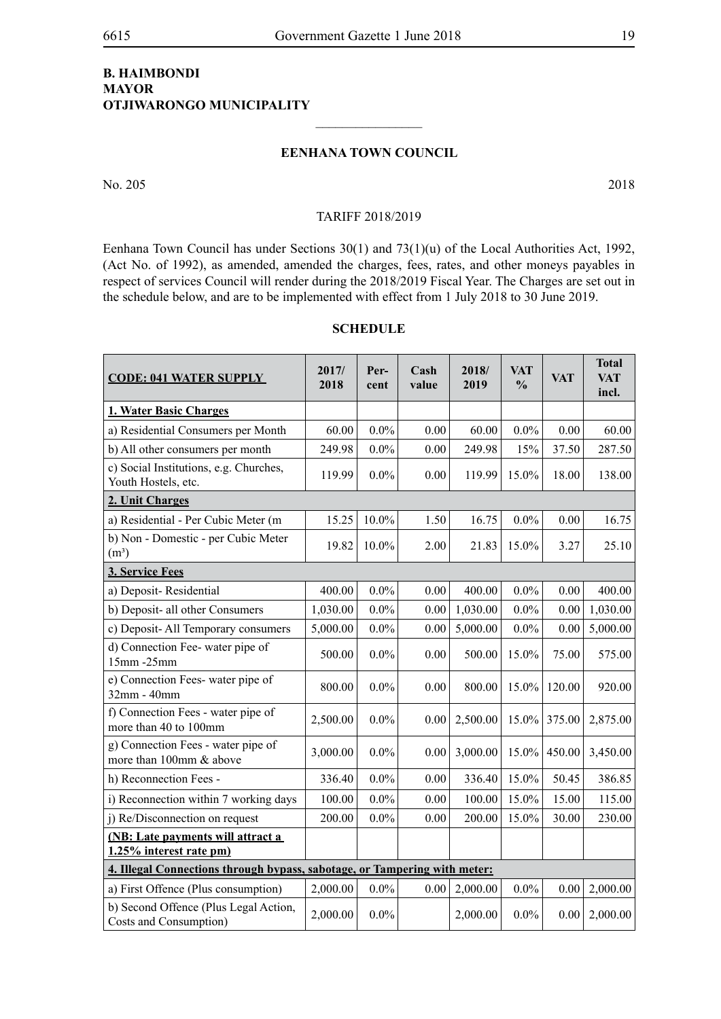# **B. Haimbondi Mayor Otjiwarongo Municipality**

#### **EENHANA TOWN COUNCIL**

 $\frac{1}{2}$ 

No. 205 2018

#### TARIFF 2018/2019

Eenhana Town Council has under Sections 30(1) and 73(1)(u) of the Local Authorities Act, 1992, (Act No. of 1992), as amended, amended the charges, fees, rates, and other moneys payables in respect of services Council will render during the 2018/2019 Fiscal Year. The Charges are set out in the schedule below, and are to be implemented with effect from 1 July 2018 to 30 June 2019.

| <b>CODE: 041 WATER SUPPLY</b>                                             | 2017/<br>2018 | Per-<br>cent | Cash<br>value | 2018/<br>2019 | <b>VAT</b><br>$\frac{0}{0}$ | <b>VAT</b> | <b>Total</b><br><b>VAT</b><br>incl. |
|---------------------------------------------------------------------------|---------------|--------------|---------------|---------------|-----------------------------|------------|-------------------------------------|
| 1. Water Basic Charges                                                    |               |              |               |               |                             |            |                                     |
| a) Residential Consumers per Month                                        | 60.00         | $0.0\%$      | 0.00          | 60.00         | $0.0\%$                     | 0.00       | 60.00                               |
| b) All other consumers per month                                          | 249.98        | $0.0\%$      | 0.00          | 249.98        | 15%                         | 37.50      | 287.50                              |
| c) Social Institutions, e.g. Churches,<br>Youth Hostels, etc.             | 119.99        | $0.0\%$      | 0.00          | 119.99        | 15.0%                       | 18.00      | 138.00                              |
| 2. Unit Charges                                                           |               |              |               |               |                             |            |                                     |
| a) Residential - Per Cubic Meter (m                                       | 15.25         | 10.0%        | 1.50          | 16.75         | $0.0\%$                     | 0.00       | 16.75                               |
| b) Non - Domestic - per Cubic Meter<br>$(m^3)$                            | 19.82         | 10.0%        | 2.00          | 21.83         | 15.0%                       | 3.27       | 25.10                               |
| 3. Service Fees                                                           |               |              |               |               |                             |            |                                     |
| a) Deposit-Residential                                                    | 400.00        | $0.0\%$      | 0.00          | 400.00        | $0.0\%$                     | 0.00       | 400.00                              |
| b) Deposit- all other Consumers                                           | 1,030.00      | $0.0\%$      | 0.00          | 1,030.00      | $0.0\%$                     | 0.00       | 1,030.00                            |
| c) Deposit- All Temporary consumers                                       | 5,000.00      | $0.0\%$      | 0.00          | 5,000.00      | $0.0\%$                     | 0.00       | 5,000.00                            |
| d) Connection Fee-water pipe of<br>15mm -25mm                             | 500.00        | $0.0\%$      | 0.00          | 500.00        | 15.0%                       | 75.00      | 575.00                              |
| e) Connection Fees-water pipe of<br>32mm - 40mm                           | 800.00        | $0.0\%$      | 0.00          | 800.00        | 15.0%                       | 120.00     | 920.00                              |
| f) Connection Fees - water pipe of<br>more than 40 to 100mm               | 2,500.00      | $0.0\%$      | 0.00          | 2,500.00      | $15.0\%$                    | 375.00     | 2,875.00                            |
| g) Connection Fees - water pipe of<br>more than 100mm & above             | 3,000.00      | $0.0\%$      | 0.00          | 3,000.00      | 15.0%                       | 450.00     | 3,450.00                            |
| h) Reconnection Fees -                                                    | 336.40        | $0.0\%$      | 0.00          | 336.40        | 15.0%                       | 50.45      | 386.85                              |
| i) Reconnection within 7 working days                                     | 100.00        | $0.0\%$      | 0.00          | 100.00        | 15.0%                       | 15.00      | 115.00                              |
| j) Re/Disconnection on request                                            | 200.00        | $0.0\%$      | 0.00          | 200.00        | 15.0%                       | 30.00      | 230.00                              |
| (NB: Late payments will attract a<br>1.25% interest rate pm)              |               |              |               |               |                             |            |                                     |
| 4. Illegal Connections through bypass, sabotage, or Tampering with meter: |               |              |               |               |                             |            |                                     |
| a) First Offence (Plus consumption)                                       | 2,000.00      | $0.0\%$      | 0.00          | 2,000.00      | $0.0\%$                     | 0.00       | 2,000.00                            |
| b) Second Offence (Plus Legal Action,<br>Costs and Consumption)           | 2,000.00      | $0.0\%$      |               | 2,000.00      | $0.0\%$                     | 0.00       | 2,000.00                            |

# **SCHEDULE**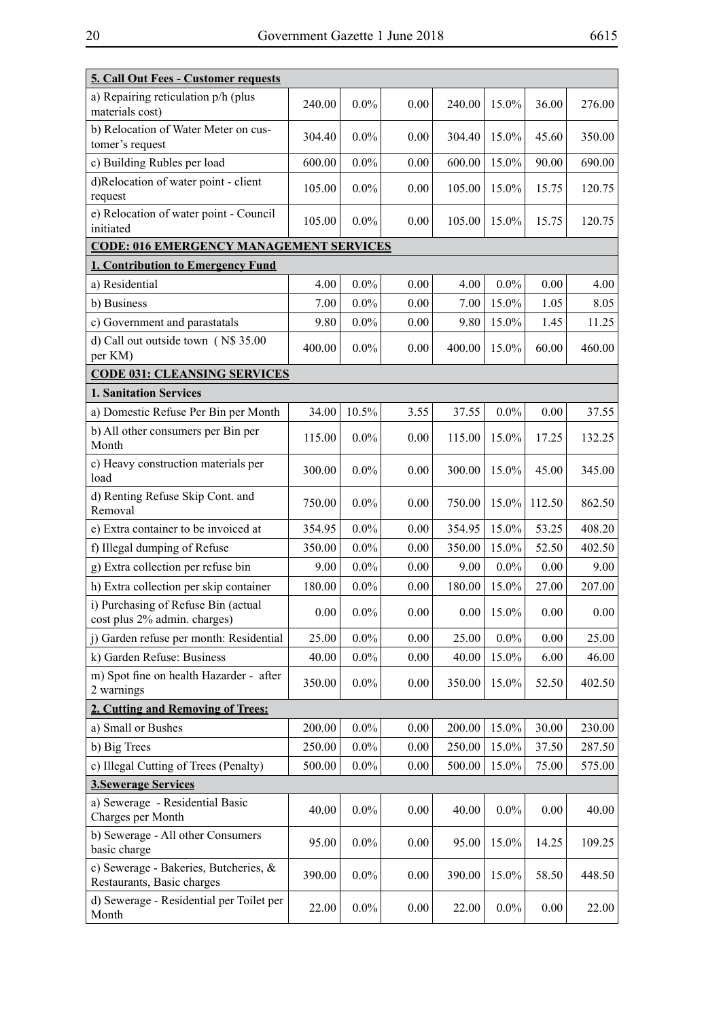| I<br>۰. | ۰. |
|---------|----|
|---------|----|

| 240.00                              | $0.0\%$ | 0.00                                     | 240.00                                                 | 15.0%   | 36.00            | 276.00       |
|-------------------------------------|---------|------------------------------------------|--------------------------------------------------------|---------|------------------|--------------|
| 304.40                              | $0.0\%$ | 0.00                                     | 304.40                                                 | 15.0%   | 45.60            | 350.00       |
| 600.00                              | $0.0\%$ | 0.00                                     | 600.00                                                 | 15.0%   | 90.00            | 690.00       |
| 105.00                              | $0.0\%$ | 0.00                                     | 105.00                                                 | 15.0%   | 15.75            | 120.75       |
| 105.00                              | $0.0\%$ | 0.00                                     | 105.00                                                 | 15.0%   | 15.75            | 120.75       |
|                                     |         |                                          |                                                        |         |                  |              |
|                                     |         |                                          |                                                        |         |                  |              |
| 4.00                                |         | 0.00                                     | 4.00                                                   |         |                  | 4.00         |
|                                     |         |                                          |                                                        |         |                  | 8.05         |
| 9.80                                |         | 0.00                                     | 9.80                                                   | 15.0%   | 1.45             | 11.25        |
| 400.00                              | $0.0\%$ | 0.00                                     | 400.00                                                 | 15.0%   | 60.00            | 460.00       |
| <b>CODE 031: CLEANSING SERVICES</b> |         |                                          |                                                        |         |                  |              |
|                                     |         |                                          |                                                        |         |                  |              |
| 34.00                               | 10.5%   | 3.55                                     | 37.55                                                  | $0.0\%$ | 0.00             | 37.55        |
| 115.00                              | $0.0\%$ | 0.00                                     | 115.00                                                 | 15.0%   | 17.25            | 132.25       |
| 300.00                              | $0.0\%$ | 0.00                                     | 300.00                                                 | 15.0%   | 45.00            | 345.00       |
| 750.00                              | $0.0\%$ | 0.00                                     | 750.00                                                 | 15.0%   | 112.50           | 862.50       |
| 354.95                              | $0.0\%$ | 0.00                                     | 354.95                                                 | 15.0%   | 53.25            | 408.20       |
| 350.00                              | $0.0\%$ | 0.00                                     | 350.00                                                 | 15.0%   | 52.50            | 402.50       |
| 9.00                                | $0.0\%$ | 0.00                                     | 9.00                                                   | $0.0\%$ | 0.00             | 9.00         |
| 180.00                              | $0.0\%$ | 0.00                                     | 180.00                                                 | 15.0%   | 27.00            | 207.00       |
| 0.00                                | $0.0\%$ | 0.00                                     | 0.00                                                   | 15.0%   | 0.00             | 0.00         |
| 25.00                               | $0.0\%$ | 0.00                                     | 25.00                                                  | $0.0\%$ | 0.00             | 25.00        |
| 40.00                               | $0.0\%$ | 0.00                                     | 40.00                                                  | 15.0%   | 6.00             | 46.00        |
| 350.00                              | $0.0\%$ | 0.00                                     | 350.00                                                 | 15.0%   | 52.50            | 402.50       |
|                                     |         |                                          |                                                        |         |                  |              |
| 200.00                              | $0.0\%$ | $0.00\,$                                 | 200.00                                                 | 15.0%   | 30.00            | 230.00       |
| 250.00                              |         | 0.00                                     | 250.00                                                 | 15.0%   | 37.50            | 287.50       |
| 500.00                              | $0.0\%$ | 0.00                                     | 500.00                                                 | 15.0%   | 75.00            | 575.00       |
|                                     |         |                                          |                                                        |         |                  |              |
| 40.00                               | $0.0\%$ | 0.00                                     | 40.00                                                  | $0.0\%$ | 0.00             | 40.00        |
| 95.00                               | $0.0\%$ | 0.00                                     | 95.00                                                  | 15.0%   | 14.25            | 109.25       |
| 390.00                              | $0.0\%$ | 0.00                                     | 390.00                                                 | 15.0%   | 58.50            | 448.50       |
| 22.00                               | $0.0\%$ | 0.00                                     | 22.00                                                  | $0.0\%$ | 0.00             | 22.00        |
|                                     | 7.00    | $0.0\%$<br>$0.0\%$<br>$0.0\%$<br>$0.0\%$ | <b>CODE: 016 EMERGENCY MANAGEMENT SERVICES</b><br>0.00 | 7.00    | $0.0\%$<br>15.0% | 0.00<br>1.05 |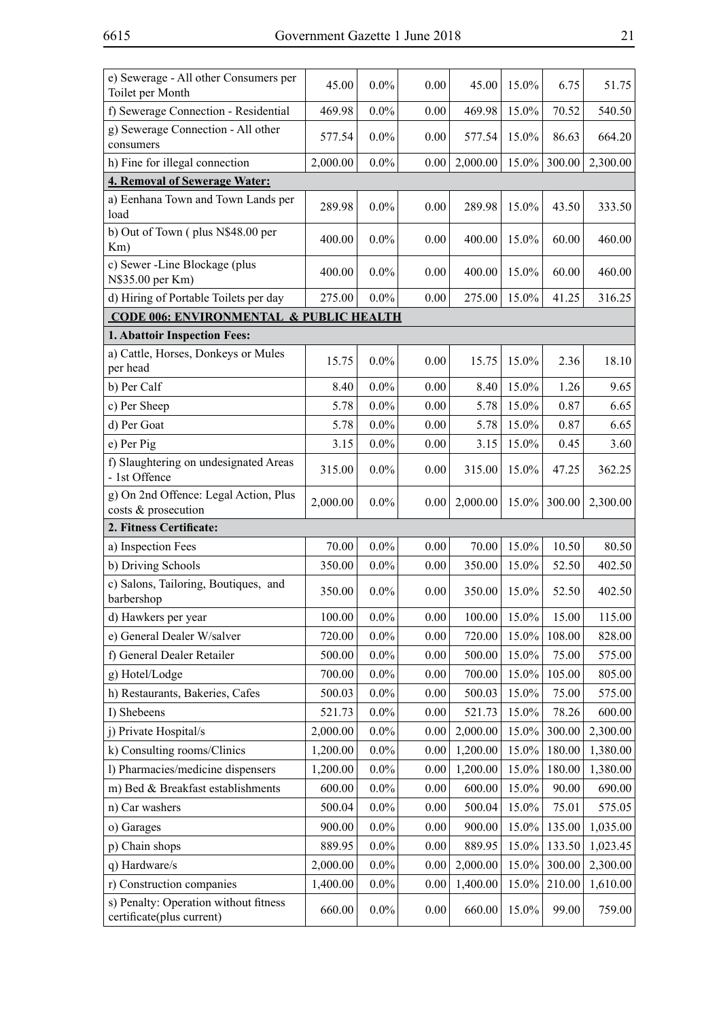| e) Sewerage - All other Consumers per<br>Toilet per Month          | 45.00    | $0.0\%$ | 0.00              | 45.00    | 15.0%    | 6.75   | 51.75    |
|--------------------------------------------------------------------|----------|---------|-------------------|----------|----------|--------|----------|
| f) Sewerage Connection - Residential                               | 469.98   | $0.0\%$ | 0.00              | 469.98   | 15.0%    | 70.52  | 540.50   |
| g) Sewerage Connection - All other<br>consumers                    | 577.54   | $0.0\%$ | 0.00              | 577.54   | 15.0%    | 86.63  | 664.20   |
| h) Fine for illegal connection                                     | 2,000.00 | $0.0\%$ | 0.00 <sub>1</sub> | 2,000.00 | 15.0%    | 300.00 | 2,300.00 |
| <b>4. Removal of Sewerage Water:</b>                               |          |         |                   |          |          |        |          |
| a) Eenhana Town and Town Lands per<br>load                         | 289.98   | $0.0\%$ | 0.00              | 289.98   | $15.0\%$ | 43.50  | 333.50   |
| b) Out of Town (plus N\$48.00 per<br>Km)                           | 400.00   | $0.0\%$ | 0.00              | 400.00   | 15.0%    | 60.00  | 460.00   |
| c) Sewer -Line Blockage (plus<br>N\$35.00 per Km)                  | 400.00   | $0.0\%$ | 0.00              | 400.00   | 15.0%    | 60.00  | 460.00   |
| d) Hiring of Portable Toilets per day                              | 275.00   | $0.0\%$ | 0.00              | 275.00   | 15.0%    | 41.25  | 316.25   |
| <b>CODE 006: ENVIRONMENTAL &amp; PUBLIC HEALTH</b>                 |          |         |                   |          |          |        |          |
| 1. Abattoir Inspection Fees:                                       |          |         |                   |          |          |        |          |
| a) Cattle, Horses, Donkeys or Mules<br>per head                    | 15.75    | $0.0\%$ | 0.00              | 15.75    | 15.0%    | 2.36   | 18.10    |
| b) Per Calf                                                        | 8.40     | $0.0\%$ | 0.00              | 8.40     | 15.0%    | 1.26   | 9.65     |
| c) Per Sheep                                                       | 5.78     | $0.0\%$ | 0.00              | 5.78     | 15.0%    | 0.87   | 6.65     |
| d) Per Goat                                                        | 5.78     | $0.0\%$ | 0.00              | 5.78     | 15.0%    | 0.87   | 6.65     |
| e) Per Pig                                                         | 3.15     | $0.0\%$ | 0.00              | 3.15     | 15.0%    | 0.45   | 3.60     |
| f) Slaughtering on undesignated Areas<br>- 1st Offence             | 315.00   | $0.0\%$ | 0.00              | 315.00   | 15.0%    | 47.25  | 362.25   |
| g) On 2nd Offence: Legal Action, Plus                              | 2,000.00 | $0.0\%$ | 0.00              | 2,000.00 | 15.0%    | 300.00 | 2,300.00 |
| costs & prosecution                                                |          |         |                   |          |          |        |          |
| 2. Fitness Certificate:                                            |          |         |                   |          |          |        |          |
| a) Inspection Fees                                                 | 70.00    | $0.0\%$ | 0.00              | 70.00    | 15.0%    | 10.50  | 80.50    |
| b) Driving Schools                                                 | 350.00   | $0.0\%$ | 0.00              | 350.00   | 15.0%    | 52.50  | 402.50   |
| c) Salons, Tailoring, Boutiques, and<br>barbershop                 | 350.00   | $0.0\%$ | 0.00              | 350.00   | 15.0%    | 52.50  | 402.50   |
| d) Hawkers per year                                                | 100.00   | $0.0\%$ | 0.00              | 100.00   | 15.0%    | 15.00  | 115.00   |
| e) General Dealer W/salver                                         | 720.00   | $0.0\%$ | 0.00              | 720.00   | 15.0%    | 108.00 | 828.00   |
| f) General Dealer Retailer                                         | 500.00   | $0.0\%$ | 0.00              | 500.00   | 15.0%    | 75.00  | 575.00   |
| g) Hotel/Lodge                                                     | 700.00   | $0.0\%$ | 0.00              | 700.00   | 15.0%    | 105.00 | 805.00   |
| h) Restaurants, Bakeries, Cafes                                    | 500.03   | $0.0\%$ | 0.00              | 500.03   | 15.0%    | 75.00  | 575.00   |
| I) Shebeens                                                        | 521.73   | $0.0\%$ | 0.00              | 521.73   | 15.0%    | 78.26  | 600.00   |
| j) Private Hospital/s                                              | 2,000.00 | $0.0\%$ | 0.00              | 2,000.00 | 15.0%    | 300.00 | 2,300.00 |
| k) Consulting rooms/Clinics                                        | 1,200.00 | $0.0\%$ | 0.00              | 1,200.00 | 15.0%    | 180.00 | 1,380.00 |
| l) Pharmacies/medicine dispensers                                  | 1,200.00 | $0.0\%$ | 0.00              | 1,200.00 | 15.0%    | 180.00 | 1,380.00 |
| m) Bed & Breakfast establishments                                  | 600.00   | $0.0\%$ | 0.00              | 600.00   | 15.0%    | 90.00  | 690.00   |
| n) Car washers                                                     | 500.04   | $0.0\%$ | 0.00              | 500.04   | 15.0%    | 75.01  | 575.05   |
| o) Garages                                                         | 900.00   | $0.0\%$ | 0.00              | 900.00   | 15.0%    | 135.00 | 1,035.00 |
| p) Chain shops                                                     | 889.95   | $0.0\%$ | 0.00              | 889.95   | 15.0%    | 133.50 | 1,023.45 |
| q) Hardware/s                                                      | 2,000.00 | $0.0\%$ | 0.00              | 2,000.00 | 15.0%    | 300.00 | 2,300.00 |
| r) Construction companies                                          | 1,400.00 | $0.0\%$ | 0.00              | 1,400.00 | 15.0%    | 210.00 | 1,610.00 |
| s) Penalty: Operation without fitness<br>certificate(plus current) | 660.00   | $0.0\%$ | 0.00              | 660.00   | 15.0%    | 99.00  | 759.00   |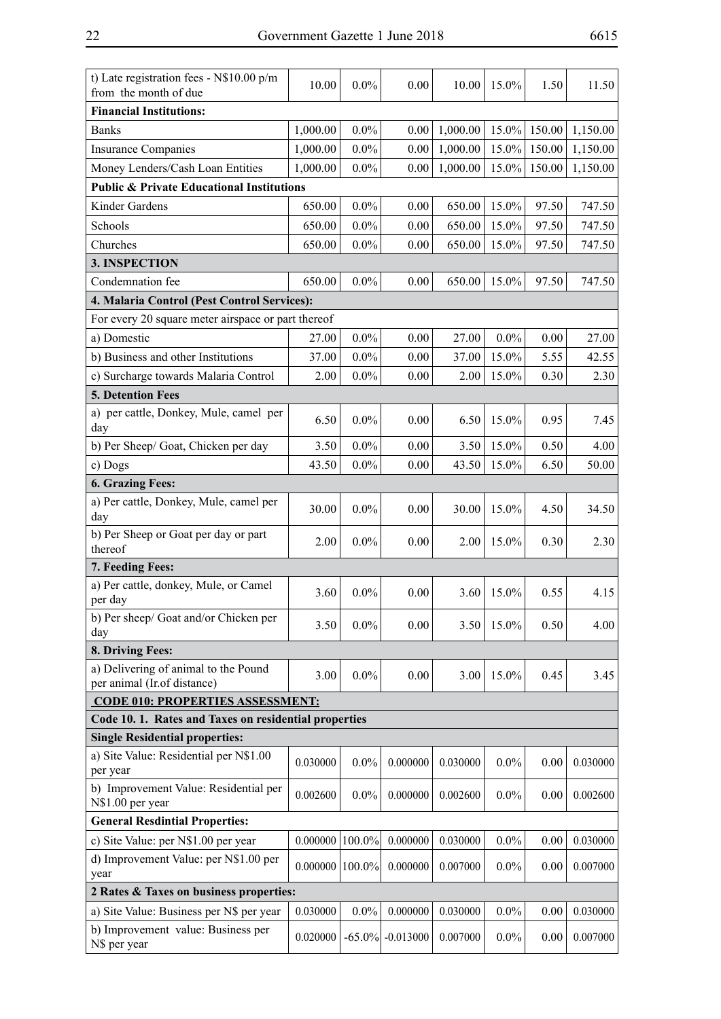| t) Late registration fees - N\$10.00 p/m<br>from the month of due   | 10.00               | $0.0\%$   | 0.00        | 10.00    | 15.0%   | 1.50   | 11.50    |
|---------------------------------------------------------------------|---------------------|-----------|-------------|----------|---------|--------|----------|
| <b>Financial Institutions:</b>                                      |                     |           |             |          |         |        |          |
| <b>Banks</b>                                                        | 1,000.00            | $0.0\%$   | 0.00        | 1,000.00 | 15.0%   | 150.00 | 1,150.00 |
| <b>Insurance Companies</b>                                          | 1,000.00            | $0.0\%$   | 0.00        | 1,000.00 | 15.0%   | 150.00 | 1,150.00 |
| Money Lenders/Cash Loan Entities                                    | 1,000.00            | $0.0\%$   | 0.00        | 1,000.00 | 15.0%   | 150.00 | 1,150.00 |
| <b>Public &amp; Private Educational Institutions</b>                |                     |           |             |          |         |        |          |
| Kinder Gardens                                                      | 650.00              | $0.0\%$   | 0.00        | 650.00   | 15.0%   | 97.50  | 747.50   |
| Schools                                                             | 650.00              | $0.0\%$   | 0.00        | 650.00   | 15.0%   | 97.50  | 747.50   |
| Churches                                                            | 650.00              | $0.0\%$   | 0.00        | 650.00   | 15.0%   | 97.50  | 747.50   |
| 3. INSPECTION                                                       |                     |           |             |          |         |        |          |
| Condemnation fee                                                    | 650.00              | $0.0\%$   | 0.00        | 650.00   | 15.0%   | 97.50  | 747.50   |
| 4. Malaria Control (Pest Control Services):                         |                     |           |             |          |         |        |          |
| For every 20 square meter airspace or part thereof                  |                     |           |             |          |         |        |          |
| a) Domestic                                                         | 27.00               | $0.0\%$   | 0.00        | 27.00    | $0.0\%$ | 0.00   | 27.00    |
| b) Business and other Institutions                                  | 37.00               | $0.0\%$   | 0.00        | 37.00    | 15.0%   | 5.55   | 42.55    |
| c) Surcharge towards Malaria Control                                | 2.00                | $0.0\%$   | 0.00        | 2.00     | 15.0%   | 0.30   | 2.30     |
| <b>5. Detention Fees</b>                                            |                     |           |             |          |         |        |          |
| a) per cattle, Donkey, Mule, camel per<br>day                       | 6.50                | $0.0\%$   | 0.00        | 6.50     | 15.0%   | 0.95   | 7.45     |
| b) Per Sheep/ Goat, Chicken per day                                 | 3.50                | $0.0\%$   | 0.00        | 3.50     | 15.0%   | 0.50   | 4.00     |
| c) Dogs                                                             | 43.50               | $0.0\%$   | 0.00        | 43.50    | 15.0%   | 6.50   | 50.00    |
| <b>6. Grazing Fees:</b>                                             |                     |           |             |          |         |        |          |
| a) Per cattle, Donkey, Mule, camel per<br>day                       | 30.00               | $0.0\%$   | 0.00        | 30.00    | 15.0%   | 4.50   | 34.50    |
| b) Per Sheep or Goat per day or part<br>thereof                     | 2.00                | $0.0\%$   | 0.00        | 2.00     | 15.0%   | 0.30   | 2.30     |
| 7. Feeding Fees:                                                    |                     |           |             |          |         |        |          |
| a) Per cattle, donkey, Mule, or Camel<br>per day                    | 3.60                | $0.0\%$   | 0.00        | 3.60     | 15.0%   | 0.55   | 4.15     |
| b) Per sheep/ Goat and/or Chicken per<br>day                        | 3.50                | $0.0\%$   | 0.00        | 3.50     | 15.0%   | 0.50   | 4.00     |
| 8. Driving Fees:                                                    |                     |           |             |          |         |        |          |
| a) Delivering of animal to the Pound<br>per animal (Ir.of distance) | 3.00                | $0.0\%$   | 0.00        | 3.00     | 15.0%   | 0.45   | 3.45     |
| <b>CODE 010: PROPERTIES ASSESSMENT:</b>                             |                     |           |             |          |         |        |          |
| Code 10.1. Rates and Taxes on residential properties                |                     |           |             |          |         |        |          |
| <b>Single Residential properties:</b>                               |                     |           |             |          |         |        |          |
| a) Site Value: Residential per N\$1.00<br>per year                  | 0.030000            | $0.0\%$   | 0.000000    | 0.030000 | $0.0\%$ | 0.00   | 0.030000 |
| b) Improvement Value: Residential per<br>N\$1.00 per year           | 0.002600            | $0.0\%$   | 0.000000    | 0.002600 | $0.0\%$ | 0.00   | 0.002600 |
| <b>General Resdintial Properties:</b>                               |                     |           |             |          |         |        |          |
| c) Site Value: per N\$1.00 per year                                 | 0.000000            | 100.0%    | 0.000000    | 0.030000 | $0.0\%$ | 0.00   | 0.030000 |
| d) Improvement Value: per N\$1.00 per<br>year                       | $0.000000$   100.0% |           | 0.000000    | 0.007000 | $0.0\%$ | 0.00   | 0.007000 |
| 2 Rates & Taxes on business properties:                             |                     |           |             |          |         |        |          |
| a) Site Value: Business per N\$ per year                            | 0.030000            | $0.0\%$   | 0.000000    | 0.030000 | $0.0\%$ | 0.00   | 0.030000 |
| b) Improvement value: Business per<br>N\$ per year                  | 0.020000            | $-65.0\%$ | $-0.013000$ | 0.007000 | $0.0\%$ | 0.00   | 0.007000 |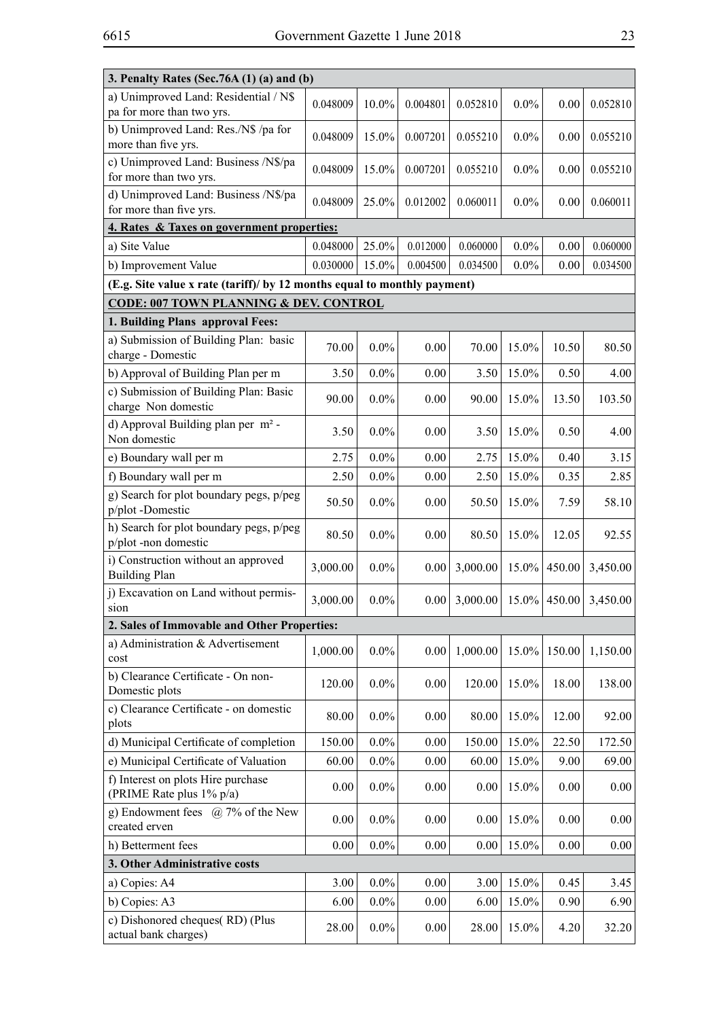| 3. Penalty Rates (Sec.76A (1) (a) and (b)                                |          |          |          |          |          |        |          |  |  |  |
|--------------------------------------------------------------------------|----------|----------|----------|----------|----------|--------|----------|--|--|--|
| a) Unimproved Land: Residential / N\$<br>pa for more than two yrs.       | 0.048009 | $10.0\%$ | 0.004801 | 0.052810 | 0.0%     | 0.00   | 0.052810 |  |  |  |
| b) Unimproved Land: Res./N\$ /pa for<br>more than five yrs.              | 0.048009 | 15.0%    | 0.007201 | 0.055210 | 0.0%     | 0.00   | 0.055210 |  |  |  |
| c) Unimproved Land: Business /N\$/pa<br>for more than two yrs.           | 0.048009 | 15.0%    | 0.007201 | 0.055210 | 0.0%     | 0.00   | 0.055210 |  |  |  |
| d) Unimproved Land: Business /N\$/pa<br>for more than five yrs.          | 0.048009 | 25.0%    | 0.012002 | 0.060011 | 0.0%     | 0.00   | 0.060011 |  |  |  |
| 4. Rates & Taxes on government properties:                               |          |          |          |          |          |        |          |  |  |  |
| a) Site Value                                                            | 0.048000 | 25.0%    | 0.012000 | 0.060000 | $0.0\%$  | 0.00   | 0.060000 |  |  |  |
| b) Improvement Value                                                     | 0.030000 | 15.0%    | 0.004500 | 0.034500 | $0.0\%$  | 0.00   | 0.034500 |  |  |  |
| (E.g. Site value x rate (tariff)/ by 12 months equal to monthly payment) |          |          |          |          |          |        |          |  |  |  |
| <b>CODE: 007 TOWN PLANNING &amp; DEV. CONTROL</b>                        |          |          |          |          |          |        |          |  |  |  |
| 1. Building Plans approval Fees:                                         |          |          |          |          |          |        |          |  |  |  |
| a) Submission of Building Plan: basic<br>charge - Domestic               | 70.00    | $0.0\%$  | 0.00     | 70.00    | 15.0%    | 10.50  | 80.50    |  |  |  |
| b) Approval of Building Plan per m                                       | 3.50     | $0.0\%$  | 0.00     | 3.50     | 15.0%    | 0.50   | 4.00     |  |  |  |
| c) Submission of Building Plan: Basic<br>charge Non domestic             | 90.00    | $0.0\%$  | 0.00     | 90.00    | 15.0%    | 13.50  | 103.50   |  |  |  |
| d) Approval Building plan per m <sup>2</sup> -<br>Non domestic           | 3.50     | $0.0\%$  | 0.00     | 3.50     | 15.0%    | 0.50   | 4.00     |  |  |  |
| e) Boundary wall per m                                                   | 2.75     | $0.0\%$  | 0.00     | 2.75     | 15.0%    | 0.40   | 3.15     |  |  |  |
| f) Boundary wall per m                                                   | 2.50     | $0.0\%$  | 0.00     | 2.50     | 15.0%    | 0.35   | 2.85     |  |  |  |
| g) Search for plot boundary pegs, p/peg<br>p/plot-Domestic               | 50.50    | $0.0\%$  | 0.00     | 50.50    | 15.0%    | 7.59   | 58.10    |  |  |  |
| h) Search for plot boundary pegs, p/peg<br>p/plot-non domestic           | 80.50    | $0.0\%$  | 0.00     | 80.50    | 15.0%    | 12.05  | 92.55    |  |  |  |
| i) Construction without an approved<br><b>Building Plan</b>              | 3,000.00 | $0.0\%$  | 0.00     | 3,000.00 | 15.0%    | 450.00 | 3,450.00 |  |  |  |
| j) Excavation on Land without permis-<br>sion                            | 3,000.00 | $0.0\%$  | 0.00     | 3,000.00 | $15.0\%$ | 450.00 | 3,450.00 |  |  |  |
| 2. Sales of Immovable and Other Properties:                              |          |          |          |          |          |        |          |  |  |  |
| a) Administration & Advertisement<br>cost                                | 1,000.00 | $0.0\%$  | 0.00     | 1,000.00 | 15.0%    | 150.00 | 1,150.00 |  |  |  |
| b) Clearance Certificate - On non-<br>Domestic plots                     | 120.00   | $0.0\%$  | 0.00     | 120.00   | 15.0%    | 18.00  | 138.00   |  |  |  |
| c) Clearance Certificate - on domestic<br>plots                          | 80.00    | $0.0\%$  | 0.00     | 80.00    | 15.0%    | 12.00  | 92.00    |  |  |  |
| d) Municipal Certificate of completion                                   | 150.00   | $0.0\%$  | 0.00     | 150.00   | 15.0%    | 22.50  | 172.50   |  |  |  |
| e) Municipal Certificate of Valuation                                    | 60.00    | $0.0\%$  | 0.00     | 60.00    | 15.0%    | 9.00   | 69.00    |  |  |  |
| f) Interest on plots Hire purchase<br>(PRIME Rate plus 1% p/a)           | 0.00     | $0.0\%$  | 0.00     | 0.00     | 15.0%    | 0.00   | 0.00     |  |  |  |
| g) Endowment fees $(a)$ 7% of the New<br>created erven                   | 0.00     | $0.0\%$  | 0.00     | 0.00     | 15.0%    | 0.00   | 0.00     |  |  |  |
| h) Betterment fees                                                       | 0.00     | $0.0\%$  | 0.00     | 0.00     | 15.0%    | 0.00   | 0.00     |  |  |  |
| 3. Other Administrative costs                                            |          |          |          |          |          |        |          |  |  |  |
| a) Copies: A4                                                            | 3.00     | $0.0\%$  | 0.00     | 3.00     | 15.0%    | 0.45   | 3.45     |  |  |  |
| b) Copies: A3                                                            | 6.00     | $0.0\%$  | 0.00     | 6.00     | 15.0%    | 0.90   | 6.90     |  |  |  |
| c) Dishonored cheques(RD) (Plus<br>actual bank charges)                  | 28.00    | $0.0\%$  | 0.00     | 28.00    | 15.0%    | 4.20   | 32.20    |  |  |  |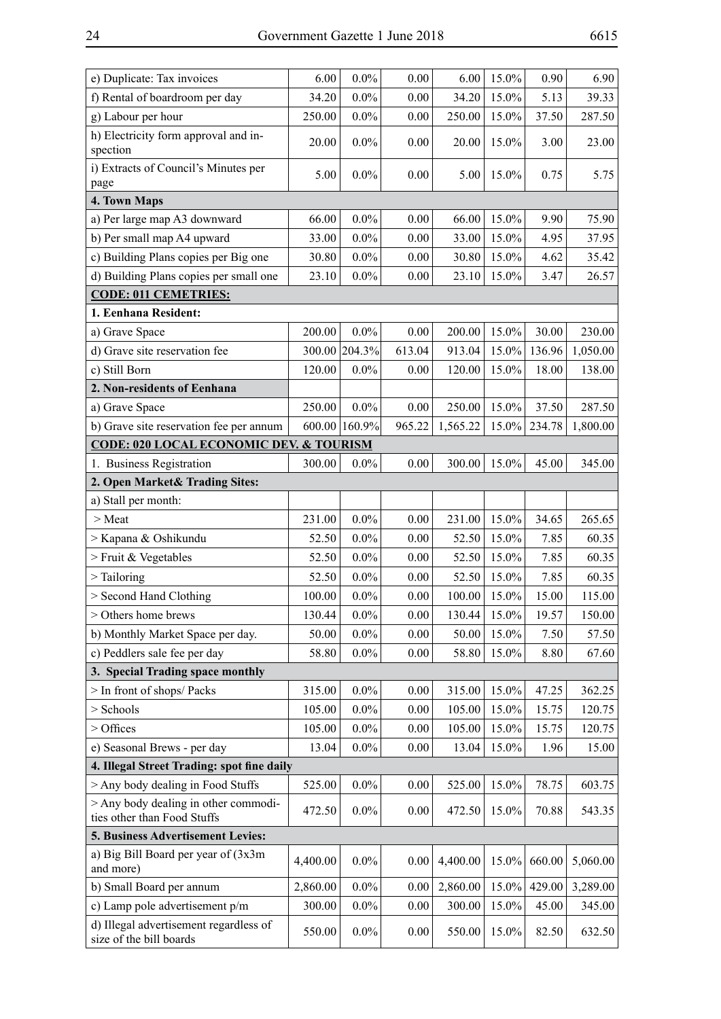| e) Duplicate: Tax invoices                                        | 6.00     | $0.0\%$       | 0.00   | 6.00     | 15.0% | 0.90   | 6.90     |
|-------------------------------------------------------------------|----------|---------------|--------|----------|-------|--------|----------|
| f) Rental of boardroom per day                                    | 34.20    | $0.0\%$       | 0.00   | 34.20    | 15.0% | 5.13   | 39.33    |
| g) Labour per hour                                                | 250.00   | $0.0\%$       | 0.00   | 250.00   | 15.0% | 37.50  | 287.50   |
| h) Electricity form approval and in-<br>spection                  | 20.00    | $0.0\%$       | 0.00   | 20.00    | 15.0% | 3.00   | 23.00    |
| i) Extracts of Council's Minutes per<br>page                      | 5.00     | $0.0\%$       | 0.00   | 5.00     | 15.0% | 0.75   | 5.75     |
| 4. Town Maps                                                      |          |               |        |          |       |        |          |
| a) Per large map A3 downward                                      | 66.00    | $0.0\%$       | 0.00   | 66.00    | 15.0% | 9.90   | 75.90    |
| b) Per small map A4 upward                                        | 33.00    | $0.0\%$       | 0.00   | 33.00    | 15.0% | 4.95   | 37.95    |
| c) Building Plans copies per Big one                              | 30.80    | $0.0\%$       | 0.00   | 30.80    | 15.0% | 4.62   | 35.42    |
| d) Building Plans copies per small one                            | 23.10    | $0.0\%$       | 0.00   | 23.10    | 15.0% | 3.47   | 26.57    |
| <b>CODE: 011 CEMETRIES:</b>                                       |          |               |        |          |       |        |          |
| 1. Eenhana Resident:                                              |          |               |        |          |       |        |          |
| a) Grave Space                                                    | 200.00   | $0.0\%$       | 0.00   | 200.00   | 15.0% | 30.00  | 230.00   |
| d) Grave site reservation fee                                     |          | 300.00 204.3% | 613.04 | 913.04   | 15.0% | 136.96 | 1,050.00 |
| c) Still Born                                                     | 120.00   | $0.0\%$       | 0.00   | 120.00   | 15.0% | 18.00  | 138.00   |
| 2. Non-residents of Eenhana                                       |          |               |        |          |       |        |          |
| a) Grave Space                                                    | 250.00   | $0.0\%$       | 0.00   | 250.00   | 15.0% | 37.50  | 287.50   |
| b) Grave site reservation fee per annum                           |          | 600.00 160.9% | 965.22 | 1,565.22 | 15.0% | 234.78 | 1,800.00 |
| <b>CODE: 020 LOCAL ECONOMIC DEV. &amp; TOURISM</b>                |          |               |        |          |       |        |          |
| 1. Business Registration                                          | 300.00   | $0.0\%$       | 0.00   | 300.00   | 15.0% | 45.00  | 345.00   |
| 2. Open Market& Trading Sites:                                    |          |               |        |          |       |        |          |
| a) Stall per month:                                               |          |               |        |          |       |        |          |
| > Meat                                                            | 231.00   | $0.0\%$       | 0.00   | 231.00   | 15.0% | 34.65  | 265.65   |
| > Kapana & Oshikundu                                              | 52.50    | $0.0\%$       | 0.00   | 52.50    | 15.0% | 7.85   | 60.35    |
| > Fruit & Vegetables                                              | 52.50    | $0.0\%$       | 0.00   | 52.50    | 15.0% | 7.85   | 60.35    |
| $\ge$ Tailoring                                                   | 52.50    | $0.0\%$       | 0.00   | 52.50    | 15.0% | 7.85   | 60.35    |
| > Second Hand Clothing                                            | 100.00   | $0.0\%$       | 0.00   | 100.00   | 15.0% | 15.00  | 115.00   |
| > Others home brews                                               | 130.44   | $0.0\%$       | 0.00   | 130.44   | 15.0% | 19.57  | 150.00   |
| b) Monthly Market Space per day.                                  | 50.00    | $0.0\%$       | 0.00   | 50.00    | 15.0% | 7.50   | 57.50    |
| c) Peddlers sale fee per day                                      | 58.80    | $0.0\%$       | 0.00   | 58.80    | 15.0% | 8.80   | 67.60    |
| 3. Special Trading space monthly                                  |          |               |        |          |       |        |          |
| > In front of shops/ Packs                                        | 315.00   | $0.0\%$       | 0.00   | 315.00   | 15.0% | 47.25  | 362.25   |
| > Schools                                                         | 105.00   | $0.0\%$       | 0.00   | 105.00   | 15.0% | 15.75  | 120.75   |
| > Offices                                                         | 105.00   | $0.0\%$       | 0.00   | 105.00   | 15.0% | 15.75  | 120.75   |
| e) Seasonal Brews - per day                                       | 13.04    | $0.0\%$       | 0.00   | 13.04    | 15.0% | 1.96   | 15.00    |
| 4. Illegal Street Trading: spot fine daily                        |          |               |        |          |       |        |          |
| > Any body dealing in Food Stuffs                                 | 525.00   | $0.0\%$       | 0.00   | 525.00   | 15.0% | 78.75  | 603.75   |
| > Any body dealing in other commodi-                              |          |               |        |          |       |        |          |
| ties other than Food Stuffs                                       | 472.50   | $0.0\%$       | 0.00   | 472.50   | 15.0% | 70.88  | 543.35   |
| 5. Business Advertisement Levies:                                 |          |               |        |          |       |        |          |
| a) Big Bill Board per year of (3x3m)<br>and more)                 | 4,400.00 | $0.0\%$       | 0.00   | 4,400.00 | 15.0% | 660.00 | 5,060.00 |
| b) Small Board per annum                                          | 2,860.00 | $0.0\%$       | 0.00   | 2,860.00 | 15.0% | 429.00 | 3,289.00 |
| c) Lamp pole advertisement p/m                                    | 300.00   | $0.0\%$       | 0.00   | 300.00   | 15.0% | 45.00  | 345.00   |
| d) Illegal advertisement regardless of<br>size of the bill boards | 550.00   | $0.0\%$       | 0.00   | 550.00   | 15.0% | 82.50  | 632.50   |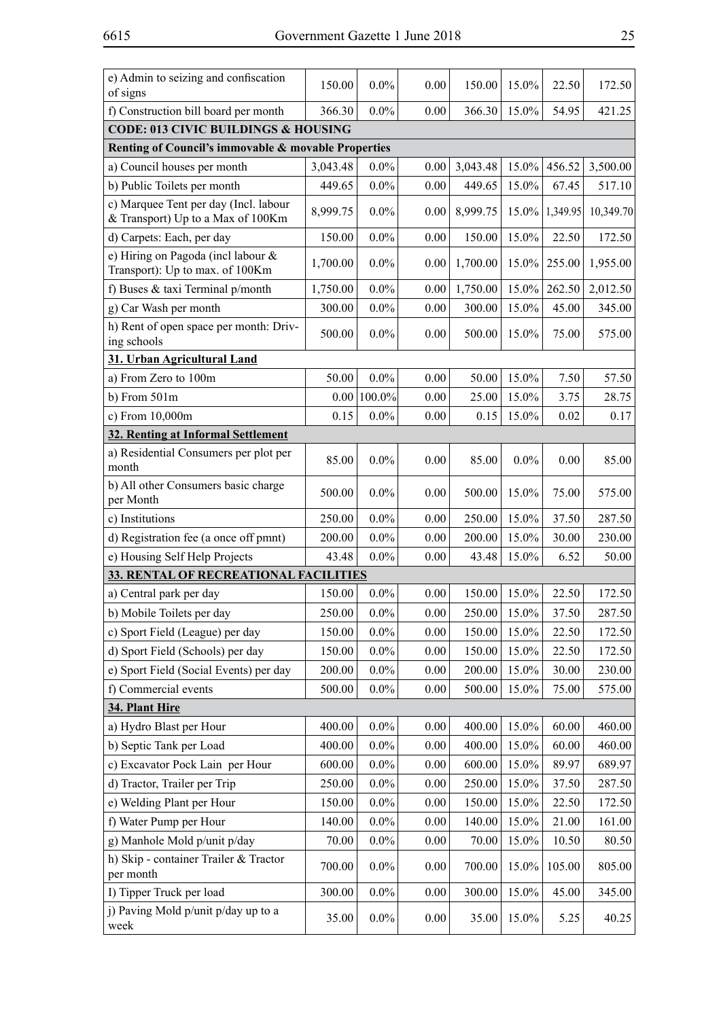| e) Admin to seizing and confiscation<br>of signs                           | 150.00   | $0.0\%$ | 0.00     | 150.00   | 15.0%   | 22.50    | 172.50    |  |  |
|----------------------------------------------------------------------------|----------|---------|----------|----------|---------|----------|-----------|--|--|
| f) Construction bill board per month                                       | 366.30   | $0.0\%$ | 0.00     | 366.30   | 15.0%   | 54.95    | 421.25    |  |  |
| <b>CODE: 013 CIVIC BUILDINGS &amp; HOUSING</b>                             |          |         |          |          |         |          |           |  |  |
| Renting of Council's immovable & movable Properties                        |          |         |          |          |         |          |           |  |  |
| a) Council houses per month                                                | 3,043.48 | $0.0\%$ | 0.00     | 3,043.48 | 15.0%   | 456.52   | 3,500.00  |  |  |
| b) Public Toilets per month                                                | 449.65   | $0.0\%$ | 0.00     | 449.65   | 15.0%   | 67.45    | 517.10    |  |  |
| c) Marquee Tent per day (Incl. labour<br>& Transport) Up to a Max of 100Km | 8,999.75 | $0.0\%$ | 0.00     | 8,999.75 | 15.0%   | 1,349.95 | 10,349.70 |  |  |
| d) Carpets: Each, per day                                                  | 150.00   | $0.0\%$ | 0.00     | 150.00   | 15.0%   | 22.50    | 172.50    |  |  |
| e) Hiring on Pagoda (incl labour &<br>Transport): Up to max. of 100Km      | 1,700.00 | $0.0\%$ | 0.00     | 1,700.00 | 15.0%   | 255.00   | 1,955.00  |  |  |
| f) Buses & taxi Terminal $p/m$ onth                                        | 1,750.00 | $0.0\%$ | 0.00     | 1,750.00 | 15.0%   | 262.50   | 2,012.50  |  |  |
| g) Car Wash per month                                                      | 300.00   | $0.0\%$ | 0.00     | 300.00   | 15.0%   | 45.00    | 345.00    |  |  |
| h) Rent of open space per month: Driv-<br>ing schools                      | 500.00   | $0.0\%$ | 0.00     | 500.00   | 15.0%   | 75.00    | 575.00    |  |  |
| 31. Urban Agricultural Land                                                |          |         |          |          |         |          |           |  |  |
| a) From Zero to 100m                                                       | 50.00    | $0.0\%$ | 0.00     | 50.00    | 15.0%   | 7.50     | 57.50     |  |  |
| $b)$ From $501m$                                                           | 0.00     | 100.0%  | 0.00     | 25.00    | 15.0%   | 3.75     | 28.75     |  |  |
| c) From 10,000m                                                            | 0.15     | $0.0\%$ | 0.00     | 0.15     | 15.0%   | 0.02     | 0.17      |  |  |
| 32. Renting at Informal Settlement                                         |          |         |          |          |         |          |           |  |  |
| a) Residential Consumers per plot per<br>month                             | 85.00    | $0.0\%$ | 0.00     | 85.00    | $0.0\%$ | 0.00     | 85.00     |  |  |
| b) All other Consumers basic charge<br>per Month                           | 500.00   | $0.0\%$ | 0.00     | 500.00   | 15.0%   | 75.00    | 575.00    |  |  |
| c) Institutions                                                            | 250.00   | $0.0\%$ | 0.00     | 250.00   | 15.0%   | 37.50    | 287.50    |  |  |
| d) Registration fee (a once off pmnt)                                      | 200.00   | $0.0\%$ | 0.00     | 200.00   | 15.0%   | 30.00    | 230.00    |  |  |
| e) Housing Self Help Projects                                              | 43.48    | $0.0\%$ | 0.00     | 43.48    | 15.0%   | 6.52     | 50.00     |  |  |
| 33. RENTAL OF RECREATIONAL FACILITIES                                      |          |         |          |          |         |          |           |  |  |
| a) Central park per day                                                    | 150.00   | $0.0\%$ | 0.00     | 150.00   | 15.0%   | 22.50    | 172.50    |  |  |
| b) Mobile Toilets per day                                                  | 250.00   | $0.0\%$ | $0.00\,$ | 250.00   | 15.0%   | 37.50    | 287.50    |  |  |
| c) Sport Field (League) per day                                            | 150.00   | $0.0\%$ | 0.00     | 150.00   | 15.0%   | 22.50    | 172.50    |  |  |
| d) Sport Field (Schools) per day                                           | 150.00   | $0.0\%$ | 0.00     | 150.00   | 15.0%   | 22.50    | 172.50    |  |  |
| e) Sport Field (Social Events) per day                                     | 200.00   | $0.0\%$ | 0.00     | 200.00   | 15.0%   | 30.00    | 230.00    |  |  |
| f) Commercial events                                                       | 500.00   | $0.0\%$ | 0.00     | 500.00   | 15.0%   | 75.00    | 575.00    |  |  |
| 34. Plant Hire                                                             |          |         |          |          |         |          |           |  |  |
| a) Hydro Blast per Hour                                                    | 400.00   | $0.0\%$ | 0.00     | 400.00   | 15.0%   | 60.00    | 460.00    |  |  |
| b) Septic Tank per Load                                                    | 400.00   | $0.0\%$ | 0.00     | 400.00   | 15.0%   | 60.00    | 460.00    |  |  |
| c) Excavator Pock Lain per Hour                                            | 600.00   | $0.0\%$ | 0.00     | 600.00   | 15.0%   | 89.97    | 689.97    |  |  |
| d) Tractor, Trailer per Trip                                               | 250.00   | $0.0\%$ | 0.00     | 250.00   | 15.0%   | 37.50    | 287.50    |  |  |
| e) Welding Plant per Hour                                                  | 150.00   | $0.0\%$ | 0.00     | 150.00   | 15.0%   | 22.50    | 172.50    |  |  |
| f) Water Pump per Hour                                                     | 140.00   | $0.0\%$ | 0.00     | 140.00   | 15.0%   | 21.00    | 161.00    |  |  |
| g) Manhole Mold p/unit p/day                                               | 70.00    | $0.0\%$ | 0.00     | 70.00    | 15.0%   | 10.50    | 80.50     |  |  |
| h) Skip - container Trailer & Tractor<br>per month                         | 700.00   | $0.0\%$ | 0.00     | 700.00   | 15.0%   | 105.00   | 805.00    |  |  |
| I) Tipper Truck per load                                                   | 300.00   | $0.0\%$ | 0.00     | 300.00   | 15.0%   | 45.00    | 345.00    |  |  |
| j) Paving Mold p/unit p/day up to a<br>week                                | 35.00    | $0.0\%$ | 0.00     | 35.00    | 15.0%   | 5.25     | 40.25     |  |  |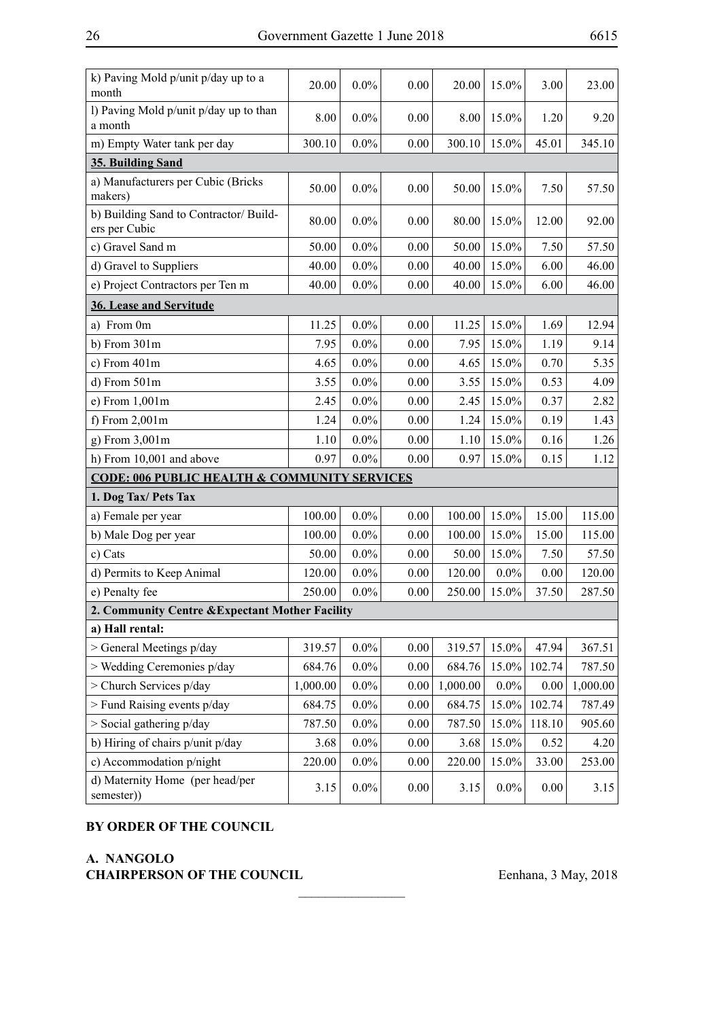| k) Paving Mold p/unit p/day up to a<br>month            | 20.00    | $0.0\%$ | 0.00 | 20.00    | 15.0%   | 3.00     | 23.00    |
|---------------------------------------------------------|----------|---------|------|----------|---------|----------|----------|
| l) Paving Mold p/unit p/day up to than<br>a month       | 8.00     | $0.0\%$ | 0.00 | 8.00     | 15.0%   | 1.20     | 9.20     |
| m) Empty Water tank per day                             | 300.10   | $0.0\%$ | 0.00 | 300.10   | 15.0%   | 45.01    | 345.10   |
| 35. Building Sand                                       |          |         |      |          |         |          |          |
| a) Manufacturers per Cubic (Bricks<br>makers)           | 50.00    | $0.0\%$ | 0.00 | 50.00    | 15.0%   | 7.50     | 57.50    |
| b) Building Sand to Contractor/ Build-<br>ers per Cubic | 80.00    | $0.0\%$ | 0.00 | 80.00    | 15.0%   | 12.00    | 92.00    |
| c) Gravel Sand m                                        | 50.00    | $0.0\%$ | 0.00 | 50.00    | 15.0%   | 7.50     | 57.50    |
| d) Gravel to Suppliers                                  | 40.00    | $0.0\%$ | 0.00 | 40.00    | 15.0%   | 6.00     | 46.00    |
| e) Project Contractors per Ten m                        | 40.00    | $0.0\%$ | 0.00 | 40.00    | 15.0%   | 6.00     | 46.00    |
| 36. Lease and Servitude                                 |          |         |      |          |         |          |          |
| a) From 0m                                              | 11.25    | $0.0\%$ | 0.00 | 11.25    | 15.0%   | 1.69     | 12.94    |
| $b)$ From $301m$                                        | 7.95     | $0.0\%$ | 0.00 | 7.95     | 15.0%   | 1.19     | 9.14     |
| c) From $401m$                                          | 4.65     | $0.0\%$ | 0.00 | 4.65     | 15.0%   | 0.70     | 5.35     |
| d) From 501m                                            | 3.55     | $0.0\%$ | 0.00 | 3.55     | 15.0%   | 0.53     | 4.09     |
| e) From 1,001m                                          | 2.45     | $0.0\%$ | 0.00 | 2.45     | 15.0%   | 0.37     | 2.82     |
| f) From 2,001m                                          | 1.24     | $0.0\%$ | 0.00 | 1.24     | 15.0%   | 0.19     | 1.43     |
| g) From 3,001m                                          | 1.10     | $0.0\%$ | 0.00 | 1.10     | 15.0%   | 0.16     | 1.26     |
| h) From 10,001 and above                                | 0.97     | $0.0\%$ | 0.00 | 0.97     | 15.0%   | 0.15     | 1.12     |
| <b>CODE: 006 PUBLIC HEALTH &amp; COMMUNITY SERVICES</b> |          |         |      |          |         |          |          |
| 1. Dog Tax/ Pets Tax                                    |          |         |      |          |         |          |          |
| a) Female per year                                      | 100.00   | $0.0\%$ | 0.00 | 100.00   | 15.0%   | 15.00    | 115.00   |
| b) Male Dog per year                                    | 100.00   | $0.0\%$ | 0.00 | 100.00   | 15.0%   | 15.00    | 115.00   |
| c) Cats                                                 | 50.00    | $0.0\%$ | 0.00 | 50.00    | 15.0%   | 7.50     | 57.50    |
| d) Permits to Keep Animal                               | 120.00   | $0.0\%$ | 0.00 | 120.00   | $0.0\%$ | 0.00     | 120.00   |
| e) Penalty fee                                          | 250.00   | $0.0\%$ | 0.00 | 250.00   | 15.0%   | 37.50    | 287.50   |
| 2. Community Centre & Expectant Mother Facility         |          |         |      |          |         |          |          |
| a) Hall rental:                                         |          |         |      |          |         |          |          |
| > General Meetings p/day                                | 319.57   | $0.0\%$ | 0.00 | 319.57   | 15.0%   | 47.94    | 367.51   |
| > Wedding Ceremonies p/day                              | 684.76   | $0.0\%$ | 0.00 | 684.76   | 15.0%   | 102.74   | 787.50   |
| > Church Services p/day                                 | 1,000.00 | $0.0\%$ | 0.00 | 1,000.00 | $0.0\%$ | 0.00     | 1,000.00 |
| > Fund Raising events p/day                             | 684.75   | $0.0\%$ | 0.00 | 684.75   | 15.0%   | 102.74   | 787.49   |
| $>$ Social gathering p/day                              | 787.50   | $0.0\%$ | 0.00 | 787.50   | 15.0%   | 118.10   | 905.60   |
| b) Hiring of chairs p/unit p/day                        | 3.68     | $0.0\%$ | 0.00 | 3.68     | 15.0%   | 0.52     | 4.20     |
| c) Accommodation p/night                                | 220.00   | $0.0\%$ | 0.00 | 220.00   | 15.0%   | 33.00    | 253.00   |
| d) Maternity Home (per head/per<br>semester))           | 3.15     | $0.0\%$ | 0.00 | 3.15     | $0.0\%$ | $0.00\,$ | 3.15     |

#### **BY ORDER OF THE COUNCIL**

# **A. NANGOLO**

**CHAIRPERSON OF THE COUNCIL** Eenhana, 3 May, 2018  $\frac{1}{2}$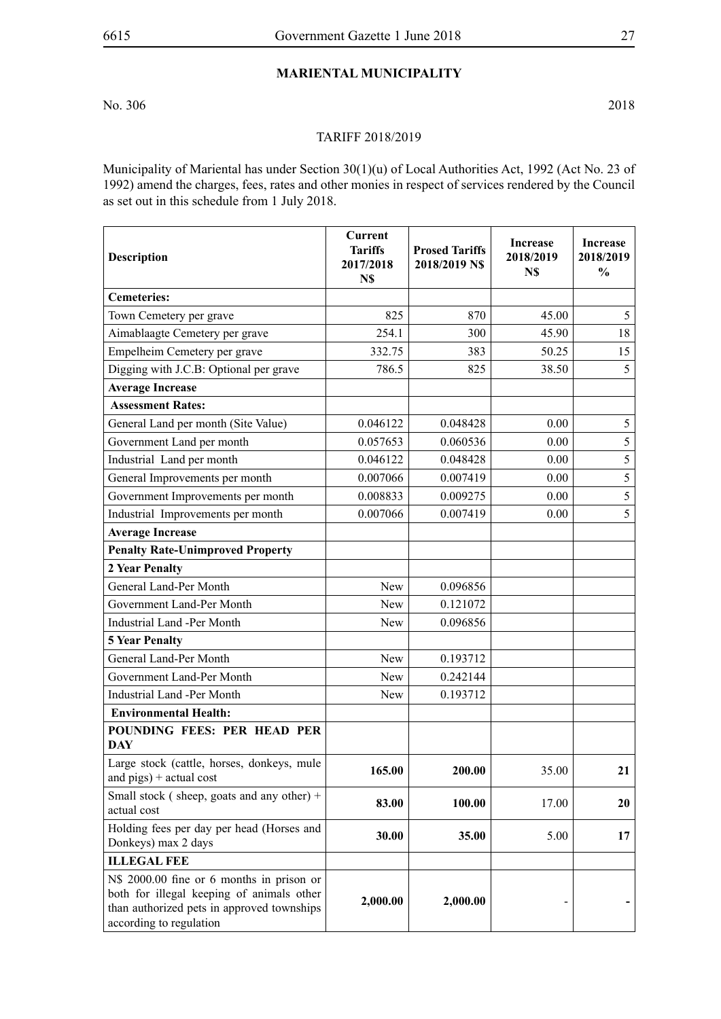# **Mariental Municipality**

No. 306 2018

#### TARIFF 2018/2019

Municipality of Mariental has under Section 30(1)(u) of Local Authorities Act, 1992 (Act No. 23 of 1992) amend the charges, fees, rates and other monies in respect of services rendered by the Council as set out in this schedule from 1 July 2018.

| <b>Description</b>                                                                                                                                              | Current<br><b>Tariffs</b><br>2017/2018<br>N\$ | <b>Prosed Tariffs</b><br>2018/2019 NS | <b>Increase</b><br>2018/2019<br>N\$ | <b>Increase</b><br>2018/2019<br>$\frac{0}{0}$ |
|-----------------------------------------------------------------------------------------------------------------------------------------------------------------|-----------------------------------------------|---------------------------------------|-------------------------------------|-----------------------------------------------|
| <b>Cemeteries:</b>                                                                                                                                              |                                               |                                       |                                     |                                               |
| Town Cemetery per grave                                                                                                                                         | 825                                           | 870                                   | 45.00                               | 5                                             |
| Aimablaagte Cemetery per grave                                                                                                                                  | 254.1                                         | 300                                   | 45.90                               | 18                                            |
| Empelheim Cemetery per grave                                                                                                                                    | 332.75                                        | 383                                   | 50.25                               | 15                                            |
| Digging with J.C.B: Optional per grave                                                                                                                          | 786.5                                         | 825                                   | 38.50                               | 5                                             |
| <b>Average Increase</b>                                                                                                                                         |                                               |                                       |                                     |                                               |
| <b>Assessment Rates:</b>                                                                                                                                        |                                               |                                       |                                     |                                               |
| General Land per month (Site Value)                                                                                                                             | 0.046122                                      | 0.048428                              | 0.00                                | 5                                             |
| Government Land per month                                                                                                                                       | 0.057653                                      | 0.060536                              | 0.00                                | 5                                             |
| Industrial Land per month                                                                                                                                       | 0.046122                                      | 0.048428                              | 0.00                                | 5                                             |
| General Improvements per month                                                                                                                                  | 0.007066                                      | 0.007419                              | 0.00                                | 5                                             |
| Government Improvements per month                                                                                                                               | 0.008833                                      | 0.009275                              | 0.00                                | 5                                             |
| Industrial Improvements per month                                                                                                                               | 0.007066                                      | 0.007419                              | 0.00                                | 5                                             |
| <b>Average Increase</b>                                                                                                                                         |                                               |                                       |                                     |                                               |
| <b>Penalty Rate-Unimproved Property</b>                                                                                                                         |                                               |                                       |                                     |                                               |
| 2 Year Penalty                                                                                                                                                  |                                               |                                       |                                     |                                               |
| General Land-Per Month                                                                                                                                          | <b>New</b>                                    | 0.096856                              |                                     |                                               |
| Government Land-Per Month                                                                                                                                       | New                                           | 0.121072                              |                                     |                                               |
| <b>Industrial Land -Per Month</b>                                                                                                                               | <b>New</b>                                    | 0.096856                              |                                     |                                               |
| <b>5 Year Penalty</b>                                                                                                                                           |                                               |                                       |                                     |                                               |
| General Land-Per Month                                                                                                                                          | New                                           | 0.193712                              |                                     |                                               |
| Government Land-Per Month                                                                                                                                       | <b>New</b>                                    | 0.242144                              |                                     |                                               |
| <b>Industrial Land -Per Month</b>                                                                                                                               | <b>New</b>                                    | 0.193712                              |                                     |                                               |
| <b>Environmental Health:</b>                                                                                                                                    |                                               |                                       |                                     |                                               |
| POUNDING FEES: PER HEAD PER<br><b>DAY</b>                                                                                                                       |                                               |                                       |                                     |                                               |
| Large stock (cattle, horses, donkeys, mule<br>and $pigs$ ) + actual cost                                                                                        | 165.00                                        | 200.00                                | 35.00                               | 21                                            |
| Small stock (sheep, goats and any other) +<br>actual cost                                                                                                       | 83.00                                         | 100.00                                | 17.00                               | 20                                            |
| Holding fees per day per head (Horses and<br>Donkeys) max 2 days                                                                                                | 30.00                                         | 35.00                                 | 5.00                                | 17                                            |
| <b>ILLEGAL FEE</b>                                                                                                                                              |                                               |                                       |                                     |                                               |
| N\$ 2000.00 fine or 6 months in prison or<br>both for illegal keeping of animals other<br>than authorized pets in approved townships<br>according to regulation | 2,000.00                                      | 2,000.00                              |                                     |                                               |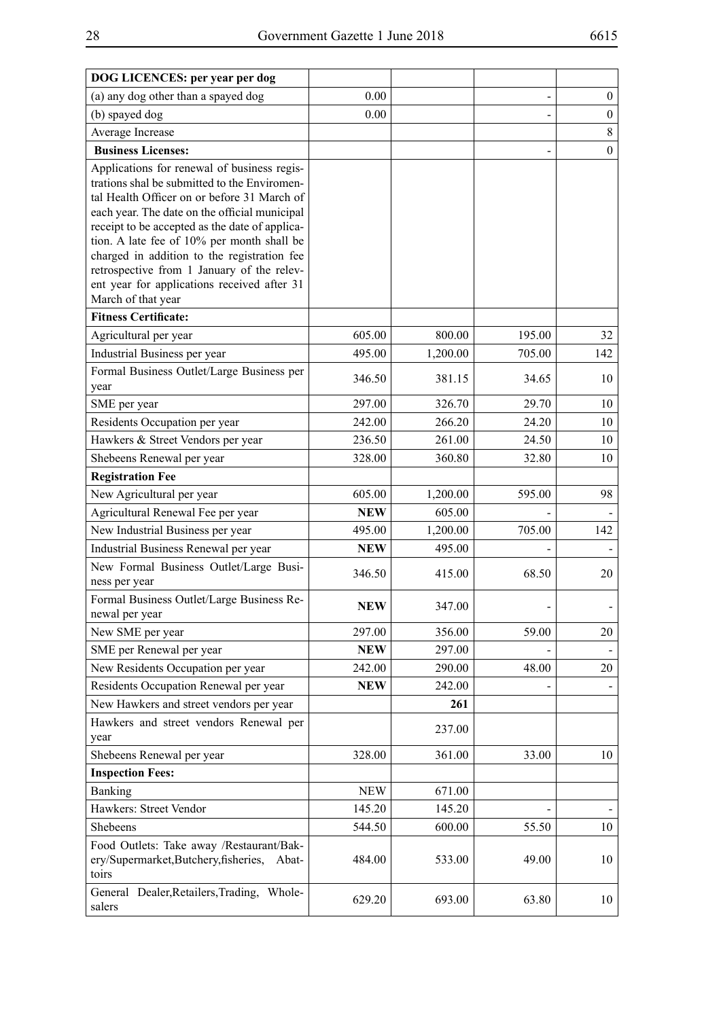| DOG LICENCES: per year per dog                                                                                                                                                                                                                                                                                                                                                                                                                                |            |          |        |                  |
|---------------------------------------------------------------------------------------------------------------------------------------------------------------------------------------------------------------------------------------------------------------------------------------------------------------------------------------------------------------------------------------------------------------------------------------------------------------|------------|----------|--------|------------------|
| (a) any dog other than a spayed dog                                                                                                                                                                                                                                                                                                                                                                                                                           | 0.00       |          |        | $\boldsymbol{0}$ |
| (b) spayed dog                                                                                                                                                                                                                                                                                                                                                                                                                                                | 0.00       |          |        | $\boldsymbol{0}$ |
| Average Increase                                                                                                                                                                                                                                                                                                                                                                                                                                              |            |          |        | 8                |
| <b>Business Licenses:</b>                                                                                                                                                                                                                                                                                                                                                                                                                                     |            |          |        | $\boldsymbol{0}$ |
| Applications for renewal of business regis-<br>trations shal be submitted to the Enviromen-<br>tal Health Officer on or before 31 March of<br>each year. The date on the official municipal<br>receipt to be accepted as the date of applica-<br>tion. A late fee of 10% per month shall be<br>charged in addition to the registration fee<br>retrospective from 1 January of the relev-<br>ent year for applications received after 31<br>March of that year |            |          |        |                  |
| <b>Fitness Certificate:</b>                                                                                                                                                                                                                                                                                                                                                                                                                                   |            |          |        |                  |
| Agricultural per year                                                                                                                                                                                                                                                                                                                                                                                                                                         | 605.00     | 800.00   | 195.00 | 32               |
| Industrial Business per year                                                                                                                                                                                                                                                                                                                                                                                                                                  | 495.00     | 1,200.00 | 705.00 | 142              |
| Formal Business Outlet/Large Business per<br>year                                                                                                                                                                                                                                                                                                                                                                                                             | 346.50     | 381.15   | 34.65  | 10               |
| SME per year                                                                                                                                                                                                                                                                                                                                                                                                                                                  | 297.00     | 326.70   | 29.70  | 10               |
| Residents Occupation per year                                                                                                                                                                                                                                                                                                                                                                                                                                 | 242.00     | 266.20   | 24.20  | 10               |
| Hawkers & Street Vendors per year                                                                                                                                                                                                                                                                                                                                                                                                                             | 236.50     | 261.00   | 24.50  | 10               |
| Shebeens Renewal per year                                                                                                                                                                                                                                                                                                                                                                                                                                     | 328.00     | 360.80   | 32.80  | 10               |
| <b>Registration Fee</b>                                                                                                                                                                                                                                                                                                                                                                                                                                       |            |          |        |                  |
| New Agricultural per year                                                                                                                                                                                                                                                                                                                                                                                                                                     | 605.00     | 1,200.00 | 595.00 | 98               |
| Agricultural Renewal Fee per year                                                                                                                                                                                                                                                                                                                                                                                                                             | <b>NEW</b> | 605.00   |        |                  |
| New Industrial Business per year                                                                                                                                                                                                                                                                                                                                                                                                                              | 495.00     | 1,200.00 | 705.00 | 142              |
| Industrial Business Renewal per year                                                                                                                                                                                                                                                                                                                                                                                                                          | <b>NEW</b> | 495.00   |        |                  |
| New Formal Business Outlet/Large Busi-<br>ness per year                                                                                                                                                                                                                                                                                                                                                                                                       | 346.50     | 415.00   | 68.50  | 20               |
| Formal Business Outlet/Large Business Re-<br>newal per year                                                                                                                                                                                                                                                                                                                                                                                                   | <b>NEW</b> | 347.00   |        |                  |
| New SME per year                                                                                                                                                                                                                                                                                                                                                                                                                                              | 297.00     | 356.00   | 59.00  | 20               |
| SME per Renewal per year                                                                                                                                                                                                                                                                                                                                                                                                                                      | <b>NEW</b> | 297.00   |        |                  |
| New Residents Occupation per year                                                                                                                                                                                                                                                                                                                                                                                                                             | 242.00     | 290.00   | 48.00  | 20               |
| Residents Occupation Renewal per year                                                                                                                                                                                                                                                                                                                                                                                                                         | <b>NEW</b> | 242.00   |        |                  |
| New Hawkers and street vendors per year                                                                                                                                                                                                                                                                                                                                                                                                                       |            | 261      |        |                  |
| Hawkers and street vendors Renewal per<br>year                                                                                                                                                                                                                                                                                                                                                                                                                |            | 237.00   |        |                  |
| Shebeens Renewal per year                                                                                                                                                                                                                                                                                                                                                                                                                                     | 328.00     | 361.00   | 33.00  | 10               |
| <b>Inspection Fees:</b>                                                                                                                                                                                                                                                                                                                                                                                                                                       |            |          |        |                  |
| Banking                                                                                                                                                                                                                                                                                                                                                                                                                                                       | <b>NEW</b> | 671.00   |        |                  |
| Hawkers: Street Vendor                                                                                                                                                                                                                                                                                                                                                                                                                                        | 145.20     | 145.20   |        |                  |
| Shebeens                                                                                                                                                                                                                                                                                                                                                                                                                                                      | 544.50     | 600.00   | 55.50  | 10               |
| Food Outlets: Take away /Restaurant/Bak-<br>ery/Supermarket,Butchery,fisheries,<br>Abat-<br>toirs                                                                                                                                                                                                                                                                                                                                                             | 484.00     | 533.00   | 49.00  | 10               |
| General Dealer, Retailers, Trading, Whole-<br>salers                                                                                                                                                                                                                                                                                                                                                                                                          | 629.20     | 693.00   | 63.80  | 10               |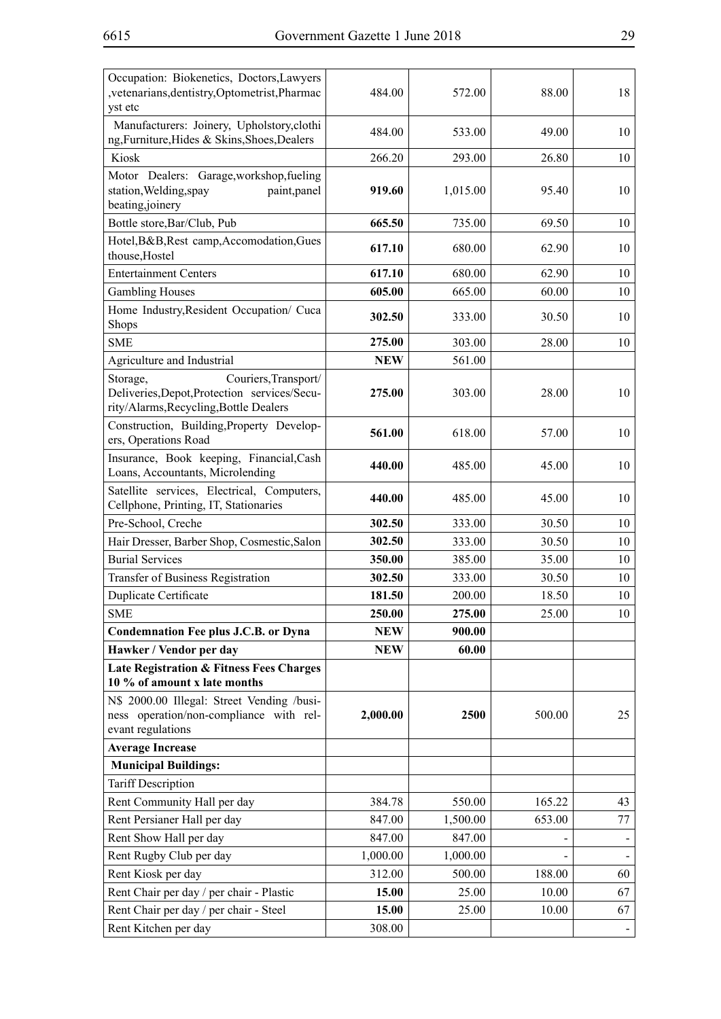| Occupation: Biokenetics, Doctors, Lawyers<br>, vetenarians, dentistry, Optometrist, Pharmac<br>yst etc                     | 484.00     | 572.00   | 88.00  | 18 |
|----------------------------------------------------------------------------------------------------------------------------|------------|----------|--------|----|
| Manufacturers: Joinery, Upholstory, clothi<br>ng, Furniture, Hides & Skins, Shoes, Dealers                                 | 484.00     | 533.00   | 49.00  | 10 |
| Kiosk                                                                                                                      | 266.20     | 293.00   | 26.80  | 10 |
| Motor Dealers: Garage, workshop, fueling<br>station, Welding, spay<br>paint, panel<br>beating,joinery                      | 919.60     | 1,015.00 | 95.40  | 10 |
| Bottle store, Bar/Club, Pub                                                                                                | 665.50     | 735.00   | 69.50  | 10 |
| Hotel, B&B, Rest camp, Accomodation, Gues<br>thouse, Hostel                                                                | 617.10     | 680.00   | 62.90  | 10 |
| <b>Entertainment Centers</b>                                                                                               | 617.10     | 680.00   | 62.90  | 10 |
| <b>Gambling Houses</b>                                                                                                     | 605.00     | 665.00   | 60.00  | 10 |
| Home Industry, Resident Occupation/ Cuca<br><b>Shops</b>                                                                   | 302.50     | 333.00   | 30.50  | 10 |
| <b>SME</b>                                                                                                                 | 275.00     | 303.00   | 28.00  | 10 |
| Agriculture and Industrial                                                                                                 | <b>NEW</b> | 561.00   |        |    |
| Storage,<br>Couriers, Transport/<br>Deliveries, Depot, Protection services/Secu-<br>rity/Alarms, Recycling, Bottle Dealers | 275.00     | 303.00   | 28.00  | 10 |
| Construction, Building, Property Develop-<br>ers, Operations Road                                                          | 561.00     | 618.00   | 57.00  | 10 |
| Insurance, Book keeping, Financial, Cash<br>Loans, Accountants, Microlending                                               | 440.00     | 485.00   | 45.00  | 10 |
| Satellite services, Electrical, Computers,<br>Cellphone, Printing, IT, Stationaries                                        | 440.00     | 485.00   | 45.00  | 10 |
| Pre-School, Creche                                                                                                         | 302.50     | 333.00   | 30.50  | 10 |
| Hair Dresser, Barber Shop, Cosmestic, Salon                                                                                | 302.50     | 333.00   | 30.50  | 10 |
| <b>Burial Services</b>                                                                                                     | 350.00     | 385.00   | 35.00  | 10 |
| Transfer of Business Registration                                                                                          | 302.50     | 333.00   | 30.50  | 10 |
| Duplicate Certificate                                                                                                      | 181.50     | 200.00   | 18.50  | 10 |
| <b>SME</b>                                                                                                                 | 250.00     | 275.00   | 25.00  | 10 |
| <b>Condemnation Fee plus J.C.B. or Dyna</b>                                                                                | <b>NEW</b> | 900.00   |        |    |
| Hawker / Vendor per day                                                                                                    | <b>NEW</b> | 60.00    |        |    |
| Late Registration & Fitness Fees Charges<br>10 % of amount x late months                                                   |            |          |        |    |
| N\$ 2000.00 Illegal: Street Vending /busi-<br>ness operation/non-compliance with rel-<br>evant regulations                 | 2,000.00   | 2500     | 500.00 | 25 |
| <b>Average Increase</b>                                                                                                    |            |          |        |    |
| <b>Municipal Buildings:</b>                                                                                                |            |          |        |    |
| <b>Tariff Description</b>                                                                                                  |            |          |        |    |
| Rent Community Hall per day                                                                                                | 384.78     | 550.00   | 165.22 | 43 |
| Rent Persianer Hall per day                                                                                                | 847.00     | 1,500.00 | 653.00 | 77 |
| Rent Show Hall per day                                                                                                     | 847.00     | 847.00   |        |    |
| Rent Rugby Club per day                                                                                                    | 1,000.00   | 1,000.00 |        |    |
| Rent Kiosk per day                                                                                                         | 312.00     | 500.00   | 188.00 | 60 |
| Rent Chair per day / per chair - Plastic                                                                                   | 15.00      | 25.00    | 10.00  | 67 |
| Rent Chair per day / per chair - Steel                                                                                     | 15.00      | 25.00    | 10.00  | 67 |
| Rent Kitchen per day                                                                                                       | 308.00     |          |        |    |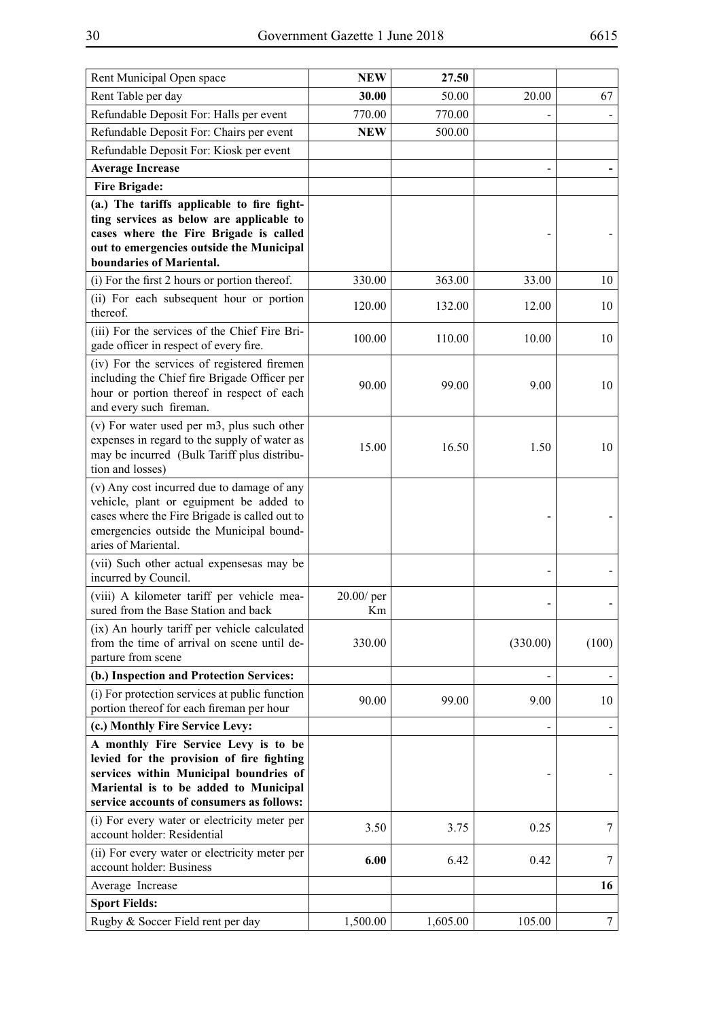| Rent Municipal Open space                                                                                                                                                                                         | <b>NEW</b>          | 27.50    |          |        |
|-------------------------------------------------------------------------------------------------------------------------------------------------------------------------------------------------------------------|---------------------|----------|----------|--------|
| Rent Table per day                                                                                                                                                                                                | 30.00               | 50.00    | 20.00    | 67     |
| Refundable Deposit For: Halls per event                                                                                                                                                                           | 770.00              | 770.00   |          |        |
| Refundable Deposit For: Chairs per event                                                                                                                                                                          | <b>NEW</b>          | 500.00   |          |        |
| Refundable Deposit For: Kiosk per event                                                                                                                                                                           |                     |          |          |        |
| <b>Average Increase</b>                                                                                                                                                                                           |                     |          |          |        |
| <b>Fire Brigade:</b>                                                                                                                                                                                              |                     |          |          |        |
| (a.) The tariffs applicable to fire fight-<br>ting services as below are applicable to<br>cases where the Fire Brigade is called<br>out to emergencies outside the Municipal<br>boundaries of Mariental.          |                     |          |          |        |
| (i) For the first 2 hours or portion thereof.                                                                                                                                                                     | 330.00              | 363.00   | 33.00    | 10     |
| (ii) For each subsequent hour or portion<br>thereof.                                                                                                                                                              | 120.00              | 132.00   | 12.00    | 10     |
| (iii) For the services of the Chief Fire Bri-<br>gade officer in respect of every fire.                                                                                                                           | 100.00              | 110.00   | 10.00    | 10     |
| (iv) For the services of registered firemen<br>including the Chief fire Brigade Officer per<br>hour or portion thereof in respect of each<br>and every such fireman.                                              | 90.00               | 99.00    | 9.00     | 10     |
| (v) For water used per m3, plus such other<br>expenses in regard to the supply of water as<br>may be incurred (Bulk Tariff plus distribu-<br>tion and losses)                                                     | 15.00               | 16.50    | 1.50     | 10     |
| (v) Any cost incurred due to damage of any<br>vehicle, plant or eguipment be added to<br>cases where the Fire Brigade is called out to<br>emergencies outside the Municipal bound-<br>aries of Mariental.         |                     |          |          |        |
| (vii) Such other actual expenses as may be<br>incurred by Council.                                                                                                                                                |                     |          |          |        |
| (viii) A kilometer tariff per vehicle mea-<br>sured from the Base Station and back                                                                                                                                | $20.00$ / per<br>Km |          |          |        |
| (ix) An hourly tariff per vehicle calculated<br>from the time of arrival on scene until de-<br>parture from scene                                                                                                 | 330.00              |          | (330.00) | (100)  |
| (b.) Inspection and Protection Services:                                                                                                                                                                          |                     |          |          |        |
| (i) For protection services at public function<br>portion thereof for each fireman per hour                                                                                                                       | 90.00               | 99.00    | 9.00     | 10     |
| (c.) Monthly Fire Service Levy:                                                                                                                                                                                   |                     |          |          |        |
| A monthly Fire Service Levy is to be<br>levied for the provision of fire fighting<br>services within Municipal boundries of<br>Mariental is to be added to Municipal<br>service accounts of consumers as follows: |                     |          |          |        |
| (i) For every water or electricity meter per<br>account holder: Residential                                                                                                                                       | 3.50                | 3.75     | 0.25     | 7      |
| (ii) For every water or electricity meter per<br>account holder: Business                                                                                                                                         | 6.00                | 6.42     | 0.42     | 7      |
| Average Increase                                                                                                                                                                                                  |                     |          |          | 16     |
| <b>Sport Fields:</b>                                                                                                                                                                                              |                     |          |          |        |
| Rugby & Soccer Field rent per day                                                                                                                                                                                 | 1,500.00            | 1,605.00 | 105.00   | $\tau$ |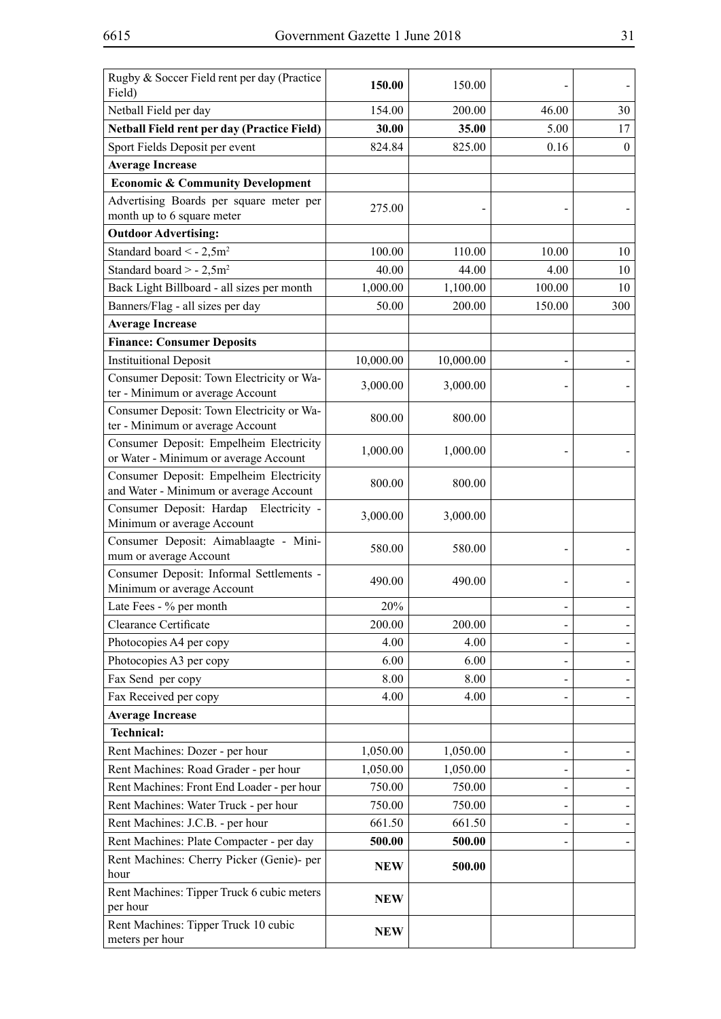| Rugby & Soccer Field rent per day (Practice<br>Field)                             | 150.00     | 150.00    |        |              |
|-----------------------------------------------------------------------------------|------------|-----------|--------|--------------|
| Netball Field per day                                                             | 154.00     | 200.00    | 46.00  | 30           |
| <b>Netball Field rent per day (Practice Field)</b>                                | 30.00      | 35.00     | 5.00   | 17           |
| Sport Fields Deposit per event                                                    | 824.84     | 825.00    | 0.16   | $\mathbf{0}$ |
| <b>Average Increase</b>                                                           |            |           |        |              |
| <b>Economic &amp; Community Development</b>                                       |            |           |        |              |
| Advertising Boards per square meter per                                           |            |           |        |              |
| month up to 6 square meter                                                        | 275.00     |           |        |              |
| <b>Outdoor Advertising:</b>                                                       |            |           |        |              |
| Standard board < $-2,5m^2$                                                        | 100.00     | 110.00    | 10.00  | 10           |
| Standard board > - $2,5m^2$                                                       | 40.00      | 44.00     | 4.00   | 10           |
| Back Light Billboard - all sizes per month                                        | 1,000.00   | 1,100.00  | 100.00 | 10           |
| Banners/Flag - all sizes per day                                                  | 50.00      | 200.00    | 150.00 | 300          |
| <b>Average Increase</b>                                                           |            |           |        |              |
| <b>Finance: Consumer Deposits</b>                                                 |            |           |        |              |
| <b>Instituitional Deposit</b>                                                     | 10,000.00  | 10,000.00 |        |              |
| Consumer Deposit: Town Electricity or Wa-<br>ter - Minimum or average Account     | 3,000.00   | 3,000.00  |        |              |
| Consumer Deposit: Town Electricity or Wa-<br>ter - Minimum or average Account     | 800.00     | 800.00    |        |              |
| Consumer Deposit: Empelheim Electricity<br>or Water - Minimum or average Account  | 1,000.00   | 1,000.00  |        |              |
| Consumer Deposit: Empelheim Electricity<br>and Water - Minimum or average Account | 800.00     | 800.00    |        |              |
| Consumer Deposit: Hardap<br>Electricity -<br>Minimum or average Account           | 3,000.00   | 3,000.00  |        |              |
| Consumer Deposit: Aimablaagte - Mini-<br>mum or average Account                   | 580.00     | 580.00    |        |              |
| Consumer Deposit: Informal Settlements -<br>Minimum or average Account            | 490.00     | 490.00    |        |              |
| Late Fees - % per month                                                           | 20%        |           |        |              |
| Clearance Certificate                                                             | 200.00     | 200.00    |        |              |
| Photocopies A4 per copy                                                           | 4.00       | 4.00      |        |              |
| Photocopies A3 per copy                                                           | 6.00       | 6.00      |        |              |
| Fax Send per copy                                                                 | 8.00       | 8.00      |        |              |
| Fax Received per copy                                                             | 4.00       | 4.00      |        |              |
| <b>Average Increase</b>                                                           |            |           |        |              |
| <b>Technical:</b>                                                                 |            |           |        |              |
| Rent Machines: Dozer - per hour                                                   | 1,050.00   | 1,050.00  |        |              |
| Rent Machines: Road Grader - per hour                                             | 1,050.00   | 1,050.00  |        |              |
| Rent Machines: Front End Loader - per hour                                        | 750.00     | 750.00    |        |              |
| Rent Machines: Water Truck - per hour                                             | 750.00     | 750.00    |        |              |
| Rent Machines: J.C.B. - per hour                                                  | 661.50     | 661.50    |        |              |
| Rent Machines: Plate Compacter - per day                                          | 500.00     | 500.00    |        |              |
| Rent Machines: Cherry Picker (Genie)- per<br>hour                                 | <b>NEW</b> | 500.00    |        |              |
| Rent Machines: Tipper Truck 6 cubic meters<br>per hour                            | <b>NEW</b> |           |        |              |
| Rent Machines: Tipper Truck 10 cubic<br>meters per hour                           | <b>NEW</b> |           |        |              |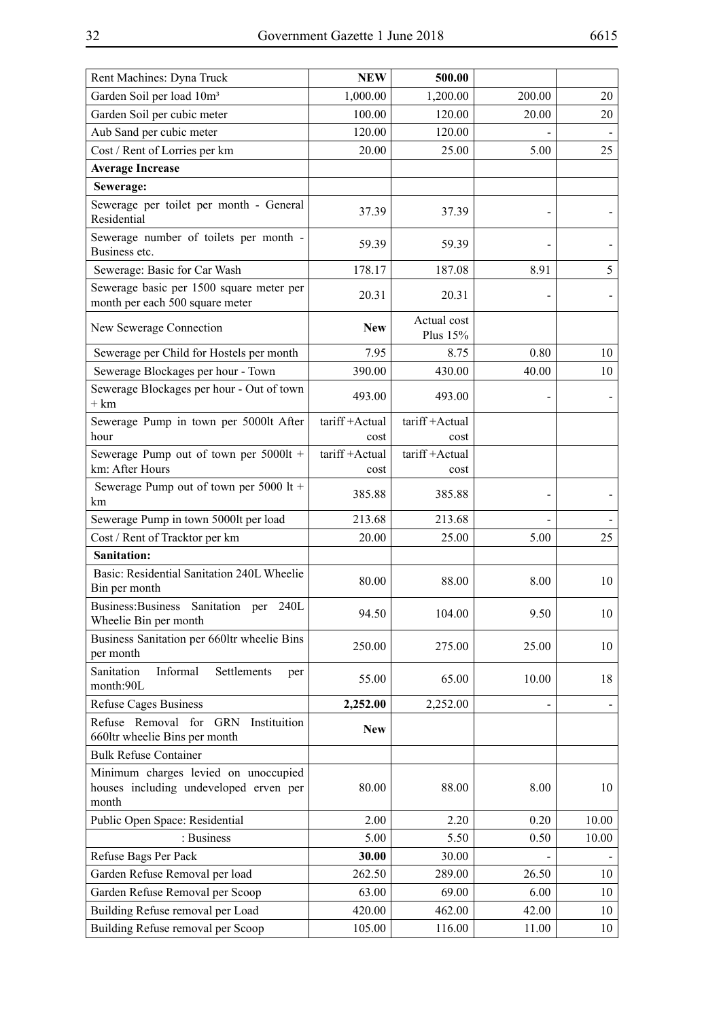| Rent Machines: Dyna Truck                                                               | <b>NEW</b>             | 500.00                  |        |       |
|-----------------------------------------------------------------------------------------|------------------------|-------------------------|--------|-------|
| Garden Soil per load 10m <sup>3</sup>                                                   | 1,000.00               | 1,200.00                | 200.00 | 20    |
| Garden Soil per cubic meter                                                             | 100.00                 | 120.00                  | 20.00  | 20    |
| Aub Sand per cubic meter                                                                | 120.00                 | 120.00                  |        |       |
| Cost / Rent of Lorries per km                                                           | 20.00                  | 25.00                   | 5.00   | 25    |
| <b>Average Increase</b>                                                                 |                        |                         |        |       |
| Sewerage:                                                                               |                        |                         |        |       |
| Sewerage per toilet per month - General<br>Residential                                  | 37.39                  | 37.39                   |        |       |
| Sewerage number of toilets per month -<br>Business etc.                                 | 59.39                  | 59.39                   |        |       |
| Sewerage: Basic for Car Wash                                                            | 178.17                 | 187.08                  | 8.91   | 5     |
| Sewerage basic per 1500 square meter per<br>month per each 500 square meter             | 20.31                  | 20.31                   |        |       |
| New Sewerage Connection                                                                 | <b>New</b>             | Actual cost<br>Plus 15% |        |       |
| Sewerage per Child for Hostels per month                                                | 7.95                   | 8.75                    | 0.80   | 10    |
| Sewerage Blockages per hour - Town                                                      | 390.00                 | 430.00                  | 40.00  | 10    |
| Sewerage Blockages per hour - Out of town<br>$+ km$                                     | 493.00                 | 493.00                  |        |       |
| Sewerage Pump in town per 5000lt After<br>hour                                          | tariff +Actual<br>cost | tariff +Actual<br>cost  |        |       |
| Sewerage Pump out of town per 5000lt +<br>km: After Hours                               | tariff +Actual<br>cost | tariff +Actual<br>cost  |        |       |
| Sewerage Pump out of town per 5000 lt +<br>km                                           | 385.88                 | 385.88                  |        |       |
| Sewerage Pump in town 5000lt per load                                                   | 213.68                 | 213.68                  |        |       |
| Cost / Rent of Tracktor per km                                                          | 20.00                  | 25.00                   | 5.00   | 25    |
| <b>Sanitation:</b>                                                                      |                        |                         |        |       |
| Basic: Residential Sanitation 240L Wheelie<br>Bin per month                             | 80.00                  | 88.00                   | 8.00   | 10    |
| Business: Business Sanitation per<br>240L<br>Wheelie Bin per month                      | 94.50                  | 104.00                  | 9.50   | 10    |
| Business Sanitation per 660ltr wheelie Bins<br>per month                                | 250.00                 | 275.00                  | 25.00  | 10    |
| Sanitation<br>Informal<br>Settlements<br>per<br>month:90L                               | 55.00                  | 65.00                   | 10.00  | 18    |
| <b>Refuse Cages Business</b>                                                            | 2,252.00               | 2,252.00                |        |       |
| Refuse Removal for GRN<br>Instituition<br>660ltr wheelie Bins per month                 | <b>New</b>             |                         |        |       |
| <b>Bulk Refuse Container</b>                                                            |                        |                         |        |       |
| Minimum charges levied on unoccupied<br>houses including undeveloped erven per<br>month | 80.00                  | 88.00                   | 8.00   | 10    |
| Public Open Space: Residential                                                          | 2.00                   | 2.20                    | 0.20   | 10.00 |
| : Business                                                                              | 5.00                   | 5.50                    | 0.50   | 10.00 |
| Refuse Bags Per Pack                                                                    | 30.00                  | 30.00                   |        |       |
| Garden Refuse Removal per load                                                          | 262.50                 | 289.00                  | 26.50  | 10    |
| Garden Refuse Removal per Scoop                                                         | 63.00                  | 69.00                   | 6.00   | 10    |
| Building Refuse removal per Load                                                        | 420.00                 | 462.00                  | 42.00  | 10    |
| Building Refuse removal per Scoop                                                       | 105.00                 | 116.00                  | 11.00  | 10    |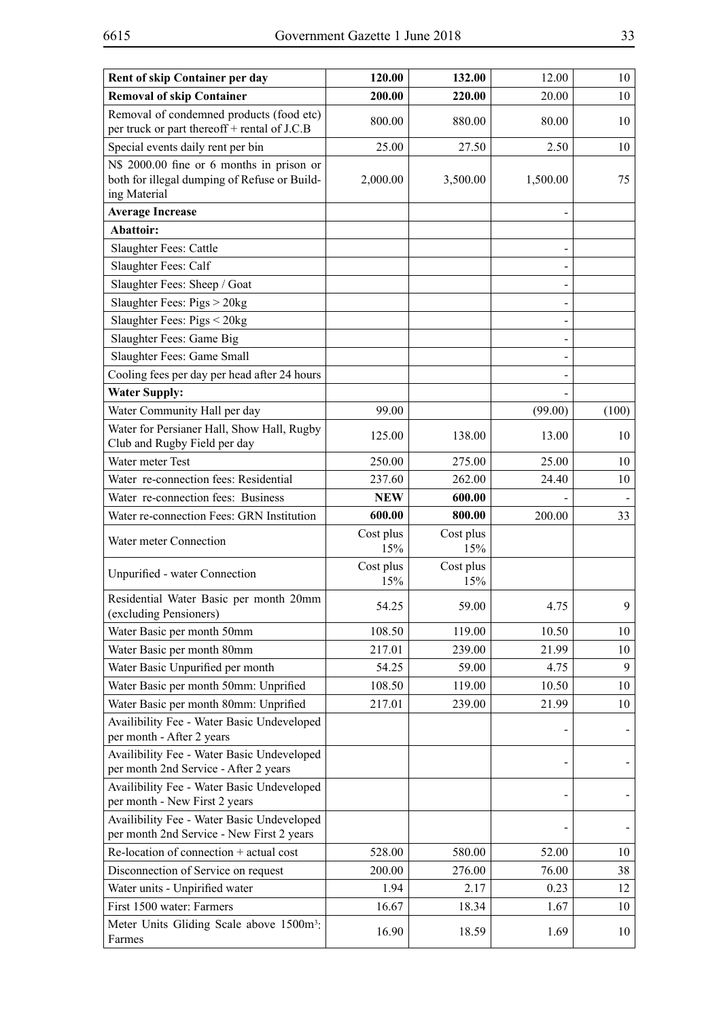| Rent of skip Container per day                                                                            | 120.00           | 132.00           | 12.00    | 10    |
|-----------------------------------------------------------------------------------------------------------|------------------|------------------|----------|-------|
| <b>Removal of skip Container</b>                                                                          | 200.00           | 220.00           | 20.00    | 10    |
| Removal of condemned products (food etc)<br>per truck or part thereoff + rental of J.C.B                  | 800.00           | 880.00           | 80.00    | 10    |
| Special events daily rent per bin                                                                         | 25.00            | 27.50            | 2.50     | 10    |
| N\$ 2000.00 fine or 6 months in prison or<br>both for illegal dumping of Refuse or Build-<br>ing Material | 2,000.00         | 3,500.00         | 1,500.00 | 75    |
| <b>Average Increase</b>                                                                                   |                  |                  |          |       |
| Abattoir:                                                                                                 |                  |                  |          |       |
| Slaughter Fees: Cattle                                                                                    |                  |                  |          |       |
| Slaughter Fees: Calf                                                                                      |                  |                  |          |       |
| Slaughter Fees: Sheep / Goat                                                                              |                  |                  |          |       |
| Slaughter Fees: Pigs > 20kg                                                                               |                  |                  |          |       |
| Slaughter Fees: Pigs < 20kg                                                                               |                  |                  |          |       |
| Slaughter Fees: Game Big                                                                                  |                  |                  |          |       |
| Slaughter Fees: Game Small                                                                                |                  |                  |          |       |
| Cooling fees per day per head after 24 hours                                                              |                  |                  |          |       |
| <b>Water Supply:</b>                                                                                      |                  |                  |          |       |
| Water Community Hall per day                                                                              | 99.00            |                  | (99.00)  | (100) |
| Water for Persianer Hall, Show Hall, Rugby<br>Club and Rugby Field per day                                | 125.00           | 138.00           | 13.00    | 10    |
| Water meter Test                                                                                          | 250.00           | 275.00           | 25.00    | 10    |
| Water re-connection fees: Residential                                                                     | 237.60           | 262.00           | 24.40    | 10    |
| Water re-connection fees: Business                                                                        | <b>NEW</b>       | 600.00           |          |       |
| Water re-connection Fees: GRN Institution                                                                 | 600.00           | 800.00           | 200.00   | 33    |
| Water meter Connection                                                                                    | Cost plus<br>15% | Cost plus<br>15% |          |       |
| Unpurified - water Connection                                                                             | Cost plus<br>15% | Cost plus<br>15% |          |       |
| Residential Water Basic per month 20mm<br>(excluding Pensioners)                                          | 54.25            | 59.00            | 4.75     | 9     |
| Water Basic per month 50mm                                                                                | 108.50           | 119.00           | 10.50    | 10    |
| Water Basic per month 80mm                                                                                | 217.01           | 239.00           | 21.99    | 10    |
| Water Basic Unpurified per month                                                                          | 54.25            | 59.00            | 4.75     | 9     |
| Water Basic per month 50mm: Unprified                                                                     | 108.50           | 119.00           | 10.50    | 10    |
| Water Basic per month 80mm: Unprified                                                                     | 217.01           | 239.00           | 21.99    | 10    |
| Availibility Fee - Water Basic Undeveloped<br>per month - After 2 years                                   |                  |                  |          |       |
| Availibility Fee - Water Basic Undeveloped<br>per month 2nd Service - After 2 years                       |                  |                  |          |       |
| Availibility Fee - Water Basic Undeveloped<br>per month - New First 2 years                               |                  |                  |          |       |
| Availibility Fee - Water Basic Undeveloped<br>per month 2nd Service - New First 2 years                   |                  |                  |          |       |
| Re-location of connection + actual cost                                                                   | 528.00           | 580.00           | 52.00    | 10    |
| Disconnection of Service on request                                                                       | 200.00           | 276.00           | 76.00    | 38    |
| Water units - Unpirified water                                                                            | 1.94             | 2.17             | 0.23     | 12    |
| First 1500 water: Farmers                                                                                 | 16.67            | 18.34            | 1.67     | 10    |
| Meter Units Gliding Scale above 1500m <sup>3</sup> :<br>Farmes                                            | 16.90            | 18.59            | 1.69     | 10    |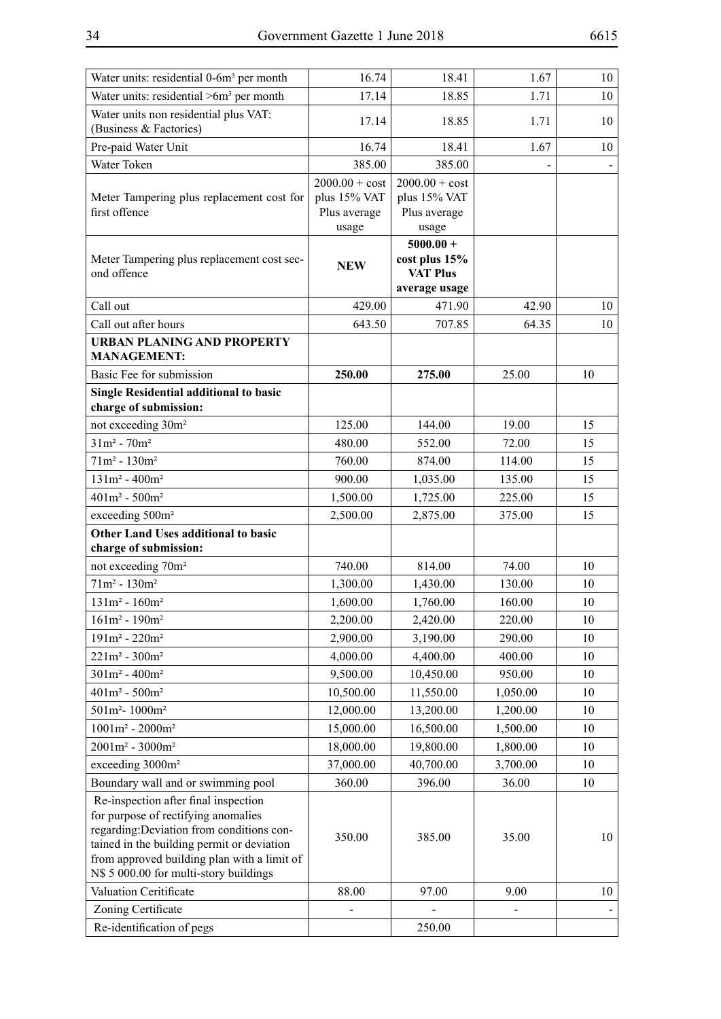| Water units: residential 0-6m <sup>3</sup> per month                                                                                                                                                                                                            | 16.74                                                     | 18.41                                                            | 1.67     | 10 |
|-----------------------------------------------------------------------------------------------------------------------------------------------------------------------------------------------------------------------------------------------------------------|-----------------------------------------------------------|------------------------------------------------------------------|----------|----|
| Water units: residential $>6m3$ per month                                                                                                                                                                                                                       | 17.14                                                     | 18.85                                                            | 1.71     | 10 |
| Water units non residential plus VAT:<br>(Business & Factories)                                                                                                                                                                                                 | 17.14                                                     | 18.85                                                            | 1.71     | 10 |
| Pre-paid Water Unit                                                                                                                                                                                                                                             | 16.74                                                     | 18.41                                                            | 1.67     | 10 |
| Water Token                                                                                                                                                                                                                                                     | 385.00                                                    | 385.00                                                           |          |    |
| Meter Tampering plus replacement cost for<br>first offence                                                                                                                                                                                                      | $2000.00 + cost$<br>plus 15% VAT<br>Plus average<br>usage | $2000.00 + cost$<br>plus 15% VAT<br>Plus average<br>usage        |          |    |
| Meter Tampering plus replacement cost sec-<br>ond offence                                                                                                                                                                                                       | <b>NEW</b>                                                | $5000.00 +$<br>cost plus 15%<br><b>VAT Plus</b><br>average usage |          |    |
| Call out                                                                                                                                                                                                                                                        | 429.00                                                    | 471.90                                                           | 42.90    | 10 |
| Call out after hours                                                                                                                                                                                                                                            | 643.50                                                    | 707.85                                                           | 64.35    | 10 |
| <b>URBAN PLANING AND PROPERTY</b><br><b>MANAGEMENT:</b>                                                                                                                                                                                                         |                                                           |                                                                  |          |    |
| Basic Fee for submission                                                                                                                                                                                                                                        | 250.00                                                    | 275.00                                                           | 25.00    | 10 |
| <b>Single Residential additional to basic</b><br>charge of submission:                                                                                                                                                                                          |                                                           |                                                                  |          |    |
| not exceeding 30m <sup>2</sup>                                                                                                                                                                                                                                  | 125.00                                                    | 144.00                                                           | 19.00    | 15 |
| $31m^2 - 70m^2$                                                                                                                                                                                                                                                 | 480.00                                                    | 552.00                                                           | 72.00    | 15 |
| $71m^2 - 130m^2$                                                                                                                                                                                                                                                | 760.00                                                    | 874.00                                                           | 114.00   | 15 |
| $131m^2 - 400m^2$                                                                                                                                                                                                                                               | 900.00                                                    | 1,035.00                                                         | 135.00   | 15 |
| $401m^2 - 500m^2$                                                                                                                                                                                                                                               | 1,500.00                                                  | 1,725.00                                                         | 225.00   | 15 |
| exceeding 500m <sup>2</sup>                                                                                                                                                                                                                                     | 2,500.00                                                  | 2,875.00                                                         | 375.00   | 15 |
| <b>Other Land Uses additional to basic</b><br>charge of submission:                                                                                                                                                                                             |                                                           |                                                                  |          |    |
| not exceeding 70m <sup>2</sup>                                                                                                                                                                                                                                  | 740.00                                                    | 814.00                                                           | 74.00    | 10 |
| $71m^2 - 130m^2$                                                                                                                                                                                                                                                | 1,300.00                                                  | 1,430.00                                                         | 130.00   | 10 |
| $131m^2 - 160m^2$                                                                                                                                                                                                                                               | 1,600.00                                                  | 1,760.00                                                         | 160.00   | 10 |
| $161m^2 - 190m^2$                                                                                                                                                                                                                                               | 2,200.00                                                  | 2,420.00                                                         | 220.00   | 10 |
| $191m^2 - 220m^2$                                                                                                                                                                                                                                               | 2,900.00                                                  | 3,190.00                                                         | 290.00   | 10 |
| $221m^2 - 300m^2$                                                                                                                                                                                                                                               | 4,000.00                                                  | 4,400.00                                                         | 400.00   | 10 |
| $301m^2 - 400m^2$                                                                                                                                                                                                                                               | 9,500.00                                                  | 10,450.00                                                        | 950.00   | 10 |
| $401m^2 - 500m^2$                                                                                                                                                                                                                                               | 10,500.00                                                 | 11,550.00                                                        | 1,050.00 | 10 |
| $501m^2 - 1000m^2$                                                                                                                                                                                                                                              | 12,000.00                                                 | 13,200.00                                                        | 1,200.00 | 10 |
| $1001m^2 - 2000m^2$                                                                                                                                                                                                                                             | 15,000.00                                                 | 16,500.00                                                        | 1,500.00 | 10 |
| $2001m^2 - 3000m^2$                                                                                                                                                                                                                                             | 18,000.00                                                 | 19,800.00                                                        | 1,800.00 | 10 |
| exceeding 3000m <sup>2</sup>                                                                                                                                                                                                                                    | 37,000.00                                                 | 40,700.00                                                        | 3,700.00 | 10 |
| Boundary wall and or swimming pool                                                                                                                                                                                                                              | 360.00                                                    | 396.00                                                           | 36.00    | 10 |
| Re-inspection after final inspection<br>for purpose of rectifying anomalies<br>regarding: Deviation from conditions con-<br>tained in the building permit or deviation<br>from approved building plan with a limit of<br>N\$ 5 000.00 for multi-story buildings | 350.00                                                    | 385.00                                                           | 35.00    | 10 |
| Valuation Ceritificate                                                                                                                                                                                                                                          | 88.00                                                     | 97.00                                                            | 9.00     | 10 |
| Zoning Certificate                                                                                                                                                                                                                                              |                                                           |                                                                  |          |    |
| Re-identification of pegs                                                                                                                                                                                                                                       |                                                           | 250.00                                                           |          |    |